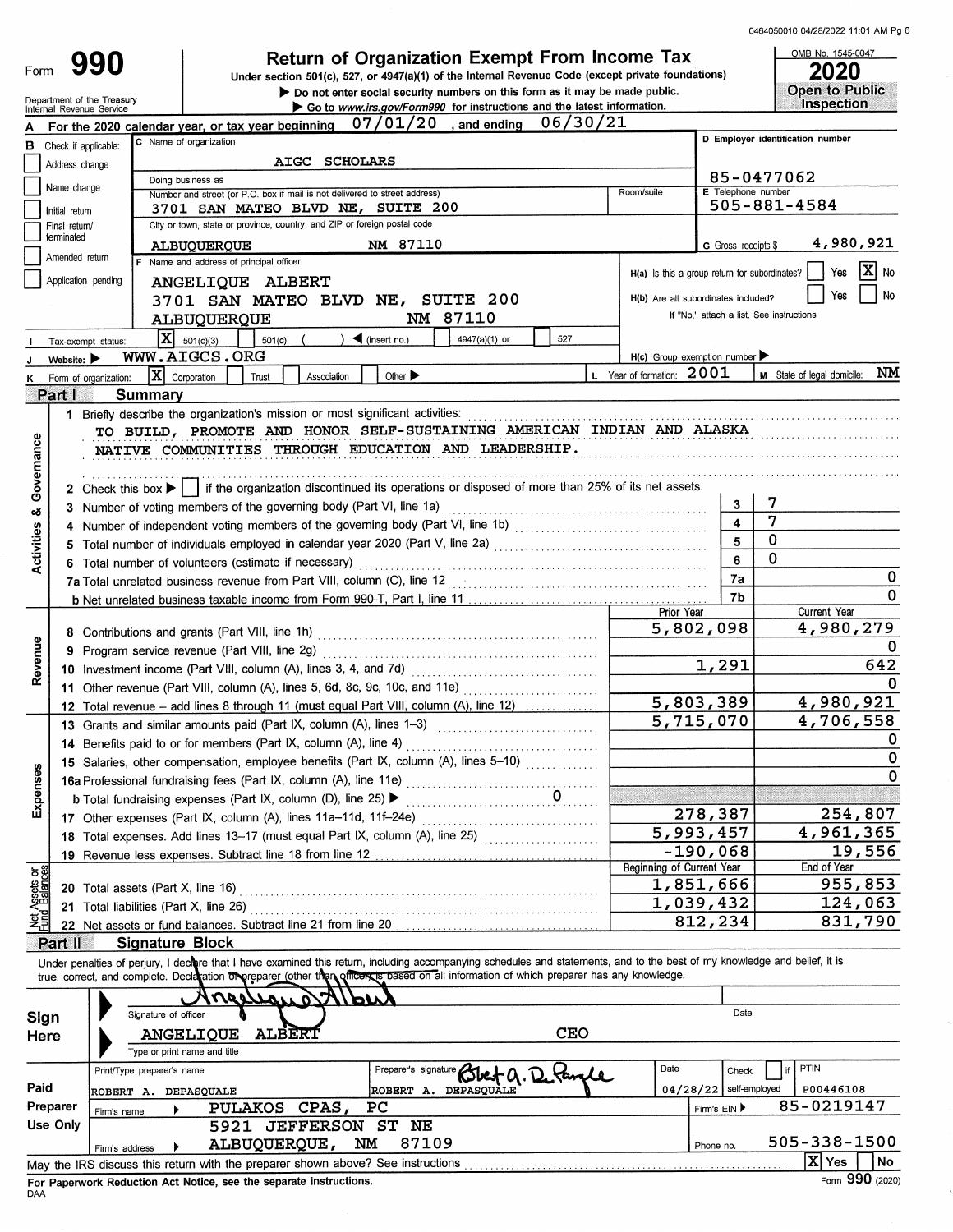ś

| Form                    | 990                                                    | <b>Return of Organization Exempt From Income Tax</b><br>Under section 501(c), 527, or 4947(a)(1) of the Internal Revenue Code (except private foundations)<br>Do not enter social security numbers on this form as it may be made public.                                                                               |                                                     | OMB No. 1545-0047<br>2020<br><b>Open to Public</b> |
|-------------------------|--------------------------------------------------------|-------------------------------------------------------------------------------------------------------------------------------------------------------------------------------------------------------------------------------------------------------------------------------------------------------------------------|-----------------------------------------------------|----------------------------------------------------|
|                         | Department of the Treasury<br>Internal Revenue Service | Go to www.irs.gov/Form990 for instructions and the latest information.                                                                                                                                                                                                                                                  |                                                     | Inspection                                         |
|                         |                                                        | 06/30/21<br>$07/01/20$ , and ending<br>For the 2020 calendar year, or tax year beginning                                                                                                                                                                                                                                |                                                     | D Employer identification number                   |
| в                       | Check if applicable:                                   | C Name of organization                                                                                                                                                                                                                                                                                                  |                                                     |                                                    |
|                         | Address change                                         | AIGC SCHOLARS<br>Doing business as                                                                                                                                                                                                                                                                                      |                                                     | 85-0477062                                         |
|                         | Name change                                            | Room/suite<br>Number and street (or P.O. box if mail is not delivered to street address)                                                                                                                                                                                                                                | E Telephone number                                  |                                                    |
|                         | Initial return                                         | 3701 SAN MATEO BLVD NE, SUITE 200                                                                                                                                                                                                                                                                                       |                                                     | 505-881-4584                                       |
|                         | Final return/<br>terminated                            | City or town, state or province, country, and ZIP or foreign postal code                                                                                                                                                                                                                                                |                                                     |                                                    |
|                         | Amended return                                         | NM 87110<br><b>ALBUQUERQUE</b>                                                                                                                                                                                                                                                                                          | G Gross receipts \$                                 | 4,980,921                                          |
|                         |                                                        | F Name and address of principal officer:                                                                                                                                                                                                                                                                                | H(a) Is this a group return for subordinates?       | $\mathbf{x}$<br>No<br>Yes                          |
|                         | Application pending                                    | ANGELIQUE ALBERT                                                                                                                                                                                                                                                                                                        | H(b) Are all subordinates included?                 | No<br>Yes                                          |
|                         |                                                        | 3701 SAN MATEO BLVD NE, SUITE 200<br>NM 87110                                                                                                                                                                                                                                                                           |                                                     | If "No," attach a list. See instructions           |
|                         |                                                        | ALBUQUERQUE<br>$ \mathbf{x} $<br>527<br>$\blacktriangleleft$ (insert no.)                                                                                                                                                                                                                                               |                                                     |                                                    |
|                         | Tax-exempt status:                                     | 4947(a)(1) or<br>501(c)(3)<br>501(c)<br>WWW.AIGCS.ORG                                                                                                                                                                                                                                                                   | $H(c)$ Group exemption number $\blacktriangleright$ |                                                    |
|                         | Website: $\blacktriangleright$                         | L Year of formation: 2001<br>$ \mathbf{X} $ Corporation<br>Other $\blacktriangleright$<br>Association<br>Trust                                                                                                                                                                                                          |                                                     | NΜ<br>M State of legal domicile:                   |
|                         | Form of organization:<br>Part I                        | Summary                                                                                                                                                                                                                                                                                                                 |                                                     |                                                    |
|                         |                                                        | 1 Briefly describe the organization's mission or most significant activities:                                                                                                                                                                                                                                           |                                                     |                                                    |
| Governance              |                                                        | TO BUILD, PROMOTE AND HONOR SELF-SUSTAINING AMERICAN INDIAN AND ALASKA<br>NATIVE COMMUNITIES THROUGH EDUCATION AND LEADERSHIP.<br>2 Check this box $\blacktriangleright$     if the organization discontinued its operations or disposed of more than 25% of its net assets.                                            |                                                     |                                                    |
| ಯ                       |                                                        | 3 Number of voting members of the governing body (Part VI, line 1a)                                                                                                                                                                                                                                                     | 3                                                   | 7                                                  |
|                         |                                                        | 4 Number of independent voting members of the governing body (Part VI, line 1b) [11] (11] Multimerror exceeding                                                                                                                                                                                                         | $\overline{\mathbf{4}}$                             | 7                                                  |
| Activities              |                                                        | 5 Total number of individuals employed in calendar year 2020 (Part V, line 2a) [[[[[[[[[[[[[[[[[[[[[[[[[[]]]]]                                                                                                                                                                                                          | 5                                                   | 0                                                  |
|                         |                                                        | 6 Total number of volunteers (estimate if necessary)                                                                                                                                                                                                                                                                    | 6                                                   | 0                                                  |
|                         |                                                        | 7a Total unrelated business revenue from Part VIII, column (C), line 12<br>[[[CONSTREET ]]                                                                                                                                                                                                                              | 7а                                                  | 0                                                  |
|                         |                                                        |                                                                                                                                                                                                                                                                                                                         | 7b                                                  | $\Omega$                                           |
|                         |                                                        | Prior Year                                                                                                                                                                                                                                                                                                              | 5,802,098                                           | Current Year<br>4,980,279                          |
|                         |                                                        |                                                                                                                                                                                                                                                                                                                         |                                                     | 0                                                  |
| Revenue                 |                                                        |                                                                                                                                                                                                                                                                                                                         | 1,291                                               | 642                                                |
|                         |                                                        |                                                                                                                                                                                                                                                                                                                         |                                                     |                                                    |
|                         |                                                        |                                                                                                                                                                                                                                                                                                                         | 5,803,389                                           | 4,980,921                                          |
|                         |                                                        | 13 Grants and similar amounts paid (Part IX, column (A), lines 1-3)                                                                                                                                                                                                                                                     | 5,715,070                                           | 4,706,558                                          |
|                         |                                                        | 14 Benefits paid to or for members (Part IX, column (A), line 4)                                                                                                                                                                                                                                                        |                                                     | $\mathbf 0$                                        |
|                         |                                                        | 15 Salaries, other compensation, employee benefits (Part IX, column (A), lines 5-10)                                                                                                                                                                                                                                    |                                                     | 0                                                  |
| Expenses                |                                                        |                                                                                                                                                                                                                                                                                                                         |                                                     | 0                                                  |
|                         |                                                        | 16 December 2014<br>16 Professional fundraising fees (Part IX, column (A), line 11e)<br>h Total fundraising expenses (Part IX, column (D), line 25)                                                                                                                                                                     |                                                     |                                                    |
|                         |                                                        | 17 Other expenses (Part IX, column (A), lines 11a-11d, 11f-24e)                                                                                                                                                                                                                                                         | 278,387                                             | 254,807                                            |
|                         |                                                        | 18 Total expenses. Add lines 13-17 (must equal Part IX, column (A), line 25)                                                                                                                                                                                                                                            | 5,993,457                                           | 4,961,365                                          |
|                         |                                                        | 19 Revenue less expenses. Subtract line 18 from line 12                                                                                                                                                                                                                                                                 | $-190,068$                                          | 19,556                                             |
|                         |                                                        | <b>Beginning of Current Year</b>                                                                                                                                                                                                                                                                                        |                                                     | End of Year                                        |
| Assets or<br>1 Balances |                                                        | 20 Total assets (Part X, line 16)                                                                                                                                                                                                                                                                                       | 1,851,666                                           | 955,853                                            |
|                         |                                                        | 21 Total liabilities (Part X, line 26)                                                                                                                                                                                                                                                                                  | 1,039,432                                           | 124,063                                            |
|                         |                                                        | 22 Net assets or fund balances. Subtract line 21 from line 20 [11] [11] Net assets or fund balances. Subtract line 21 from line 20 [11] [12] Net assets or fund balances.                                                                                                                                               | 812, 234                                            | 831,790                                            |
|                         | Part II                                                | <b>Signature Block</b>                                                                                                                                                                                                                                                                                                  |                                                     |                                                    |
|                         |                                                        | Under penalties of perjury, I declare that I have examined this return, including accompanying schedules and statements, and to the best of my knowledge and belief, it is<br>true, correct, and complete. Decleration on preparer (other than officences based on all information of which preparer has any knowledge. |                                                     |                                                    |
|                         |                                                        | 100<br>$\boldsymbol{\mathcal{W}}$<br>Signature of officer                                                                                                                                                                                                                                                               | Date                                                |                                                    |
| Sign                    |                                                        | <b>CEO</b><br><b>ALBERT</b>                                                                                                                                                                                                                                                                                             |                                                     |                                                    |
| Here                    |                                                        | <b>ANGELIQUE</b><br>Type or print name and title                                                                                                                                                                                                                                                                        |                                                     |                                                    |
|                         |                                                        | Date<br>Print/Type preparer's name                                                                                                                                                                                                                                                                                      | Check                                               | PTIN                                               |
| Paid                    |                                                        | Preparer's signature Blet Q. Detargle<br>ROBERT A. DEPASQUALE                                                                                                                                                                                                                                                           | $04/28/22$ self-employed                            | P00446108                                          |
|                         | Preparer                                               | ROBERT A. DEPASQUALE<br>PULAKOS CPAS,<br>PC                                                                                                                                                                                                                                                                             | Firm's EIN ▶                                        | 85-0219147                                         |
|                         | Firm's name<br>Use Only                                | 5921 JEFFERSON ST NE                                                                                                                                                                                                                                                                                                    |                                                     |                                                    |
|                         |                                                        | 87109<br>NΜ<br>ALBUQUERQUE,                                                                                                                                                                                                                                                                                             | Phone no.                                           | 505-338-1500                                       |
|                         | Firm's address                                         | May the IRS discuss this return with the preparer shown above? See instructions                                                                                                                                                                                                                                         |                                                     | $ \overline{\mathrm{X}} $ Yes<br>No                |
|                         |                                                        | For Paperwork Reduction Act Notice, see the separate instructions.                                                                                                                                                                                                                                                      |                                                     | Form 990 (2020)                                    |
| DAA                     |                                                        |                                                                                                                                                                                                                                                                                                                         |                                                     |                                                    |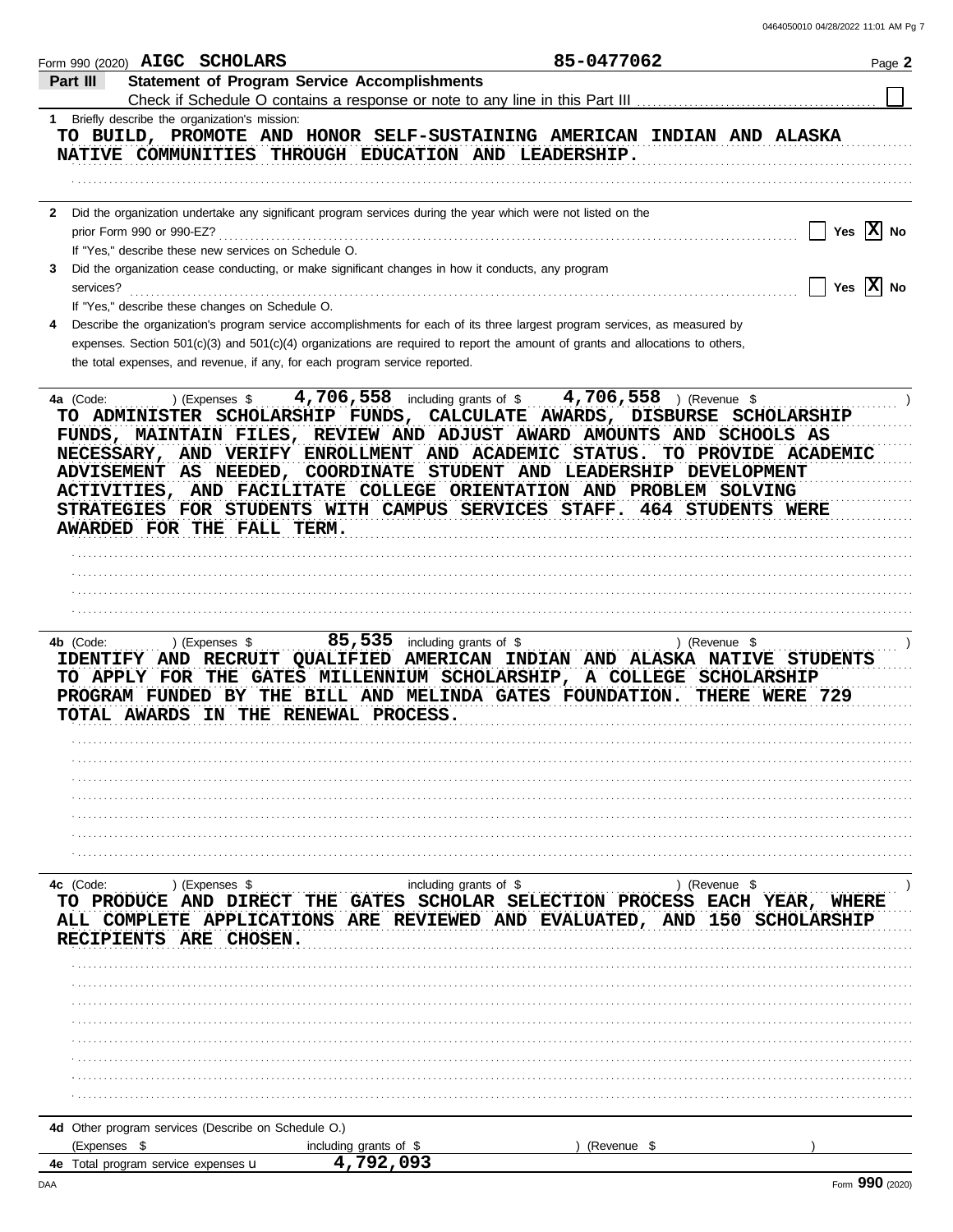|                                     |                           | Form 990 (2020) AIGC SCHOLARS                        | 85-0477062                                                                                                                                                                                                                                                                                                                                                                                                                                                                                                        | Page 2       |
|-------------------------------------|---------------------------|------------------------------------------------------|-------------------------------------------------------------------------------------------------------------------------------------------------------------------------------------------------------------------------------------------------------------------------------------------------------------------------------------------------------------------------------------------------------------------------------------------------------------------------------------------------------------------|--------------|
| Part III                            |                           |                                                      | <b>Statement of Program Service Accomplishments</b><br>Check if Schedule O contains a response or note to any line in this Part III                                                                                                                                                                                                                                                                                                                                                                               |              |
|                                     |                           | 1 Briefly describe the organization's mission:       | TO BUILD, PROMOTE AND HONOR SELF-SUSTAINING AMERICAN INDIAN AND ALASKA<br>NATIVE COMMUNITIES THROUGH EDUCATION AND LEADERSHIP.                                                                                                                                                                                                                                                                                                                                                                                    |              |
|                                     | prior Form 990 or 990-EZ? | If "Yes," describe these new services on Schedule O. | 2 Did the organization undertake any significant program services during the year which were not listed on the                                                                                                                                                                                                                                                                                                                                                                                                    | Yes $ X $ No |
| 3<br>services?                      |                           |                                                      | Did the organization cease conducting, or make significant changes in how it conducts, any program                                                                                                                                                                                                                                                                                                                                                                                                                | Yes $ X $ No |
|                                     |                           | If "Yes," describe these changes on Schedule O.      | Describe the organization's program service accomplishments for each of its three largest program services, as measured by<br>expenses. Section 501(c)(3) and 501(c)(4) organizations are required to report the amount of grants and allocations to others,<br>the total expenses, and revenue, if any, for each program service reported.                                                                                                                                                                       |              |
| 4a (Code:                           |                           | ) (Expenses \$<br>AWARDED FOR THE FALL TERM.         | 4,706,558 including grants of \$4,706,558 ) (Revenue \$<br>TO ADMINISTER SCHOLARSHIP FUNDS, CALCULATE AWARDS, DISBURSE SCHOLARSHIP<br>FUNDS, MAINTAIN FILES, REVIEW AND ADJUST AWARD AMOUNTS AND SCHOOLS AS<br>NECESSARY, AND VERIFY ENROLLMENT AND ACADEMIC STATUS.<br>TO PROVIDE ACADEMIC<br>ADVISEMENT AS NEEDED, COORDINATE STUDENT AND LEADERSHIP DEVELOPMENT<br>ACTIVITIES, AND FACILITATE COLLEGE ORIENTATION AND PROBLEM SOLVING<br>STRATEGIES FOR STUDENTS WITH CAMPUS SERVICES STAFF. 464 STUDENTS WERE |              |
| 4b (Code:                           | TOTAL AWARDS              | ) (Expenses \$                                       | $85,535$ including grants of \$<br>) (Revenue \$<br>IDENTIFY AND RECRUIT QUALIFIED AMERICAN INDIAN AND ALASKA NATIVE STUDENTS<br>TO APPLY FOR THE GATES MILLENNIUM SCHOLARSHIP, A COLLEGE SCHOLARSHIP<br>PROGRAM FUNDED BY THE BILL AND MELINDA GATES FOUNDATION. THERE WERE 729<br>IN THE RENEWAL PROCESS.                                                                                                                                                                                                       |              |
|                                     |                           |                                                      |                                                                                                                                                                                                                                                                                                                                                                                                                                                                                                                   |              |
| 4c (Code:                           |                           | ) (Expenses \$<br>RECIPIENTS ARE CHOSEN.             | including grants of \$<br>) (Revenue \$<br>TO PRODUCE AND DIRECT THE GATES SCHOLAR SELECTION PROCESS EACH YEAR, WHERE<br>ALL COMPLETE APPLICATIONS ARE REVIEWED AND EVALUATED, AND 150 SCHOLARSHIP                                                                                                                                                                                                                                                                                                                |              |
|                                     |                           |                                                      |                                                                                                                                                                                                                                                                                                                                                                                                                                                                                                                   |              |
|                                     |                           |                                                      |                                                                                                                                                                                                                                                                                                                                                                                                                                                                                                                   |              |
| (Expenses \$                        |                           | 4d Other program services (Describe on Schedule O.)  | including grants of \$<br>Revenue \$                                                                                                                                                                                                                                                                                                                                                                                                                                                                              |              |
| 4e Total program service expenses u |                           |                                                      | 4,792,093                                                                                                                                                                                                                                                                                                                                                                                                                                                                                                         |              |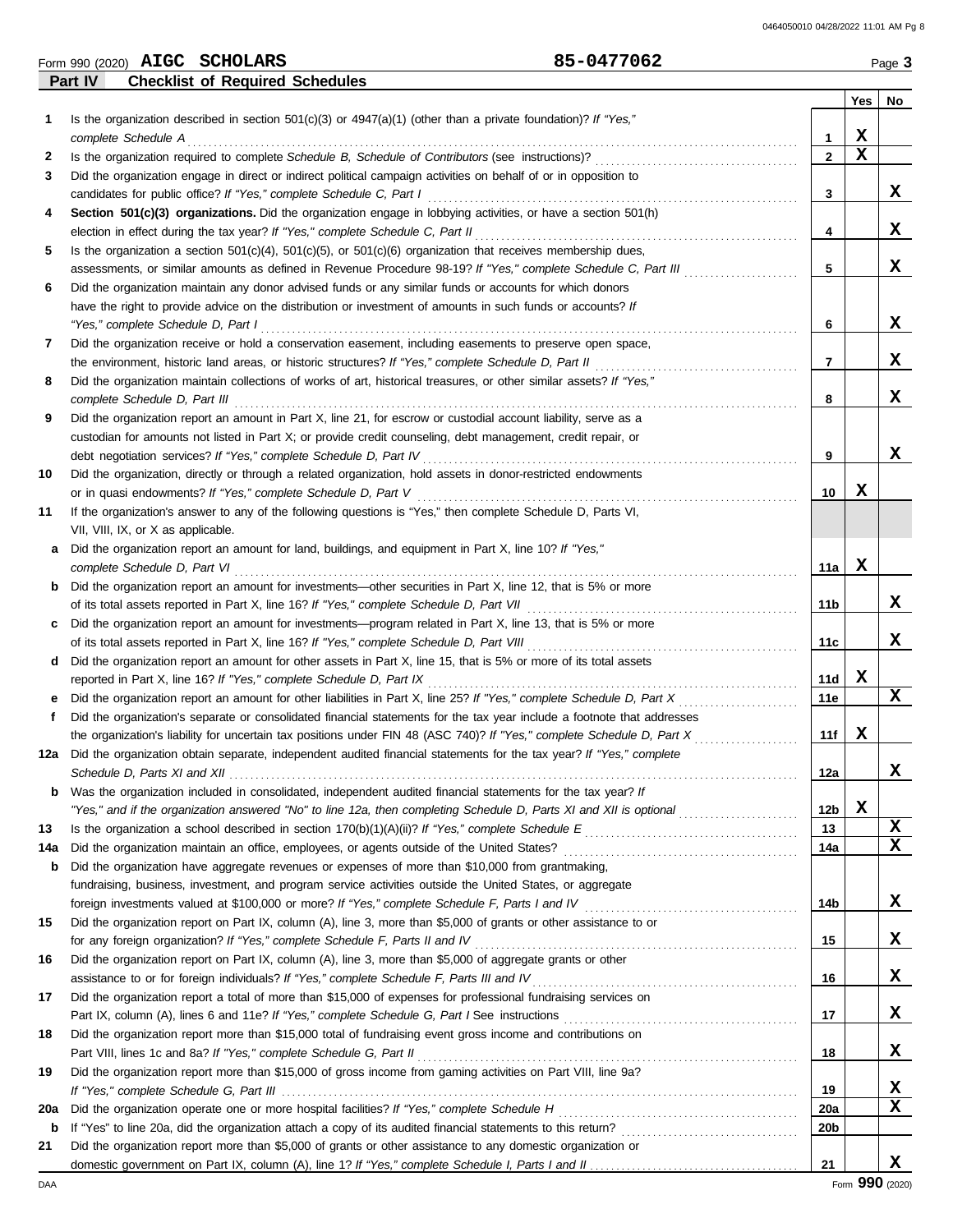| <b>SCHOLARS</b><br>Form 990 (2020) | <b>AIGC</b> | 0477062 | Page |
|------------------------------------|-------------|---------|------|
|------------------------------------|-------------|---------|------|

**Part IV Checklist of Required Schedules**

|         |                                                                                                                                                                                                                                                  |                 | Yes              | No     |
|---------|--------------------------------------------------------------------------------------------------------------------------------------------------------------------------------------------------------------------------------------------------|-----------------|------------------|--------|
| 1       | Is the organization described in section $501(c)(3)$ or $4947(a)(1)$ (other than a private foundation)? If "Yes,"                                                                                                                                |                 |                  |        |
|         | complete Schedule A                                                                                                                                                                                                                              | 1               | X<br>$\mathbf x$ |        |
| 2       |                                                                                                                                                                                                                                                  | $\mathbf{2}$    |                  |        |
| 3       | Did the organization engage in direct or indirect political campaign activities on behalf of or in opposition to<br>candidates for public office? If "Yes," complete Schedule C, Part I                                                          |                 |                  | X      |
| 4       | Section 501(c)(3) organizations. Did the organization engage in lobbying activities, or have a section 501(h)                                                                                                                                    | 3               |                  |        |
|         | election in effect during the tax year? If "Yes," complete Schedule C, Part II                                                                                                                                                                   | 4               |                  | x      |
| 5       | Is the organization a section $501(c)(4)$ , $501(c)(5)$ , or $501(c)(6)$ organization that receives membership dues,                                                                                                                             |                 |                  |        |
|         | assessments, or similar amounts as defined in Revenue Procedure 98-19? If "Yes," complete Schedule C, Part III                                                                                                                                   | 5               |                  | x      |
| 6       | Did the organization maintain any donor advised funds or any similar funds or accounts for which donors                                                                                                                                          |                 |                  |        |
|         | have the right to provide advice on the distribution or investment of amounts in such funds or accounts? If                                                                                                                                      |                 |                  |        |
|         | "Yes," complete Schedule D, Part I                                                                                                                                                                                                               | 6               |                  | x      |
| 7       | Did the organization receive or hold a conservation easement, including easements to preserve open space,                                                                                                                                        |                 |                  |        |
|         |                                                                                                                                                                                                                                                  | 7               |                  | x      |
| 8       | Did the organization maintain collections of works of art, historical treasures, or other similar assets? If "Yes,"                                                                                                                              |                 |                  |        |
|         | complete Schedule D, Part III                                                                                                                                                                                                                    | 8               |                  | x      |
| 9       | Did the organization report an amount in Part X, line 21, for escrow or custodial account liability, serve as a                                                                                                                                  |                 |                  |        |
|         | custodian for amounts not listed in Part X; or provide credit counseling, debt management, credit repair, or                                                                                                                                     |                 |                  |        |
|         | debt negotiation services? If "Yes," complete Schedule D, Part IV                                                                                                                                                                                | 9               |                  | x      |
| 10      | Did the organization, directly or through a related organization, hold assets in donor-restricted endowments                                                                                                                                     |                 |                  |        |
|         | or in quasi endowments? If "Yes," complete Schedule D, Part V                                                                                                                                                                                    | 10              | X                |        |
| 11      | If the organization's answer to any of the following questions is "Yes," then complete Schedule D, Parts VI,                                                                                                                                     |                 |                  |        |
|         | VII, VIII, IX, or X as applicable.                                                                                                                                                                                                               |                 |                  |        |
| a       | Did the organization report an amount for land, buildings, and equipment in Part X, line 10? If "Yes,"                                                                                                                                           |                 |                  |        |
|         | complete Schedule D, Part VI                                                                                                                                                                                                                     | 11a             | x                |        |
| b       | Did the organization report an amount for investments—other securities in Part X, line 12, that is 5% or more                                                                                                                                    |                 |                  |        |
|         |                                                                                                                                                                                                                                                  | 11b             |                  | x      |
| c       | Did the organization report an amount for investments—program related in Part X, line 13, that is 5% or more                                                                                                                                     |                 |                  |        |
|         | of its total assets reported in Part X, line 16? If "Yes," complete Schedule D, Part VIII                                                                                                                                                        | 11c             |                  | x      |
| d       | Did the organization report an amount for other assets in Part X, line 15, that is 5% or more of its total assets                                                                                                                                |                 | x                |        |
|         | reported in Part X, line 16? If "Yes," complete Schedule D, Part IX                                                                                                                                                                              | 11d<br>11e      |                  | x      |
| е<br>f. | Did the organization report an amount for other liabilities in Part X, line 25? If "Yes," complete Schedule D, Part X<br>Did the organization's separate or consolidated financial statements for the tax year include a footnote that addresses |                 |                  |        |
|         | the organization's liability for uncertain tax positions under FIN 48 (ASC 740)? If "Yes," complete Schedule D, Part X                                                                                                                           | 11f             | X                |        |
| 12a     | Did the organization obtain separate, independent audited financial statements for the tax year? If "Yes," complete                                                                                                                              |                 |                  |        |
|         |                                                                                                                                                                                                                                                  | 12a             |                  | x      |
|         | Was the organization included in consolidated, independent audited financial statements for the tax year? If                                                                                                                                     |                 |                  |        |
|         | "Yes," and if the organization answered "No" to line 12a, then completing Schedule D, Parts XI and XII is optional                                                                                                                               | 12b             | X                |        |
| 13      |                                                                                                                                                                                                                                                  | 13              |                  | X      |
| 14a     |                                                                                                                                                                                                                                                  | 14a             |                  | x      |
| b       | Did the organization have aggregate revenues or expenses of more than \$10,000 from grantmaking,                                                                                                                                                 |                 |                  |        |
|         | fundraising, business, investment, and program service activities outside the United States, or aggregate                                                                                                                                        |                 |                  |        |
|         | foreign investments valued at \$100,000 or more? If "Yes," complete Schedule F, Parts I and IV [[[[[[[[[[[[[[[[                                                                                                                                  | 14b             |                  | X      |
| 15      | Did the organization report on Part IX, column (A), line 3, more than \$5,000 of grants or other assistance to or                                                                                                                                |                 |                  |        |
|         |                                                                                                                                                                                                                                                  | 15              |                  | x      |
| 16      | Did the organization report on Part IX, column (A), line 3, more than \$5,000 of aggregate grants or other                                                                                                                                       |                 |                  |        |
|         |                                                                                                                                                                                                                                                  | 16              |                  | x      |
| 17      | Did the organization report a total of more than \$15,000 of expenses for professional fundraising services on                                                                                                                                   |                 |                  |        |
|         |                                                                                                                                                                                                                                                  | 17              |                  | x      |
| 18      | Did the organization report more than \$15,000 total of fundraising event gross income and contributions on                                                                                                                                      |                 |                  |        |
|         | Part VIII, lines 1c and 8a? If "Yes," complete Schedule G, Part II                                                                                                                                                                               | 18              |                  | x      |
| 19      | Did the organization report more than \$15,000 of gross income from gaming activities on Part VIII, line 9a?                                                                                                                                     |                 |                  |        |
|         |                                                                                                                                                                                                                                                  | 19              |                  | x<br>x |
| 20a     |                                                                                                                                                                                                                                                  | <b>20a</b>      |                  |        |
| b       |                                                                                                                                                                                                                                                  | 20 <sub>b</sub> |                  |        |
| 21      | Did the organization report more than \$5,000 of grants or other assistance to any domestic organization or                                                                                                                                      | 21              |                  | x      |
|         |                                                                                                                                                                                                                                                  |                 |                  |        |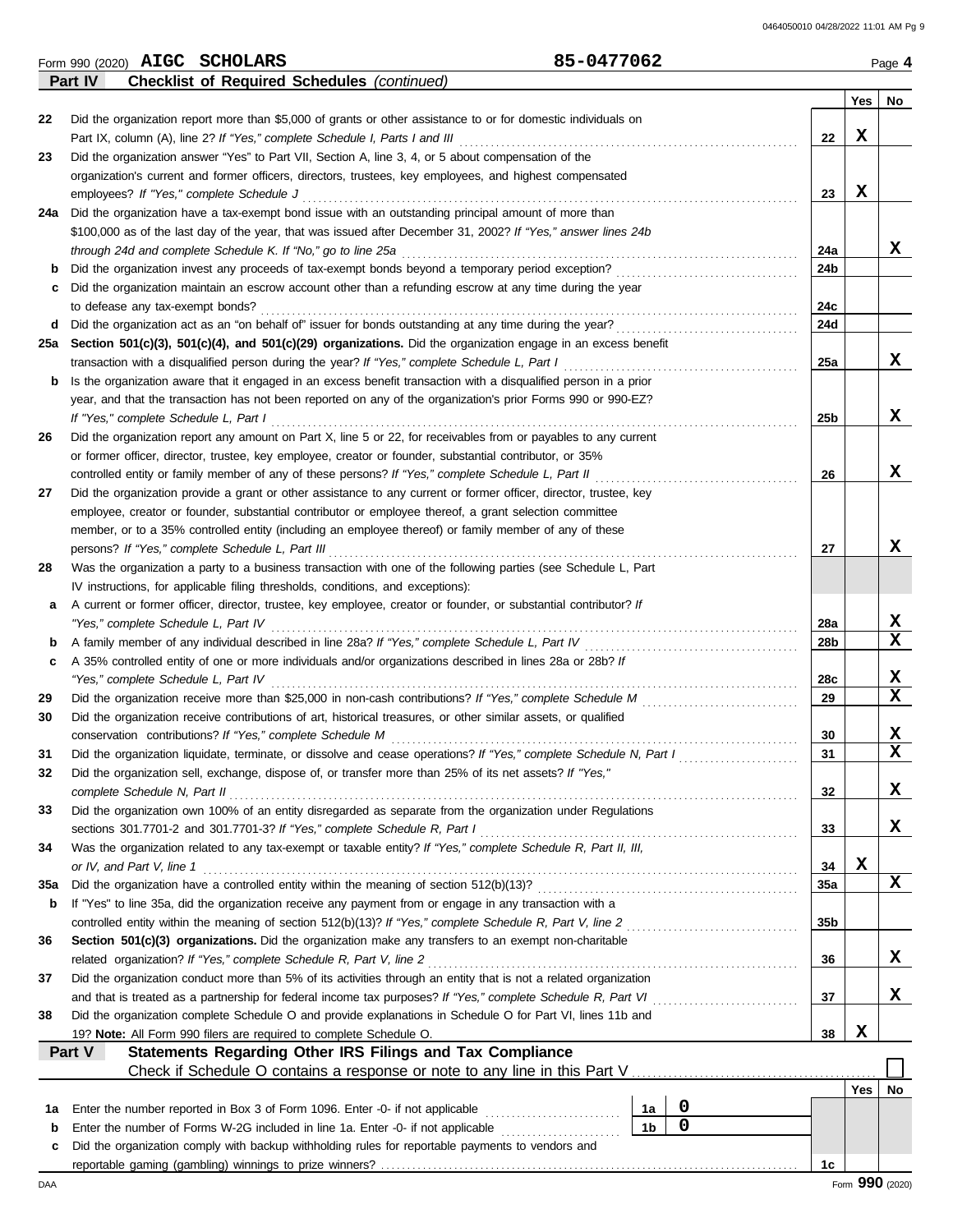| 22       | Part IV                                                                                                                                                                       |  |  | <b>Checklist of Required Schedules (continued)</b> |  |                                                                                                               |                |                  |                  |            |    |
|----------|-------------------------------------------------------------------------------------------------------------------------------------------------------------------------------|--|--|----------------------------------------------------|--|---------------------------------------------------------------------------------------------------------------|----------------|------------------|------------------|------------|----|
|          |                                                                                                                                                                               |  |  |                                                    |  |                                                                                                               |                |                  |                  |            |    |
|          |                                                                                                                                                                               |  |  |                                                    |  |                                                                                                               |                |                  |                  | Yes        | No |
|          |                                                                                                                                                                               |  |  |                                                    |  | Did the organization report more than \$5,000 of grants or other assistance to or for domestic individuals on |                |                  |                  |            |    |
|          |                                                                                                                                                                               |  |  |                                                    |  |                                                                                                               |                |                  | 22               | X          |    |
| 23       | Did the organization answer "Yes" to Part VII, Section A, line 3, 4, or 5 about compensation of the                                                                           |  |  |                                                    |  |                                                                                                               |                |                  |                  |            |    |
|          | organization's current and former officers, directors, trustees, key employees, and highest compensated                                                                       |  |  |                                                    |  |                                                                                                               |                |                  |                  | X          |    |
|          | employees? If "Yes," complete Schedule J                                                                                                                                      |  |  |                                                    |  |                                                                                                               |                |                  | 23               |            |    |
| 24a      | Did the organization have a tax-exempt bond issue with an outstanding principal amount of more than                                                                           |  |  |                                                    |  |                                                                                                               |                |                  |                  |            |    |
|          | \$100,000 as of the last day of the year, that was issued after December 31, 2002? If "Yes," answer lines 24b<br>through 24d and complete Schedule K. If "No," go to line 25a |  |  |                                                    |  |                                                                                                               |                |                  | 24a              |            | x  |
| b        | Did the organization invest any proceeds of tax-exempt bonds beyond a temporary period exception?                                                                             |  |  |                                                    |  |                                                                                                               |                |                  | 24b              |            |    |
| с        | Did the organization maintain an escrow account other than a refunding escrow at any time during the year                                                                     |  |  |                                                    |  |                                                                                                               |                |                  |                  |            |    |
|          | to defease any tax-exempt bonds?                                                                                                                                              |  |  |                                                    |  |                                                                                                               |                |                  | 24c              |            |    |
| d        |                                                                                                                                                                               |  |  |                                                    |  |                                                                                                               |                |                  | <b>24d</b>       |            |    |
| 25a      | Section 501(c)(3), 501(c)(4), and 501(c)(29) organizations. Did the organization engage in an excess benefit                                                                  |  |  |                                                    |  |                                                                                                               |                |                  |                  |            |    |
|          | transaction with a disqualified person during the year? If "Yes," complete Schedule L, Part I                                                                                 |  |  |                                                    |  |                                                                                                               |                |                  | 25a              |            | x  |
| b        | Is the organization aware that it engaged in an excess benefit transaction with a disqualified person in a prior                                                              |  |  |                                                    |  |                                                                                                               |                |                  |                  |            |    |
|          | year, and that the transaction has not been reported on any of the organization's prior Forms 990 or 990-EZ?                                                                  |  |  |                                                    |  |                                                                                                               |                |                  |                  |            |    |
|          | If "Yes," complete Schedule L, Part I                                                                                                                                         |  |  |                                                    |  |                                                                                                               |                |                  | 25b              |            | x  |
| 26       | Did the organization report any amount on Part X, line 5 or 22, for receivables from or payables to any current                                                               |  |  |                                                    |  |                                                                                                               |                |                  |                  |            |    |
|          | or former officer, director, trustee, key employee, creator or founder, substantial contributor, or 35%                                                                       |  |  |                                                    |  |                                                                                                               |                |                  |                  |            |    |
|          | controlled entity or family member of any of these persons? If "Yes," complete Schedule L, Part II                                                                            |  |  |                                                    |  |                                                                                                               |                |                  | 26               |            | x  |
| 27       | Did the organization provide a grant or other assistance to any current or former officer, director, trustee, key                                                             |  |  |                                                    |  |                                                                                                               |                |                  |                  |            |    |
|          | employee, creator or founder, substantial contributor or employee thereof, a grant selection committee                                                                        |  |  |                                                    |  |                                                                                                               |                |                  |                  |            |    |
|          | member, or to a 35% controlled entity (including an employee thereof) or family member of any of these                                                                        |  |  |                                                    |  |                                                                                                               |                |                  |                  |            |    |
|          | persons? If "Yes," complete Schedule L, Part III                                                                                                                              |  |  |                                                    |  |                                                                                                               |                |                  | 27               |            | x  |
| 28       | Was the organization a party to a business transaction with one of the following parties (see Schedule L, Part                                                                |  |  |                                                    |  |                                                                                                               |                |                  |                  |            |    |
|          | IV instructions, for applicable filing thresholds, conditions, and exceptions):                                                                                               |  |  |                                                    |  |                                                                                                               |                |                  |                  |            |    |
| а        | A current or former officer, director, trustee, key employee, creator or founder, or substantial contributor? If                                                              |  |  |                                                    |  |                                                                                                               |                |                  |                  |            |    |
|          | "Yes," complete Schedule L, Part IV                                                                                                                                           |  |  |                                                    |  |                                                                                                               |                |                  | 28a              |            | X  |
| b        |                                                                                                                                                                               |  |  |                                                    |  |                                                                                                               |                |                  | 28b              |            | x  |
| c        | A 35% controlled entity of one or more individuals and/or organizations described in lines 28a or 28b? If                                                                     |  |  |                                                    |  |                                                                                                               |                |                  |                  |            |    |
|          | "Yes," complete Schedule L, Part IV                                                                                                                                           |  |  |                                                    |  |                                                                                                               |                |                  | 28c              |            | X  |
| 29       |                                                                                                                                                                               |  |  |                                                    |  |                                                                                                               |                |                  | 29               |            | X  |
| 30       | Did the organization receive contributions of art, historical treasures, or other similar assets, or qualified                                                                |  |  |                                                    |  |                                                                                                               |                |                  |                  |            |    |
|          |                                                                                                                                                                               |  |  |                                                    |  |                                                                                                               |                |                  | 30               |            | X  |
| 31       | Did the organization liquidate, terminate, or dissolve and cease operations? If "Yes," complete Schedule N, Part I                                                            |  |  |                                                    |  |                                                                                                               |                |                  | 31               |            | X  |
| 32       | Did the organization sell, exchange, dispose of, or transfer more than 25% of its net assets? If "Yes,"                                                                       |  |  |                                                    |  |                                                                                                               |                |                  |                  |            |    |
|          | complete Schedule N, Part II                                                                                                                                                  |  |  |                                                    |  |                                                                                                               |                |                  | 32               |            | X  |
| 33       | Did the organization own 100% of an entity disregarded as separate from the organization under Regulations                                                                    |  |  |                                                    |  |                                                                                                               |                |                  |                  |            |    |
|          |                                                                                                                                                                               |  |  |                                                    |  |                                                                                                               |                |                  | 33               |            | X  |
| 34       | Was the organization related to any tax-exempt or taxable entity? If "Yes," complete Schedule R, Part II, III,                                                                |  |  |                                                    |  |                                                                                                               |                |                  |                  | X          |    |
|          | or IV, and Part V, line 1                                                                                                                                                     |  |  |                                                    |  |                                                                                                               |                |                  | 34<br><b>35a</b> |            | X  |
| 35a<br>b | If "Yes" to line 35a, did the organization receive any payment from or engage in any transaction with a                                                                       |  |  |                                                    |  |                                                                                                               |                |                  |                  |            |    |
|          | controlled entity within the meaning of section 512(b)(13)? If "Yes," complete Schedule R, Part V, line 2                                                                     |  |  |                                                    |  |                                                                                                               |                |                  | 35b              |            |    |
| 36       | Section 501(c)(3) organizations. Did the organization make any transfers to an exempt non-charitable                                                                          |  |  |                                                    |  |                                                                                                               |                |                  |                  |            |    |
|          | related organization? If "Yes," complete Schedule R, Part V, line 2                                                                                                           |  |  |                                                    |  |                                                                                                               |                |                  | 36               |            | X  |
| 37       | Did the organization conduct more than 5% of its activities through an entity that is not a related organization                                                              |  |  |                                                    |  |                                                                                                               |                |                  |                  |            |    |
|          |                                                                                                                                                                               |  |  |                                                    |  |                                                                                                               |                |                  | 37               |            | X  |
| 38       | Did the organization complete Schedule O and provide explanations in Schedule O for Part VI, lines 11b and                                                                    |  |  |                                                    |  |                                                                                                               |                |                  |                  |            |    |
|          | 19? Note: All Form 990 filers are required to complete Schedule O.                                                                                                            |  |  |                                                    |  |                                                                                                               |                |                  | 38               | X          |    |
|          | Part V                                                                                                                                                                        |  |  |                                                    |  | Statements Regarding Other IRS Filings and Tax Compliance                                                     |                |                  |                  |            |    |
|          |                                                                                                                                                                               |  |  |                                                    |  |                                                                                                               |                |                  |                  |            |    |
|          |                                                                                                                                                                               |  |  |                                                    |  |                                                                                                               |                |                  |                  | <b>Yes</b> | No |
| 1а       | Enter the number reported in Box 3 of Form 1096. Enter -0- if not applicable                                                                                                  |  |  |                                                    |  |                                                                                                               | 1a             | $\boldsymbol{0}$ |                  |            |    |
| b        | Enter the number of Forms W-2G included in line 1a. Enter -0- if not applicable                                                                                               |  |  |                                                    |  |                                                                                                               | 1 <sub>b</sub> | $\mathbf 0$      |                  |            |    |
| c        | Did the organization comply with backup withholding rules for reportable payments to vendors and                                                                              |  |  |                                                    |  |                                                                                                               |                |                  |                  |            |    |

reportable gaming (gambling) winnings to prize winners? . . . . . . . . . . . . . . . . . . . . . . . . . . . . . . . . . . . . . . . . . . . . . . . . . . . . . . . . . . . . . . . . . . . . . . . . . . . . . . . . **1c**

DAA Form **990** (2020)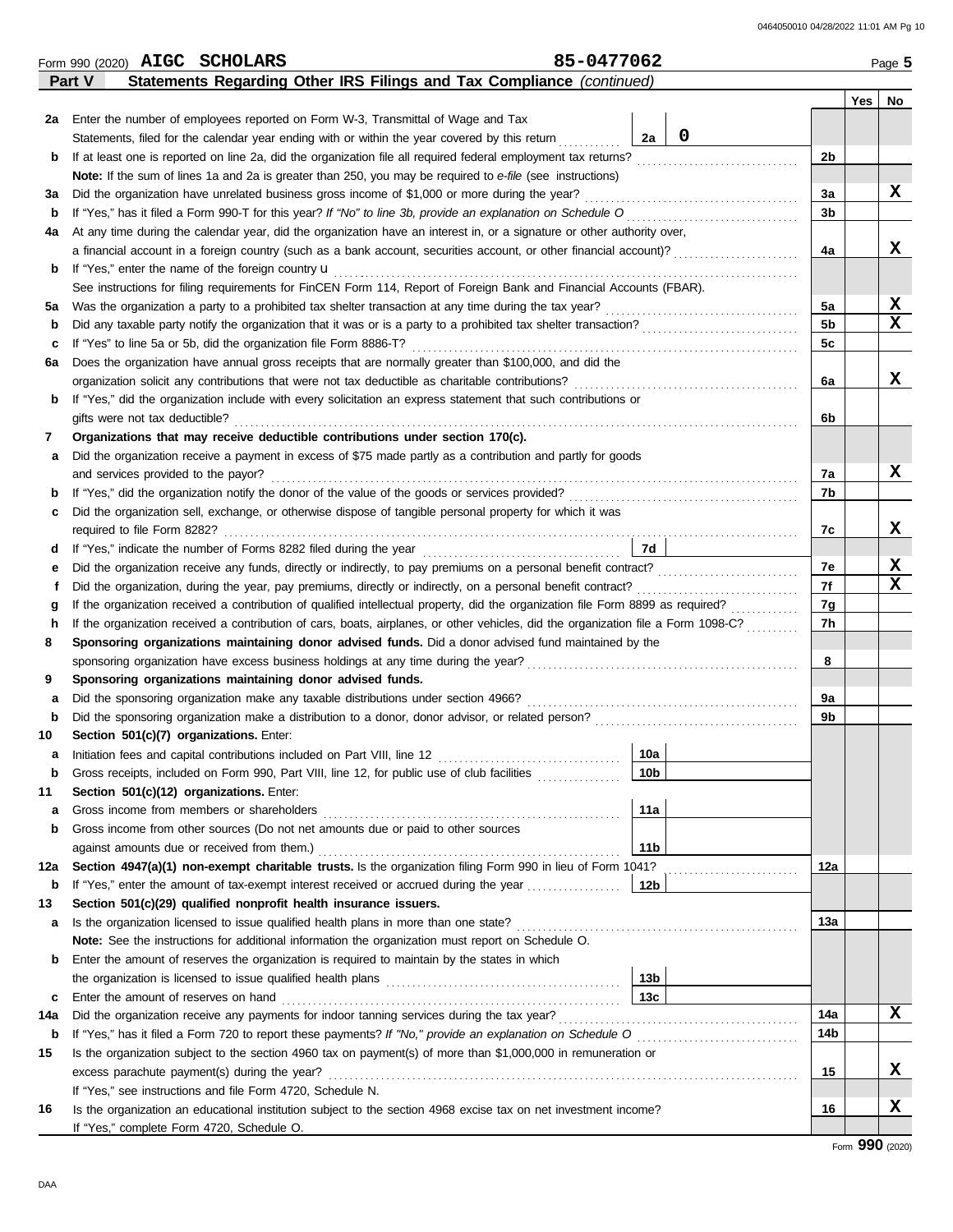|        | Form 990 (2020) AIGC SCHOLARS |                                                                                                                                    |  |  |  |  |  |  |  |  | 85-0477062 |  |  |  |  |  |  |  |  |  |  |  |                 | Page $5$    |  |  |                |            |  |    |
|--------|-------------------------------|------------------------------------------------------------------------------------------------------------------------------------|--|--|--|--|--|--|--|--|------------|--|--|--|--|--|--|--|--|--|--|--|-----------------|-------------|--|--|----------------|------------|--|----|
|        | Part V                        | Statements Regarding Other IRS Filings and Tax Compliance (continued)                                                              |  |  |  |  |  |  |  |  |            |  |  |  |  |  |  |  |  |  |  |  |                 |             |  |  |                |            |  |    |
|        |                               |                                                                                                                                    |  |  |  |  |  |  |  |  |            |  |  |  |  |  |  |  |  |  |  |  |                 |             |  |  |                | <b>Yes</b> |  | No |
| 2a     |                               | Enter the number of employees reported on Form W-3, Transmittal of Wage and Tax                                                    |  |  |  |  |  |  |  |  |            |  |  |  |  |  |  |  |  |  |  |  |                 |             |  |  |                |            |  |    |
|        |                               | Statements, filed for the calendar year ending with or within the year covered by this return                                      |  |  |  |  |  |  |  |  |            |  |  |  |  |  |  |  |  |  |  |  | 2a              | $\mathbf 0$ |  |  |                |            |  |    |
| b      |                               | If at least one is reported on line 2a, did the organization file all required federal employment tax returns?                     |  |  |  |  |  |  |  |  |            |  |  |  |  |  |  |  |  |  |  |  |                 |             |  |  | 2b             |            |  |    |
|        |                               | Note: If the sum of lines 1a and 2a is greater than 250, you may be required to e-file (see instructions)                          |  |  |  |  |  |  |  |  |            |  |  |  |  |  |  |  |  |  |  |  |                 |             |  |  |                |            |  |    |
| За     |                               | Did the organization have unrelated business gross income of \$1,000 or more during the year?                                      |  |  |  |  |  |  |  |  |            |  |  |  |  |  |  |  |  |  |  |  |                 |             |  |  | 3a             |            |  | x  |
| b      |                               |                                                                                                                                    |  |  |  |  |  |  |  |  |            |  |  |  |  |  |  |  |  |  |  |  |                 |             |  |  | 3b             |            |  |    |
| 4a     |                               | At any time during the calendar year, did the organization have an interest in, or a signature or other authority over,            |  |  |  |  |  |  |  |  |            |  |  |  |  |  |  |  |  |  |  |  |                 |             |  |  |                |            |  |    |
|        |                               | a financial account in a foreign country (such as a bank account, securities account, or other financial account)?                 |  |  |  |  |  |  |  |  |            |  |  |  |  |  |  |  |  |  |  |  |                 |             |  |  | 4a             |            |  | x  |
| b      |                               | If "Yes," enter the name of the foreign country <b>u</b>                                                                           |  |  |  |  |  |  |  |  |            |  |  |  |  |  |  |  |  |  |  |  |                 |             |  |  |                |            |  |    |
|        |                               | See instructions for filing requirements for FinCEN Form 114, Report of Foreign Bank and Financial Accounts (FBAR).                |  |  |  |  |  |  |  |  |            |  |  |  |  |  |  |  |  |  |  |  |                 |             |  |  |                |            |  |    |
| 5a     |                               |                                                                                                                                    |  |  |  |  |  |  |  |  |            |  |  |  |  |  |  |  |  |  |  |  |                 |             |  |  | 5a             |            |  | X  |
| b      |                               | Did any taxable party notify the organization that it was or is a party to a prohibited tax shelter transaction?                   |  |  |  |  |  |  |  |  |            |  |  |  |  |  |  |  |  |  |  |  |                 |             |  |  | 5 <sub>b</sub> |            |  | x  |
| c      |                               |                                                                                                                                    |  |  |  |  |  |  |  |  |            |  |  |  |  |  |  |  |  |  |  |  |                 |             |  |  | 5c             |            |  |    |
| 6а     |                               | Does the organization have annual gross receipts that are normally greater than \$100,000, and did the                             |  |  |  |  |  |  |  |  |            |  |  |  |  |  |  |  |  |  |  |  |                 |             |  |  |                |            |  |    |
|        |                               |                                                                                                                                    |  |  |  |  |  |  |  |  |            |  |  |  |  |  |  |  |  |  |  |  |                 |             |  |  | 6a             |            |  | x  |
| b      |                               | If "Yes," did the organization include with every solicitation an express statement that such contributions or                     |  |  |  |  |  |  |  |  |            |  |  |  |  |  |  |  |  |  |  |  |                 |             |  |  |                |            |  |    |
|        |                               | gifts were not tax deductible?                                                                                                     |  |  |  |  |  |  |  |  |            |  |  |  |  |  |  |  |  |  |  |  |                 |             |  |  | 6b             |            |  |    |
| 7      |                               | Organizations that may receive deductible contributions under section 170(c).                                                      |  |  |  |  |  |  |  |  |            |  |  |  |  |  |  |  |  |  |  |  |                 |             |  |  |                |            |  |    |
| а      |                               | Did the organization receive a payment in excess of \$75 made partly as a contribution and partly for goods                        |  |  |  |  |  |  |  |  |            |  |  |  |  |  |  |  |  |  |  |  |                 |             |  |  |                |            |  |    |
|        |                               | and services provided to the payor?                                                                                                |  |  |  |  |  |  |  |  |            |  |  |  |  |  |  |  |  |  |  |  |                 |             |  |  | 7a             |            |  | x  |
| b      |                               |                                                                                                                                    |  |  |  |  |  |  |  |  |            |  |  |  |  |  |  |  |  |  |  |  |                 |             |  |  | 7b             |            |  |    |
| c      |                               | Did the organization sell, exchange, or otherwise dispose of tangible personal property for which it was                           |  |  |  |  |  |  |  |  |            |  |  |  |  |  |  |  |  |  |  |  |                 |             |  |  |                |            |  | x  |
|        |                               |                                                                                                                                    |  |  |  |  |  |  |  |  |            |  |  |  |  |  |  |  |  |  |  |  |                 |             |  |  | 7c             |            |  |    |
| d      |                               |                                                                                                                                    |  |  |  |  |  |  |  |  |            |  |  |  |  |  |  |  |  |  |  |  | 7d              |             |  |  | 7e             |            |  | X  |
| е      |                               | Did the organization receive any funds, directly or indirectly, to pay premiums on a personal benefit contract?                    |  |  |  |  |  |  |  |  |            |  |  |  |  |  |  |  |  |  |  |  |                 |             |  |  | 7f             |            |  | x  |
| f      |                               | If the organization received a contribution of qualified intellectual property, did the organization file Form 8899 as required?   |  |  |  |  |  |  |  |  |            |  |  |  |  |  |  |  |  |  |  |  |                 |             |  |  |                |            |  |    |
| g<br>h |                               | If the organization received a contribution of cars, boats, airplanes, or other vehicles, did the organization file a Form 1098-C? |  |  |  |  |  |  |  |  |            |  |  |  |  |  |  |  |  |  |  |  |                 |             |  |  | 7g<br>7h       |            |  |    |
| 8      |                               | Sponsoring organizations maintaining donor advised funds. Did a donor advised fund maintained by the                               |  |  |  |  |  |  |  |  |            |  |  |  |  |  |  |  |  |  |  |  |                 |             |  |  |                |            |  |    |
|        |                               |                                                                                                                                    |  |  |  |  |  |  |  |  |            |  |  |  |  |  |  |  |  |  |  |  |                 |             |  |  | 8              |            |  |    |
| 9      |                               | Sponsoring organizations maintaining donor advised funds.                                                                          |  |  |  |  |  |  |  |  |            |  |  |  |  |  |  |  |  |  |  |  |                 |             |  |  |                |            |  |    |
| а      |                               | Did the sponsoring organization make any taxable distributions under section 4966?                                                 |  |  |  |  |  |  |  |  |            |  |  |  |  |  |  |  |  |  |  |  |                 |             |  |  | 9a             |            |  |    |
| b      |                               |                                                                                                                                    |  |  |  |  |  |  |  |  |            |  |  |  |  |  |  |  |  |  |  |  |                 |             |  |  | 9b             |            |  |    |
| 10     |                               | Section 501(c)(7) organizations. Enter:                                                                                            |  |  |  |  |  |  |  |  |            |  |  |  |  |  |  |  |  |  |  |  |                 |             |  |  |                |            |  |    |
|        |                               |                                                                                                                                    |  |  |  |  |  |  |  |  |            |  |  |  |  |  |  |  |  |  |  |  | 10a             |             |  |  |                |            |  |    |
| b      |                               | Gross receipts, included on Form 990, Part VIII, line 12, for public use of club facilities                                        |  |  |  |  |  |  |  |  |            |  |  |  |  |  |  |  |  |  |  |  | 10 <sub>b</sub> |             |  |  |                |            |  |    |
| 11     |                               | Section 501(c)(12) organizations. Enter:                                                                                           |  |  |  |  |  |  |  |  |            |  |  |  |  |  |  |  |  |  |  |  |                 |             |  |  |                |            |  |    |
| а      |                               | Gross income from members or shareholders                                                                                          |  |  |  |  |  |  |  |  |            |  |  |  |  |  |  |  |  |  |  |  | 11a             |             |  |  |                |            |  |    |
| b      |                               | Gross income from other sources (Do not net amounts due or paid to other sources                                                   |  |  |  |  |  |  |  |  |            |  |  |  |  |  |  |  |  |  |  |  |                 |             |  |  |                |            |  |    |
|        |                               | against amounts due or received from them.)                                                                                        |  |  |  |  |  |  |  |  |            |  |  |  |  |  |  |  |  |  |  |  | 11 <sub>b</sub> |             |  |  |                |            |  |    |
| 12a    |                               | Section 4947(a)(1) non-exempt charitable trusts. Is the organization filing Form 990 in lieu of Form 1041?                         |  |  |  |  |  |  |  |  |            |  |  |  |  |  |  |  |  |  |  |  |                 |             |  |  | 12a            |            |  |    |
| b      |                               | If "Yes," enter the amount of tax-exempt interest received or accrued during the year                                              |  |  |  |  |  |  |  |  |            |  |  |  |  |  |  |  |  |  |  |  | 12 <sub>b</sub> |             |  |  |                |            |  |    |
| 13     |                               | Section 501(c)(29) qualified nonprofit health insurance issuers.                                                                   |  |  |  |  |  |  |  |  |            |  |  |  |  |  |  |  |  |  |  |  |                 |             |  |  |                |            |  |    |
| а      |                               |                                                                                                                                    |  |  |  |  |  |  |  |  |            |  |  |  |  |  |  |  |  |  |  |  |                 |             |  |  | 13a            |            |  |    |
|        |                               | Note: See the instructions for additional information the organization must report on Schedule O.                                  |  |  |  |  |  |  |  |  |            |  |  |  |  |  |  |  |  |  |  |  |                 |             |  |  |                |            |  |    |
| b      |                               | Enter the amount of reserves the organization is required to maintain by the states in which                                       |  |  |  |  |  |  |  |  |            |  |  |  |  |  |  |  |  |  |  |  |                 |             |  |  |                |            |  |    |
|        |                               |                                                                                                                                    |  |  |  |  |  |  |  |  |            |  |  |  |  |  |  |  |  |  |  |  | 13 <sub>b</sub> |             |  |  |                |            |  |    |
| c      |                               | Enter the amount of reserves on hand                                                                                               |  |  |  |  |  |  |  |  |            |  |  |  |  |  |  |  |  |  |  |  | 13 <sub>c</sub> |             |  |  |                |            |  |    |
| 14a    |                               |                                                                                                                                    |  |  |  |  |  |  |  |  |            |  |  |  |  |  |  |  |  |  |  |  |                 |             |  |  | 14a            |            |  | x  |
| b      |                               | If "Yes," has it filed a Form 720 to report these payments? If "No," provide an explanation on Schedule O                          |  |  |  |  |  |  |  |  |            |  |  |  |  |  |  |  |  |  |  |  |                 |             |  |  | 14b            |            |  |    |
| 15     |                               | Is the organization subject to the section 4960 tax on payment(s) of more than \$1,000,000 in remuneration or                      |  |  |  |  |  |  |  |  |            |  |  |  |  |  |  |  |  |  |  |  |                 |             |  |  |                |            |  |    |
|        |                               | excess parachute payment(s) during the year?                                                                                       |  |  |  |  |  |  |  |  |            |  |  |  |  |  |  |  |  |  |  |  |                 |             |  |  | 15             |            |  | x  |
|        |                               | If "Yes," see instructions and file Form 4720, Schedule N.                                                                         |  |  |  |  |  |  |  |  |            |  |  |  |  |  |  |  |  |  |  |  |                 |             |  |  |                |            |  |    |
| 16     |                               | Is the organization an educational institution subject to the section 4968 excise tax on net investment income?                    |  |  |  |  |  |  |  |  |            |  |  |  |  |  |  |  |  |  |  |  |                 |             |  |  | 16             |            |  | X  |
|        |                               | If "Yes," complete Form 4720, Schedule O.                                                                                          |  |  |  |  |  |  |  |  |            |  |  |  |  |  |  |  |  |  |  |  |                 |             |  |  |                |            |  |    |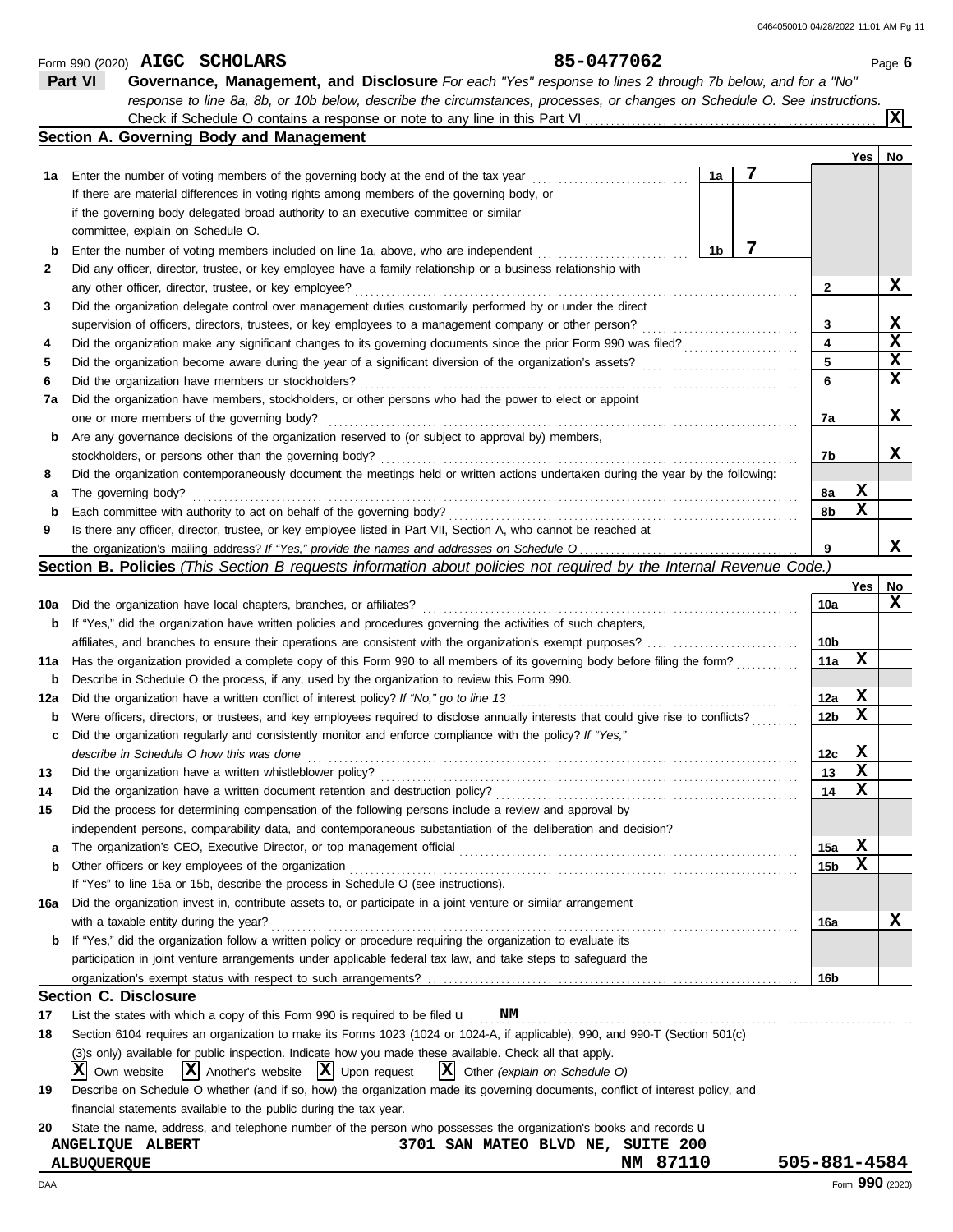|     | Form 990 (2020) AIGC SCHOLARS                                                                                                                                                                                                  | 85-0477062                        |              |                 |     | Page 6          |
|-----|--------------------------------------------------------------------------------------------------------------------------------------------------------------------------------------------------------------------------------|-----------------------------------|--------------|-----------------|-----|-----------------|
|     | Part VI<br>Governance, Management, and Disclosure For each "Yes" response to lines 2 through 7b below, and for a "No"                                                                                                          |                                   |              |                 |     |                 |
|     | response to line 8a, 8b, or 10b below, describe the circumstances, processes, or changes on Schedule O. See instructions.                                                                                                      |                                   |              |                 |     |                 |
|     |                                                                                                                                                                                                                                |                                   |              |                 |     | lxl             |
|     | Section A. Governing Body and Management                                                                                                                                                                                       |                                   |              |                 |     |                 |
|     |                                                                                                                                                                                                                                |                                   |              |                 | Yes | No              |
| 1а  | Enter the number of voting members of the governing body at the end of the tax year                                                                                                                                            | 1a                                | 7            |                 |     |                 |
|     | If there are material differences in voting rights among members of the governing body, or                                                                                                                                     |                                   |              |                 |     |                 |
|     | if the governing body delegated broad authority to an executive committee or similar                                                                                                                                           |                                   |              |                 |     |                 |
|     | committee, explain on Schedule O.                                                                                                                                                                                              |                                   |              |                 |     |                 |
| b   | Enter the number of voting members included on line 1a, above, who are independent                                                                                                                                             | 1b                                | 7            |                 |     |                 |
| 2   | Did any officer, director, trustee, or key employee have a family relationship or a business relationship with                                                                                                                 |                                   |              |                 |     |                 |
|     | any other officer, director, trustee, or key employee?                                                                                                                                                                         |                                   |              | 2               |     | X               |
| 3   | Did the organization delegate control over management duties customarily performed by or under the direct                                                                                                                      |                                   |              |                 |     |                 |
|     |                                                                                                                                                                                                                                |                                   |              | 3               |     | x               |
|     | supervision of officers, directors, trustees, or key employees to a management company or other person?                                                                                                                        |                                   |              | 4               |     | X               |
| 4   | Did the organization make any significant changes to its governing documents since the prior Form 990 was filed?                                                                                                               |                                   |              |                 |     | x               |
| 5   |                                                                                                                                                                                                                                |                                   |              | 5               |     | X               |
| 6   | Did the organization have members or stockholders?                                                                                                                                                                             |                                   |              | 6               |     |                 |
| 7a  | Did the organization have members, stockholders, or other persons who had the power to elect or appoint                                                                                                                        |                                   |              |                 |     |                 |
|     | one or more members of the governing body?                                                                                                                                                                                     |                                   |              | 7a              |     | x               |
| b   | Are any governance decisions of the organization reserved to (or subject to approval by) members,                                                                                                                              |                                   |              |                 |     |                 |
|     |                                                                                                                                                                                                                                |                                   |              | 7b              |     | x               |
| 8   | Did the organization contemporaneously document the meetings held or written actions undertaken during the year by the following:                                                                                              |                                   |              |                 |     |                 |
| а   | The governing body?                                                                                                                                                                                                            |                                   |              | 8а              | X   |                 |
| b   |                                                                                                                                                                                                                                |                                   |              | 8b              | x   |                 |
| 9   | Is there any officer, director, trustee, or key employee listed in Part VII, Section A, who cannot be reached at                                                                                                               |                                   |              |                 |     |                 |
|     | the organization's mailing address? If "Yes," provide the names and addresses on Schedule O                                                                                                                                    |                                   |              |                 |     | x               |
|     | <b>Section B. Policies</b> (This Section B requests information about policies not required by the Internal Revenue Code.)                                                                                                     |                                   |              |                 |     |                 |
|     |                                                                                                                                                                                                                                |                                   |              |                 | Yes | No              |
| 10a | Did the organization have local chapters, branches, or affiliates?                                                                                                                                                             |                                   |              | 10a             |     | x               |
| b   | If "Yes," did the organization have written policies and procedures governing the activities of such chapters,                                                                                                                 |                                   |              |                 |     |                 |
|     |                                                                                                                                                                                                                                |                                   |              | 10b             |     |                 |
| 11a | Has the organization provided a complete copy of this Form 990 to all members of its governing body before filing the form?                                                                                                    |                                   |              | 11a             | x   |                 |
| b   | Describe in Schedule O the process, if any, used by the organization to review this Form 990.                                                                                                                                  |                                   |              |                 |     |                 |
| 12a | Did the organization have a written conflict of interest policy? If "No," go to line 13                                                                                                                                        |                                   |              | 12a             | X   |                 |
| b   | Were officers, directors, or trustees, and key employees required to disclose annually interests that could give rise to conflicts?                                                                                            |                                   |              | 12 <sub>b</sub> | X   |                 |
| c   | Did the organization regularly and consistently monitor and enforce compliance with the policy? If "Yes,"                                                                                                                      |                                   |              |                 |     |                 |
|     | describe in Schedule O how this was done                                                                                                                                                                                       |                                   |              | 12c             | X   |                 |
| 13  | Did the organization have a written whistleblower policy?                                                                                                                                                                      |                                   |              | 13              | X   |                 |
|     | Did the organization have a written document retention and destruction policy?                                                                                                                                                 |                                   |              |                 | x   |                 |
| 14  | Did the process for determining compensation of the following persons include a review and approval by                                                                                                                         |                                   |              | 14              |     |                 |
| 15  |                                                                                                                                                                                                                                |                                   |              |                 |     |                 |
|     | independent persons, comparability data, and contemporaneous substantiation of the deliberation and decision?                                                                                                                  |                                   |              |                 |     |                 |
| a   | The organization's CEO, Executive Director, or top management official [10] content content content content content of ficial content content content content content content content of the content of the content of the con |                                   |              | 15a             | X   |                 |
| b   | Other officers or key employees of the organization                                                                                                                                                                            |                                   |              | 15 <sub>b</sub> | X   |                 |
|     | If "Yes" to line 15a or 15b, describe the process in Schedule O (see instructions).                                                                                                                                            |                                   |              |                 |     |                 |
| 16a | Did the organization invest in, contribute assets to, or participate in a joint venture or similar arrangement                                                                                                                 |                                   |              |                 |     |                 |
|     | with a taxable entity during the year?                                                                                                                                                                                         |                                   |              | 16a             |     | X               |
| b   | If "Yes," did the organization follow a written policy or procedure requiring the organization to evaluate its                                                                                                                 |                                   |              |                 |     |                 |
|     | participation in joint venture arrangements under applicable federal tax law, and take steps to safeguard the                                                                                                                  |                                   |              |                 |     |                 |
|     |                                                                                                                                                                                                                                |                                   |              | 16b             |     |                 |
|     | <b>Section C. Disclosure</b>                                                                                                                                                                                                   |                                   |              |                 |     |                 |
| 17  | List the states with which a copy of this Form 990 is required to be filed $\mathbf u$<br>NM                                                                                                                                   |                                   |              |                 |     |                 |
| 18  | Section 6104 requires an organization to make its Forms 1023 (1024 or 1024-A, if applicable), 990, and 990-T (Section 501(c)                                                                                                   |                                   |              |                 |     |                 |
|     | (3)s only) available for public inspection. Indicate how you made these available. Check all that apply.                                                                                                                       |                                   |              |                 |     |                 |
|     | $ \mathbf{X} $ Another's website $ \mathbf{X} $ Upon request<br>$ X $ Other (explain on Schedule O)<br>ΙXΙ<br>Own website                                                                                                      |                                   |              |                 |     |                 |
| 19  | Describe on Schedule O whether (and if so, how) the organization made its governing documents, conflict of interest policy, and                                                                                                |                                   |              |                 |     |                 |
|     | financial statements available to the public during the tax year.                                                                                                                                                              |                                   |              |                 |     |                 |
| 20  | State the name, address, and telephone number of the person who possesses the organization's books and records u                                                                                                               |                                   |              |                 |     |                 |
|     | ANGELIQUE ALBERT                                                                                                                                                                                                               | 3701 SAN MATEO BLVD NE, SUITE 200 |              |                 |     |                 |
|     | ALBUQUERQUE                                                                                                                                                                                                                    | NM 87110                          | 505-881-4584 |                 |     |                 |
|     |                                                                                                                                                                                                                                |                                   |              |                 |     | Form 990 (2020) |
| DAA |                                                                                                                                                                                                                                |                                   |              |                 |     |                 |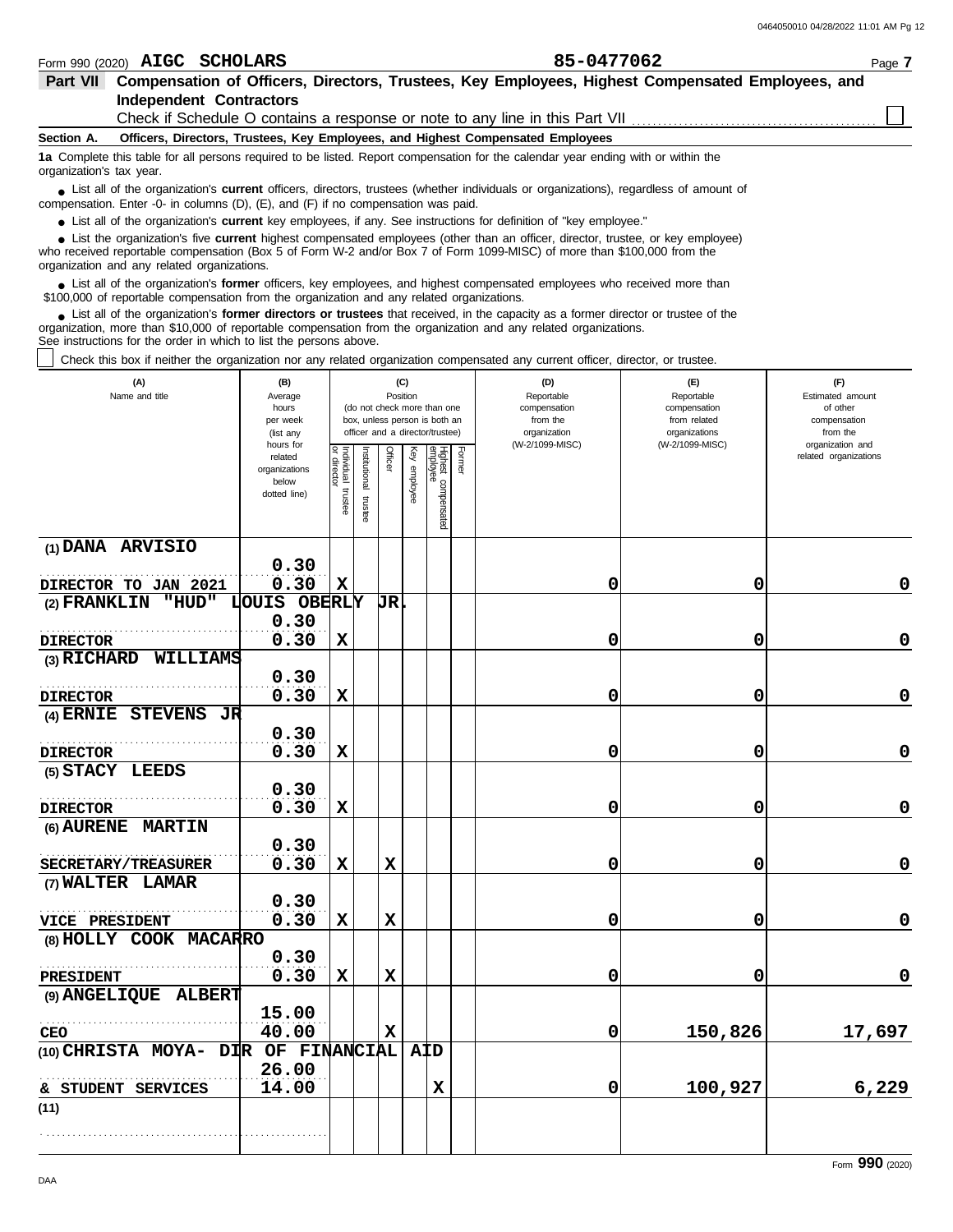| Form 990 (2020)          |                                             | AIGC SCHOLARS                                                      |                                                                                           | 85-0477062                                                                                                                                                                                                                                                       |               | Page 7           |
|--------------------------|---------------------------------------------|--------------------------------------------------------------------|-------------------------------------------------------------------------------------------|------------------------------------------------------------------------------------------------------------------------------------------------------------------------------------------------------------------------------------------------------------------|---------------|------------------|
| <b>Part VII</b>          |                                             |                                                                    |                                                                                           | Compensation of Officers, Directors, Trustees, Key Employees, Highest Compensated Employees, and                                                                                                                                                                 |               |                  |
|                          |                                             | <b>Independent Contractors</b>                                     |                                                                                           |                                                                                                                                                                                                                                                                  |               |                  |
|                          |                                             |                                                                    |                                                                                           | Check if Schedule O contains a response or note to any line in this Part VII                                                                                                                                                                                     |               |                  |
| Section A.               |                                             |                                                                    | Officers, Directors, Trustees, Key Employees, and Highest Compensated Employees           |                                                                                                                                                                                                                                                                  |               |                  |
| organization's tax year. |                                             |                                                                    |                                                                                           | 1a Complete this table for all persons required to be listed. Report compensation for the calendar year ending with or within the                                                                                                                                |               |                  |
|                          |                                             |                                                                    | compensation. Enter -0- in columns (D), (E), and (F) if no compensation was paid.         | • List all of the organization's <b>current</b> officers, directors, trustees (whether individuals or organizations), regardless of amount of                                                                                                                    |               |                  |
|                          |                                             |                                                                    |                                                                                           | • List all of the organization's <b>current</b> key employees, if any. See instructions for definition of "key employee."                                                                                                                                        |               |                  |
|                          | organization and any related organizations. |                                                                    |                                                                                           | List the organization's five <b>current</b> highest compensated employees (other than an officer, director, trustee, or key employee)<br>who received reportable compensation (Box 5 of Form W-2 and/or Box 7 of Form 1099-MISC) of more than \$100,000 from the |               |                  |
|                          |                                             |                                                                    | \$100,000 of reportable compensation from the organization and any related organizations. | • List all of the organization's former officers, key employees, and highest compensated employees who received more than                                                                                                                                        |               |                  |
|                          |                                             | See instructions for the order in which to list the persons above. |                                                                                           | List all of the organization's <b>former directors or trustees</b> that received, in the capacity as a former director or trustee of the<br>organization, more than \$10,000 of reportable compensation from the organization and any related organizations.     |               |                  |
|                          |                                             |                                                                    |                                                                                           | Check this box if neither the organization nor any related organization compensated any current officer, director, or trustee.                                                                                                                                   |               |                  |
|                          | (A)                                         | (B)                                                                | (C)                                                                                       | (D)                                                                                                                                                                                                                                                              | (E)           | (F)              |
|                          | Name and title                              | Average                                                            | Position                                                                                  | Reportable                                                                                                                                                                                                                                                       | Reportable    | Estimated amount |
|                          |                                             | hours                                                              | (do not check more than one                                                               | compensation                                                                                                                                                                                                                                                     | compensation  | of other         |
|                          |                                             | per week                                                           | box, unless person is both an                                                             | from the                                                                                                                                                                                                                                                         | from related  | compensation     |
|                          |                                             | (list any                                                          | officer and a director/trustee)                                                           | organization                                                                                                                                                                                                                                                     | organizations | from the         |

|                                     | per week<br>(list any                                          |                                      |                      |             | box, unless person is both an<br>officer and a director/trustee) |                                 |        | from the<br>organization | from related<br>organizations | compensation<br>from the                  |
|-------------------------------------|----------------------------------------------------------------|--------------------------------------|----------------------|-------------|------------------------------------------------------------------|---------------------------------|--------|--------------------------|-------------------------------|-------------------------------------------|
|                                     | hours for<br>related<br>organizations<br>below<br>dotted line) | Individual<br>or director<br>trustee | nstitutional trustee | Officer     | Key employee                                                     | Highest compensated<br>employee | Former | (W-2/1099-MISC)          | (W-2/1099-MISC)               | organization and<br>related organizations |
| (1) DANA ARVISIO                    |                                                                |                                      |                      |             |                                                                  |                                 |        |                          |                               |                                           |
| DIRECTOR TO JAN 2021                | 0.30<br>0.30                                                   | $\mathbf x$                          |                      |             |                                                                  |                                 |        | 0                        | 0                             | 0                                         |
| (2) FRANKLIN<br>"HUD"               | LOUIS OBERLY                                                   |                                      |                      | <b>JR</b>   |                                                                  |                                 |        |                          |                               |                                           |
|                                     | 0.30                                                           |                                      |                      |             |                                                                  |                                 |        |                          |                               |                                           |
| <b>DIRECTOR</b>                     | 0.30                                                           | $\mathbf x$                          |                      |             |                                                                  |                                 |        | 0                        | 0                             | $\pmb{0}$                                 |
| (3) RICHARD WILLIAMS                |                                                                |                                      |                      |             |                                                                  |                                 |        |                          |                               |                                           |
|                                     | 0.30                                                           |                                      |                      |             |                                                                  |                                 |        |                          |                               |                                           |
| <b>DIRECTOR</b>                     | 0.30                                                           | X                                    |                      |             |                                                                  |                                 |        | 0                        | 0                             | $\pmb{0}$                                 |
| (4) ERNIE STEVENS<br>JR             |                                                                |                                      |                      |             |                                                                  |                                 |        |                          |                               |                                           |
|                                     | 0.30                                                           |                                      |                      |             |                                                                  |                                 |        |                          |                               |                                           |
| <b>DIRECTOR</b>                     | 0.30                                                           | $\mathbf x$                          |                      |             |                                                                  |                                 |        | 0                        | 0                             | $\mathbf 0$                               |
| (5) STACY LEEDS                     | 0.30                                                           |                                      |                      |             |                                                                  |                                 |        |                          |                               |                                           |
| <b>DIRECTOR</b>                     | 0.30                                                           | $\mathbf x$                          |                      |             |                                                                  |                                 |        | 0                        | 0                             | $\pmb{0}$                                 |
| (6) AURENE MARTIN                   |                                                                |                                      |                      |             |                                                                  |                                 |        |                          |                               |                                           |
|                                     | 0.30                                                           |                                      |                      |             |                                                                  |                                 |        |                          |                               |                                           |
| <b>SECRETARY/TREASURER</b>          | 0.30                                                           | $\mathbf x$                          |                      | $\mathbf x$ |                                                                  |                                 |        | 0                        | 0                             | $\pmb{0}$                                 |
| (7) WALTER LAMAR                    |                                                                |                                      |                      |             |                                                                  |                                 |        |                          |                               |                                           |
|                                     | 0.30                                                           |                                      |                      |             |                                                                  |                                 |        |                          |                               |                                           |
| VICE PRESIDENT                      | 0.30                                                           | $\mathbf x$                          |                      | $\mathbf x$ |                                                                  |                                 |        | 0                        | 0                             | $\mathbf 0$                               |
| (8) HOLLY COOK MACARRO              |                                                                |                                      |                      |             |                                                                  |                                 |        |                          |                               |                                           |
|                                     | 0.30                                                           |                                      |                      |             |                                                                  |                                 |        |                          |                               |                                           |
| PRESIDENT                           | 0.30                                                           | $\mathbf x$                          |                      | $\mathbf x$ |                                                                  |                                 |        | 0                        | 0                             | $\mathbf 0$                               |
| (9) ANGELIQUE ALBERT                |                                                                |                                      |                      |             |                                                                  |                                 |        |                          |                               |                                           |
| <b>CEO</b>                          | 15.00<br>40.00                                                 |                                      |                      | $\mathbf x$ |                                                                  |                                 |        | 0                        | 150,826                       | 17,697                                    |
| (10) CHRISTA MOYA- DIR OF FINANCIAL |                                                                |                                      |                      |             | $A\overline{D}$                                                  |                                 |        |                          |                               |                                           |
|                                     | 26.00                                                          |                                      |                      |             |                                                                  |                                 |        |                          |                               |                                           |
| & STUDENT SERVICES                  | 14.00                                                          |                                      |                      |             |                                                                  | $\mathbf x$                     |        | 0                        | 100,927                       | 6,229                                     |
| (11)                                |                                                                |                                      |                      |             |                                                                  |                                 |        |                          |                               |                                           |
|                                     |                                                                |                                      |                      |             |                                                                  |                                 |        |                          |                               |                                           |
|                                     |                                                                |                                      |                      |             |                                                                  |                                 |        |                          |                               |                                           |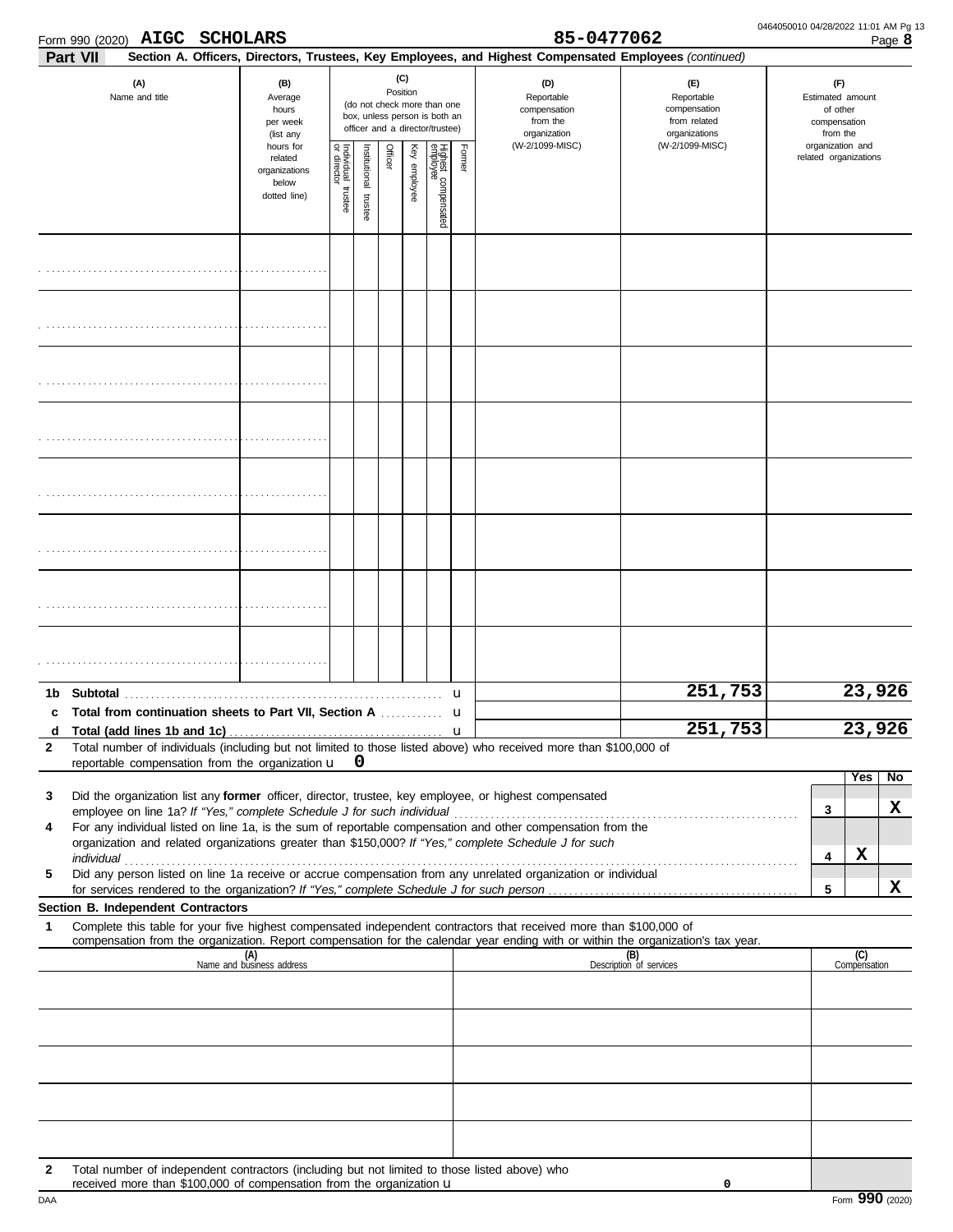| Form 990 (2020) $\,$ $\rm AIGC$ |  | <b>SCHOLARS</b> |
|---------------------------------|--|-----------------|
|---------------------------------|--|-----------------|

|                   | Form 990 (2020) AIGC SCHOLARS                                                                                                                                                                                                                          |                                                                |                                   |                         |         |                 |                                                                                                 |             | 85-0477062                                                                                             |                                                                    | 0464050010 04/28/2022 11:01 AM Pg 13 |                                                                 |                       | Page 8  |
|-------------------|--------------------------------------------------------------------------------------------------------------------------------------------------------------------------------------------------------------------------------------------------------|----------------------------------------------------------------|-----------------------------------|-------------------------|---------|-----------------|-------------------------------------------------------------------------------------------------|-------------|--------------------------------------------------------------------------------------------------------|--------------------------------------------------------------------|--------------------------------------|-----------------------------------------------------------------|-----------------------|---------|
| Part VII          |                                                                                                                                                                                                                                                        |                                                                |                                   |                         |         |                 |                                                                                                 |             | Section A. Officers, Directors, Trustees, Key Employees, and Highest Compensated Employees (continued) |                                                                    |                                      |                                                                 |                       |         |
|                   | (A)<br>Name and title                                                                                                                                                                                                                                  | (B)<br>Average<br>hours<br>per week<br>(list any               |                                   |                         |         | (C)<br>Position | (do not check more than one<br>box, unless person is both an<br>officer and a director/trustee) |             | (D)<br>Reportable<br>compensation<br>from the<br>organization                                          | (E)<br>Reportable<br>compensation<br>from related<br>organizations |                                      | (F)<br>Estimated amount<br>of other<br>compensation<br>from the |                       |         |
|                   |                                                                                                                                                                                                                                                        | hours for<br>related<br>organizations<br>below<br>dotted line) | Individual trustee<br>or director | nstitutional<br>trustee | Officer | Ķey<br>employee | Highest compensated<br>employee                                                                 | Former      | (W-2/1099-MISC)                                                                                        | (W-2/1099-MISC)                                                    |                                      | organization and                                                | related organizations |         |
|                   |                                                                                                                                                                                                                                                        |                                                                |                                   |                         |         |                 |                                                                                                 |             |                                                                                                        |                                                                    |                                      |                                                                 |                       |         |
|                   |                                                                                                                                                                                                                                                        |                                                                |                                   |                         |         |                 |                                                                                                 |             |                                                                                                        |                                                                    |                                      |                                                                 |                       |         |
|                   |                                                                                                                                                                                                                                                        |                                                                |                                   |                         |         |                 |                                                                                                 |             |                                                                                                        |                                                                    |                                      |                                                                 |                       |         |
|                   |                                                                                                                                                                                                                                                        |                                                                |                                   |                         |         |                 |                                                                                                 |             |                                                                                                        |                                                                    |                                      |                                                                 |                       |         |
|                   |                                                                                                                                                                                                                                                        |                                                                |                                   |                         |         |                 |                                                                                                 |             |                                                                                                        |                                                                    |                                      |                                                                 |                       |         |
|                   |                                                                                                                                                                                                                                                        |                                                                |                                   |                         |         |                 |                                                                                                 |             |                                                                                                        |                                                                    |                                      |                                                                 |                       |         |
|                   |                                                                                                                                                                                                                                                        |                                                                |                                   |                         |         |                 |                                                                                                 |             |                                                                                                        |                                                                    |                                      |                                                                 |                       |         |
|                   |                                                                                                                                                                                                                                                        |                                                                |                                   |                         |         |                 |                                                                                                 |             |                                                                                                        |                                                                    |                                      |                                                                 |                       |         |
| 1b<br>c           | Total from continuation sheets to Part VII, Section A                                                                                                                                                                                                  |                                                                |                                   |                         |         |                 |                                                                                                 | u<br>u      |                                                                                                        | 251,753                                                            |                                      |                                                                 | 23,926                |         |
| d<br>$\mathbf{2}$ | Total number of individuals (including but not limited to those listed above) who received more than \$100,000 of<br>reportable compensation from the organization u                                                                                   |                                                                |                                   | <b>U</b>                |         |                 |                                                                                                 | $\mathbf u$ |                                                                                                        | 251,753                                                            |                                      |                                                                 | 23,926                |         |
| 3                 | Did the organization list any former officer, director, trustee, key employee, or highest compensated                                                                                                                                                  |                                                                |                                   |                         |         |                 |                                                                                                 |             |                                                                                                        |                                                                    |                                      | 3                                                               | Yes                   | No<br>X |
| 4                 | For any individual listed on line 1a, is the sum of reportable compensation and other compensation from the<br>organization and related organizations greater than \$150,000? If "Yes," complete Schedule J for such                                   |                                                                |                                   |                         |         |                 |                                                                                                 |             |                                                                                                        |                                                                    |                                      | 4                                                               | X                     |         |
| 5                 | individual<br>Did any person listed on line 1a receive or accrue compensation from any unrelated organization or individual                                                                                                                            |                                                                |                                   |                         |         |                 |                                                                                                 |             |                                                                                                        |                                                                    |                                      | 5                                                               |                       | X       |
|                   | Section B. Independent Contractors                                                                                                                                                                                                                     |                                                                |                                   |                         |         |                 |                                                                                                 |             |                                                                                                        |                                                                    |                                      |                                                                 |                       |         |
| 1                 | Complete this table for your five highest compensated independent contractors that received more than \$100,000 of<br>compensation from the organization. Report compensation for the calendar year ending with or within the organization's tax year. |                                                                |                                   |                         |         |                 |                                                                                                 |             |                                                                                                        |                                                                    |                                      |                                                                 |                       |         |
|                   |                                                                                                                                                                                                                                                        | (A)<br>Name and business address                               |                                   |                         |         |                 |                                                                                                 |             |                                                                                                        | (B)<br>Description of services                                     |                                      |                                                                 | (C)<br>Compensation   |         |
|                   |                                                                                                                                                                                                                                                        |                                                                |                                   |                         |         |                 |                                                                                                 |             |                                                                                                        |                                                                    |                                      |                                                                 |                       |         |
|                   |                                                                                                                                                                                                                                                        |                                                                |                                   |                         |         |                 |                                                                                                 |             |                                                                                                        |                                                                    |                                      |                                                                 |                       |         |
|                   |                                                                                                                                                                                                                                                        |                                                                |                                   |                         |         |                 |                                                                                                 |             |                                                                                                        |                                                                    |                                      |                                                                 |                       |         |
|                   |                                                                                                                                                                                                                                                        |                                                                |                                   |                         |         |                 |                                                                                                 |             |                                                                                                        |                                                                    |                                      |                                                                 |                       |         |
| 2                 | Total number of independent contractors (including but not limited to those listed above) who<br>received more than \$100,000 of compensation from the organization <b>u</b>                                                                           |                                                                |                                   |                         |         |                 |                                                                                                 |             |                                                                                                        | 0                                                                  |                                      |                                                                 |                       |         |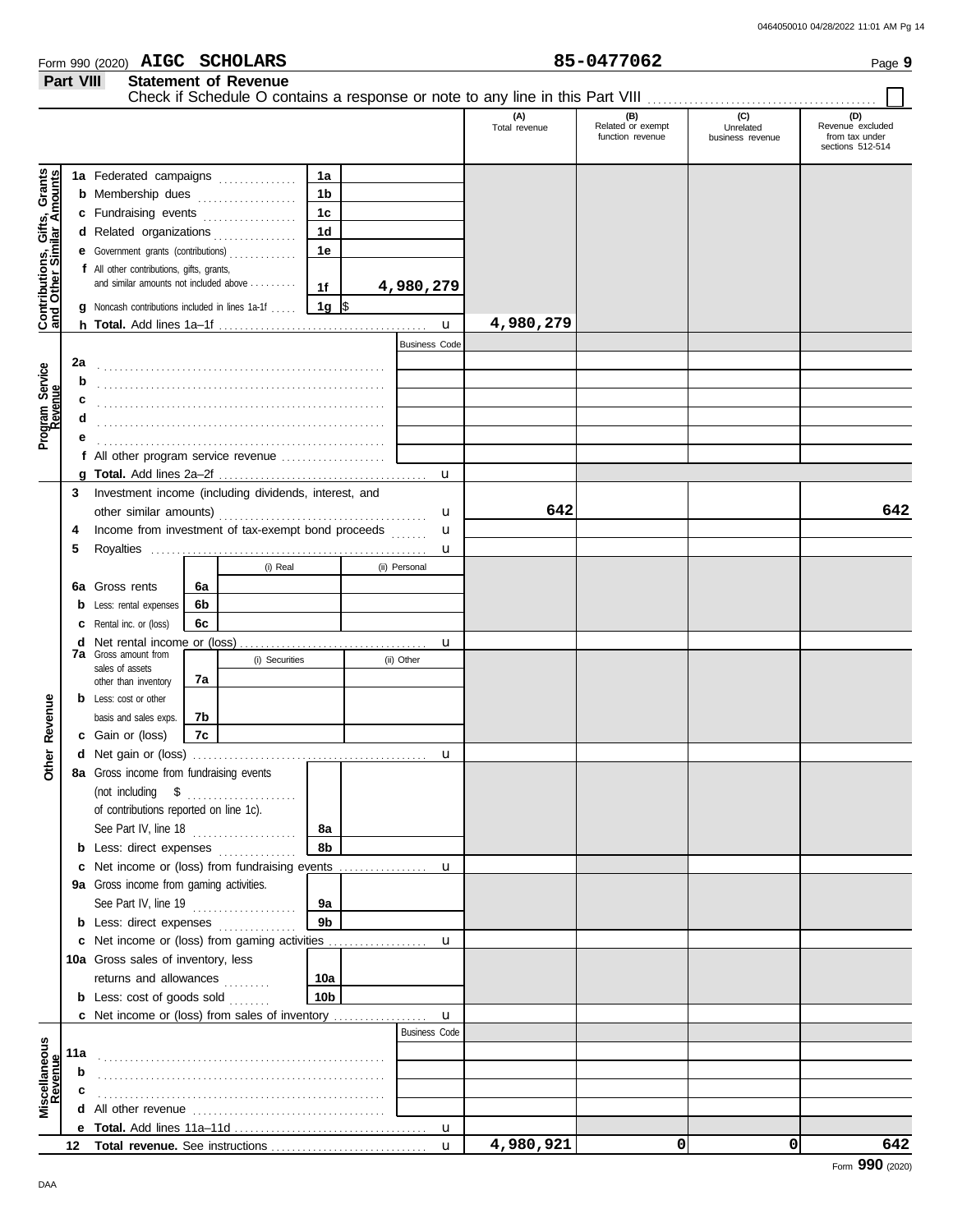| 0464050010 04/28/2022 11:01 AM Pg 14 |  |  |  |
|--------------------------------------|--|--|--|
|                                      |  |  |  |

| Form 990 (2020) | <b>AIGC</b> | <b>SCHOLARS</b> | <b>0477062</b> | Page |
|-----------------|-------------|-----------------|----------------|------|
|                 |             |                 |                |      |

| (C)<br>(A)<br>(B)<br>Related or exempt<br>Unrelated<br>Total revenue<br>function revenue<br>business revenue<br><b>Contributions, Gifts, Grants</b><br>and Other Similar Amounts<br>1a Federated campaigns<br>1a<br>1 <sub>b</sub><br><b>b</b> Membership dues<br>1 <sub>c</sub><br>c Fundraising events<br>1 <sub>d</sub><br>d Related organizations<br>e Government grants (contributions)<br>1e<br>f All other contributions, gifts, grants,<br>and similar amounts not included above<br>4,980,279<br>1f<br>$1g \sqrt{3}$<br><b>g</b> Noncash contributions included in lines 1a-1f<br>4,980,279<br>$\mathbf{u}$<br><b>Business Code</b><br>2a<br>Program Service<br>Revenue<br>b<br>c<br>d | Check if Schedule O contains a response or note to any line in this Part VIII [11] [11] [11] [11] [11] [11] [1 |
|-------------------------------------------------------------------------------------------------------------------------------------------------------------------------------------------------------------------------------------------------------------------------------------------------------------------------------------------------------------------------------------------------------------------------------------------------------------------------------------------------------------------------------------------------------------------------------------------------------------------------------------------------------------------------------------------------|----------------------------------------------------------------------------------------------------------------|
|                                                                                                                                                                                                                                                                                                                                                                                                                                                                                                                                                                                                                                                                                                 | (D)<br>Revenue excluded<br>from tax under<br>sections 512-514                                                  |
| $\mathbf{u}$                                                                                                                                                                                                                                                                                                                                                                                                                                                                                                                                                                                                                                                                                    |                                                                                                                |
| Investment income (including dividends, interest, and<br>3<br>642<br>u<br>Income from investment of tax-exempt bond proceeds<br>4<br>u<br>5<br>u                                                                                                                                                                                                                                                                                                                                                                                                                                                                                                                                                | 642                                                                                                            |
| (i) Real<br>(ii) Personal<br><b>6a</b> Gross rents<br>6a<br>Less: rental expenses<br>6b<br>Rental inc. or (loss)<br>6c                                                                                                                                                                                                                                                                                                                                                                                                                                                                                                                                                                          |                                                                                                                |
| u<br><b>7a</b> Gross amount from<br>(i) Securities<br>(ii) Other<br>sales of assets<br>7а<br>other than inventory                                                                                                                                                                                                                                                                                                                                                                                                                                                                                                                                                                               |                                                                                                                |
| <b>b</b> Less: cost or other<br>Revenue<br>basis and sales exps.<br>7b<br>c Gain or (loss)<br>7c                                                                                                                                                                                                                                                                                                                                                                                                                                                                                                                                                                                                |                                                                                                                |
| er<br>E<br>u<br>8a Gross income from fundraising events<br>δ<br>(not including $\delta$<br>of contributions reported on line 1c).<br>See Part IV, line 18<br>8а<br><b>b</b> Less: direct expenses<br>8b                                                                                                                                                                                                                                                                                                                                                                                                                                                                                         |                                                                                                                |
| u<br>9a Gross income from gaming activities.<br>See Part IV, line $19$<br>9а<br>9 <sub>b</sub><br><b>b</b> Less: direct expenses                                                                                                                                                                                                                                                                                                                                                                                                                                                                                                                                                                |                                                                                                                |
| u<br>10a Gross sales of inventory, less<br>returns and allowances<br>10a<br><b>b</b> Less: $cost$ of goods $sol$<br>10b                                                                                                                                                                                                                                                                                                                                                                                                                                                                                                                                                                         |                                                                                                                |
| <b>c</b> Net income or (loss) from sales of inventory<br>u<br><b>Business Code</b><br>Miscellaneous<br>Revenue<br>11a<br>b                                                                                                                                                                                                                                                                                                                                                                                                                                                                                                                                                                      |                                                                                                                |
| c<br><b>u</b><br>4,980,921<br>0<br>0<br>u                                                                                                                                                                                                                                                                                                                                                                                                                                                                                                                                                                                                                                                       | 642                                                                                                            |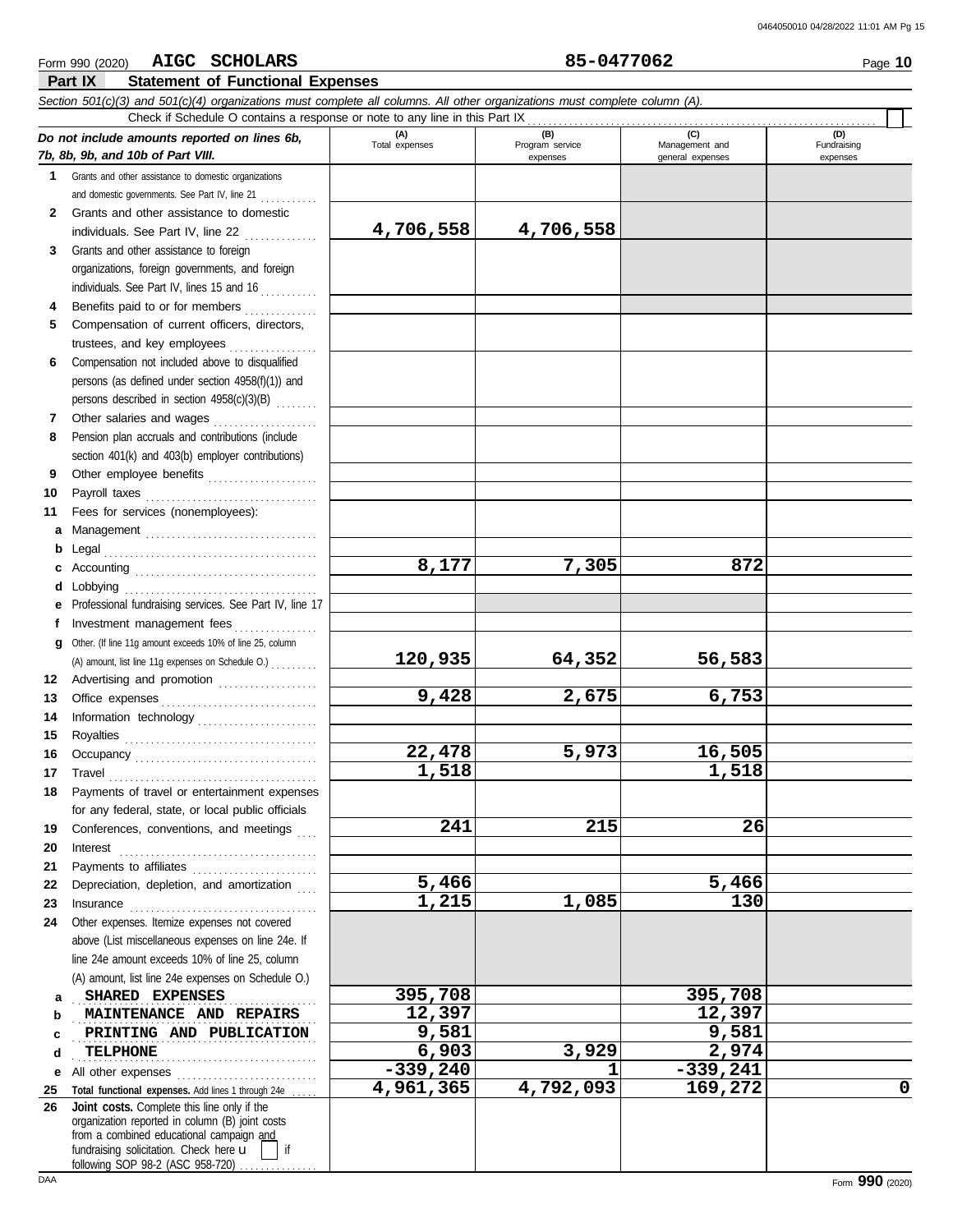|              | AIGC SCHOLARS<br>Form 990 (2020)                                                                                           |                      | 85-0477062      |                  | Page 10     |
|--------------|----------------------------------------------------------------------------------------------------------------------------|----------------------|-----------------|------------------|-------------|
|              | <b>Statement of Functional Expenses</b><br>Part IX                                                                         |                      |                 |                  |             |
|              | Section 501(c)(3) and 501(c)(4) organizations must complete all columns. All other organizations must complete column (A). |                      |                 |                  |             |
|              | Check if Schedule O contains a response or note to any line in this Part IX                                                | (A)                  | (B)             | (C)              | (D)         |
|              | Do not include amounts reported on lines 6b,                                                                               | Total expenses       | Program service | Management and   | Fundraising |
|              | 7b, 8b, 9b, and 10b of Part VIII.                                                                                          |                      | expenses        | general expenses | expenses    |
| 1.           | Grants and other assistance to domestic organizations                                                                      |                      |                 |                  |             |
| $\mathbf{2}$ | and domestic governments. See Part IV, line 21<br>Grants and other assistance to domestic                                  |                      |                 |                  |             |
|              | individuals. See Part IV, line 22                                                                                          | 4,706,558            | 4,706,558       |                  |             |
| 3            | Grants and other assistance to foreign                                                                                     |                      |                 |                  |             |
|              | organizations, foreign governments, and foreign                                                                            |                      |                 |                  |             |
|              | individuals. See Part IV, lines 15 and 16                                                                                  |                      |                 |                  |             |
| 4            | Benefits paid to or for members                                                                                            |                      |                 |                  |             |
| 5.           | Compensation of current officers, directors,                                                                               |                      |                 |                  |             |
|              | trustees, and key employees                                                                                                |                      |                 |                  |             |
| 6            | Compensation not included above to disqualified                                                                            |                      |                 |                  |             |
|              | persons (as defined under section 4958(f)(1)) and                                                                          |                      |                 |                  |             |
|              | persons described in section 4958(c)(3)(B)                                                                                 |                      |                 |                  |             |
| 7            | Other salaries and wages                                                                                                   |                      |                 |                  |             |
| 8            | Pension plan accruals and contributions (include                                                                           |                      |                 |                  |             |
|              | section 401(k) and 403(b) employer contributions)                                                                          |                      |                 |                  |             |
| 9            | Other employee benefits                                                                                                    |                      |                 |                  |             |
| 10           |                                                                                                                            |                      |                 |                  |             |
| 11           | Fees for services (nonemployees):                                                                                          |                      |                 |                  |             |
| а            | Management                                                                                                                 |                      |                 |                  |             |
| b            |                                                                                                                            |                      |                 |                  |             |
| c            |                                                                                                                            | 8,177                | 7,305           | 872              |             |
| d            |                                                                                                                            |                      |                 |                  |             |
| е            | Professional fundraising services. See Part IV, line 17                                                                    |                      |                 |                  |             |
| f            | Investment management fees                                                                                                 |                      |                 |                  |             |
| g            | Other. (If line 11g amount exceeds 10% of line 25, column                                                                  |                      |                 |                  |             |
|              | (A) amount, list line 11g expenses on Schedule O.)                                                                         | 120,935              | 64,352          | 56,583           |             |
| 12           | Advertising and promotion                                                                                                  |                      |                 |                  |             |
| 13           |                                                                                                                            | 9,428                | 2,675           | 6,753            |             |
| 14           | Information technology                                                                                                     |                      |                 |                  |             |
| 15           |                                                                                                                            | $\overline{22, 478}$ | 5,973           | 16,505           |             |
|              |                                                                                                                            | 1,518                |                 | 1,518            |             |
| 17           | Travel                                                                                                                     |                      |                 |                  |             |
| 18           | Payments of travel or entertainment expenses                                                                               |                      |                 |                  |             |
|              | for any federal, state, or local public officials<br>Conferences, conventions, and meetings                                | 241                  | 215             | 26               |             |
| 19<br>20     |                                                                                                                            |                      |                 |                  |             |
| 21           | Payments to affiliates                                                                                                     |                      |                 |                  |             |
| 22           | Depreciation, depletion, and amortization                                                                                  | 5,466                |                 | 5,466            |             |
| 23           |                                                                                                                            | 1,215                | 1,085           | 130              |             |
| 24           | Other expenses. Itemize expenses not covered                                                                               |                      |                 |                  |             |
|              | above (List miscellaneous expenses on line 24e. If                                                                         |                      |                 |                  |             |
|              | line 24e amount exceeds 10% of line 25, column                                                                             |                      |                 |                  |             |
|              | (A) amount, list line 24e expenses on Schedule O.)                                                                         |                      |                 |                  |             |
| a            | SHARED EXPENSES                                                                                                            | 395,708              |                 | 395,708          |             |
| b            | MAINTENANCE AND REPAIRS                                                                                                    | 12,397               |                 | 12,397           |             |
| c            | PRINTING AND PUBLICATION                                                                                                   | 9,581                |                 | 9,581            |             |
| d            | TELPHONE                                                                                                                   | 6,903                | 3,929           | 2,974            |             |
| е            |                                                                                                                            | $-339,240$           | 1               | $-339,241$       |             |
| 25           | Total functional expenses. Add lines 1 through 24e                                                                         | 4,961,365            | 4,792,093       | 169,272          | 0           |
| 26           | Joint costs. Complete this line only if the                                                                                |                      |                 |                  |             |
|              | organization reported in column (B) joint costs<br>from a combined educational campaign and                                |                      |                 |                  |             |
|              | fundraising solicitation. Check here u<br>if                                                                               |                      |                 |                  |             |
|              | following SOP 98-2 (ASC 958-720)                                                                                           |                      |                 |                  |             |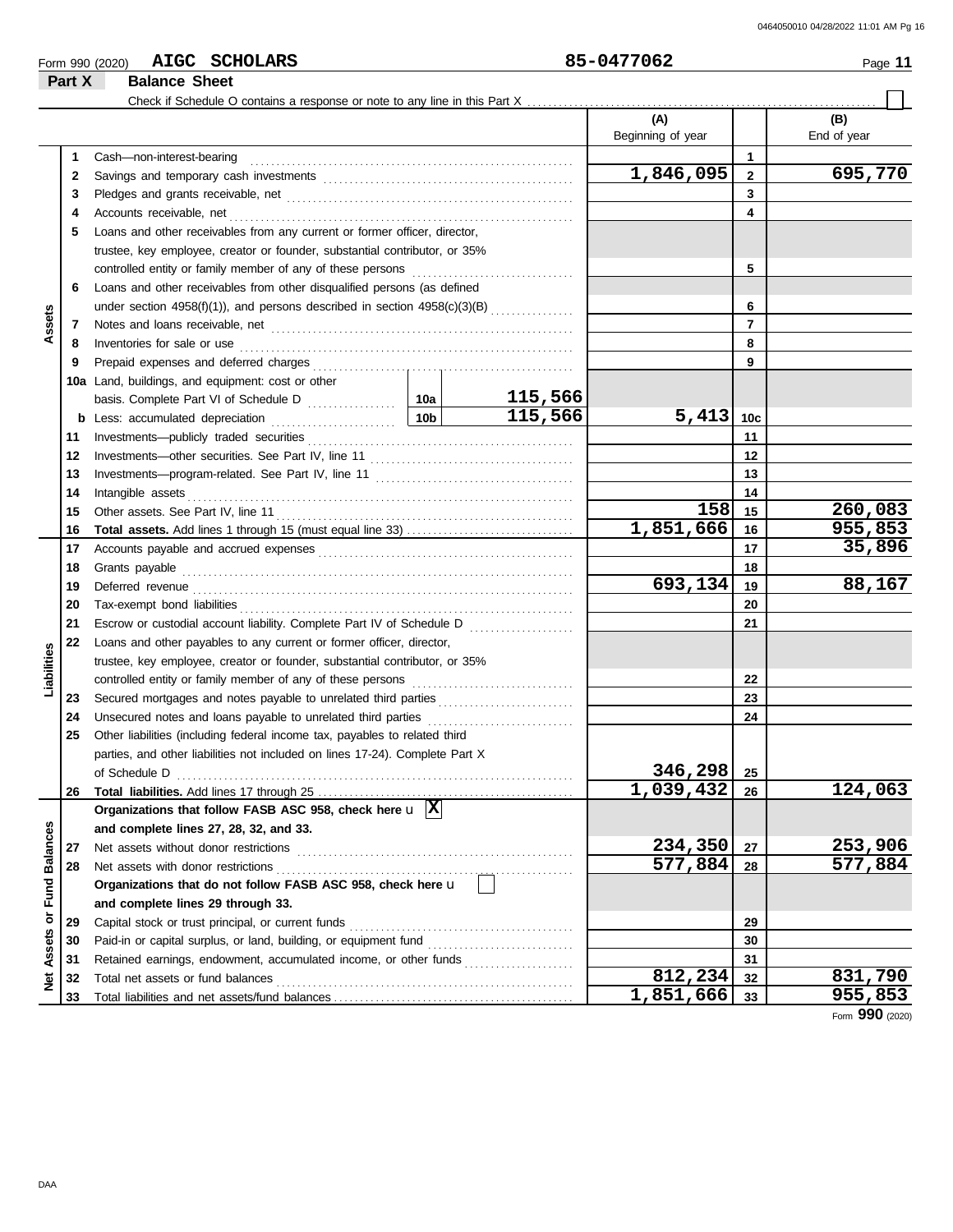| 177062<br><b>AIGC</b><br><b>SCHOLARS</b><br>ᇰᆮ<br>._na•<br>$\overline{\phantom{0}}$<br>(2020)<br>990<br>Form | . .<br>Page |
|--------------------------------------------------------------------------------------------------------------|-------------|
|--------------------------------------------------------------------------------------------------------------|-------------|

|                 | Part X | <b>Balance Sheet</b>                                                                                                                                                                                                               |         |                          |                 |                    |
|-----------------|--------|------------------------------------------------------------------------------------------------------------------------------------------------------------------------------------------------------------------------------------|---------|--------------------------|-----------------|--------------------|
|                 |        | Check if Schedule O contains a response or note to any line in this Part X.                                                                                                                                                        |         |                          |                 |                    |
|                 |        |                                                                                                                                                                                                                                    |         | (A)<br>Beginning of year |                 | (B)<br>End of year |
|                 | 1      | Cash-non-interest-bearing                                                                                                                                                                                                          |         |                          | 1               |                    |
|                 | 2      |                                                                                                                                                                                                                                    |         | $\overline{1,846,095}$   | $\mathbf{2}$    | 695,770            |
|                 | 3      |                                                                                                                                                                                                                                    |         |                          | 3               |                    |
|                 | 4      |                                                                                                                                                                                                                                    |         |                          | 4               |                    |
|                 | 5      | Loans and other receivables from any current or former officer, director,                                                                                                                                                          |         |                          |                 |                    |
|                 |        | trustee, key employee, creator or founder, substantial contributor, or 35%                                                                                                                                                         |         |                          |                 |                    |
|                 |        |                                                                                                                                                                                                                                    |         |                          | 5               |                    |
|                 | 6      | Loans and other receivables from other disqualified persons (as defined                                                                                                                                                            |         |                          |                 |                    |
|                 |        | under section 4958(f)(1)), and persons described in section 4958(c)(3)(B)                                                                                                                                                          |         |                          | 6               |                    |
| Assets          | 7      |                                                                                                                                                                                                                                    |         |                          | $\overline{7}$  |                    |
|                 | 8      | Inventories for sale or use <i>communication</i> and the state of the state or use of the state or use of the state or the state or the state or the state or the state or the state of the state or the state or the state or the |         |                          | 8               |                    |
|                 | 9      |                                                                                                                                                                                                                                    |         |                          | 9               |                    |
|                 |        | 10a Land, buildings, and equipment: cost or other                                                                                                                                                                                  |         |                          |                 |                    |
|                 |        |                                                                                                                                                                                                                                    | 115,566 |                          |                 |                    |
|                 | b      |                                                                                                                                                                                                                                    | 115,566 | 5,413                    | 10 <sub>c</sub> |                    |
|                 | 11     |                                                                                                                                                                                                                                    |         |                          | 11              |                    |
|                 | 12     |                                                                                                                                                                                                                                    |         |                          | 12              |                    |
|                 | 13     |                                                                                                                                                                                                                                    |         |                          | 13              |                    |
|                 | 14     |                                                                                                                                                                                                                                    |         | 14                       |                 |                    |
|                 | 15     |                                                                                                                                                                                                                                    |         | 158                      | 15              | 260,083            |
|                 | 16     |                                                                                                                                                                                                                                    |         | 1,851,666                | 16              | 955,853            |
|                 | 17     |                                                                                                                                                                                                                                    |         |                          | 17              | 35,896             |
|                 | 18     | Grants payable                                                                                                                                                                                                                     |         | 18                       |                 |                    |
|                 | 19     |                                                                                                                                                                                                                                    |         | 693,134                  | 19              | 88,167             |
|                 | 20     |                                                                                                                                                                                                                                    |         |                          | 20              |                    |
|                 | 21     |                                                                                                                                                                                                                                    |         |                          | 21              |                    |
|                 | 22     | Loans and other payables to any current or former officer, director,                                                                                                                                                               |         |                          |                 |                    |
| Liabilities     |        | trustee, key employee, creator or founder, substantial contributor, or 35%                                                                                                                                                         |         |                          |                 |                    |
|                 |        |                                                                                                                                                                                                                                    |         |                          | 22              |                    |
|                 | 23     | Secured mortgages and notes payable to unrelated third parties                                                                                                                                                                     |         |                          | 23              |                    |
|                 | 24     | Unsecured notes and loans payable to unrelated third parties [[[[[[[[[[[[[[[[[[[[[[[[[]]]]]]]]]]]                                                                                                                                  |         |                          | 24              |                    |
|                 | 25     | Other liabilities (including federal income tax, payables to related third                                                                                                                                                         |         |                          |                 |                    |
|                 |        | parties, and other liabilities not included on lines 17-24). Complete Part X                                                                                                                                                       |         |                          |                 |                    |
|                 |        | of Schedule D                                                                                                                                                                                                                      |         | 346,298                  | 25              |                    |
|                 | 26     |                                                                                                                                                                                                                                    |         | 1,039,432                | 26              | 124,063            |
|                 |        | Organizations that follow FASB ASC 958, check here $\mathbf{u}$ $\overline{\mathbf{X}}$                                                                                                                                            |         |                          |                 |                    |
|                 |        | and complete lines 27, 28, 32, and 33.                                                                                                                                                                                             |         |                          |                 |                    |
|                 | 27     | Net assets without donor restrictions                                                                                                                                                                                              |         | 234,350                  | 27              | 253,906            |
| <b>Balances</b> | 28     | Net assets with donor restrictions                                                                                                                                                                                                 |         | 577,884                  | 28              | 577,884            |
|                 |        | Organizations that do not follow FASB ASC 958, check here u                                                                                                                                                                        |         |                          |                 |                    |
| Fund            |        | and complete lines 29 through 33.                                                                                                                                                                                                  |         |                          |                 |                    |
|                 | 29     | Capital stock or trust principal, or current funds                                                                                                                                                                                 |         |                          | 29              |                    |
|                 | 30     | Paid-in or capital surplus, or land, building, or equipment fund                                                                                                                                                                   |         |                          | 30              |                    |
|                 | 31     | Retained earnings, endowment, accumulated income, or other funds                                                                                                                                                                   |         |                          | 31              |                    |
| Net Assets or   | 32     | Total net assets or fund balances                                                                                                                                                                                                  |         | 812,234                  | 32              | 831,790            |
|                 | 33     |                                                                                                                                                                                                                                    |         | 1,851,666                | 33              | 955,853            |

Form **990** (2020)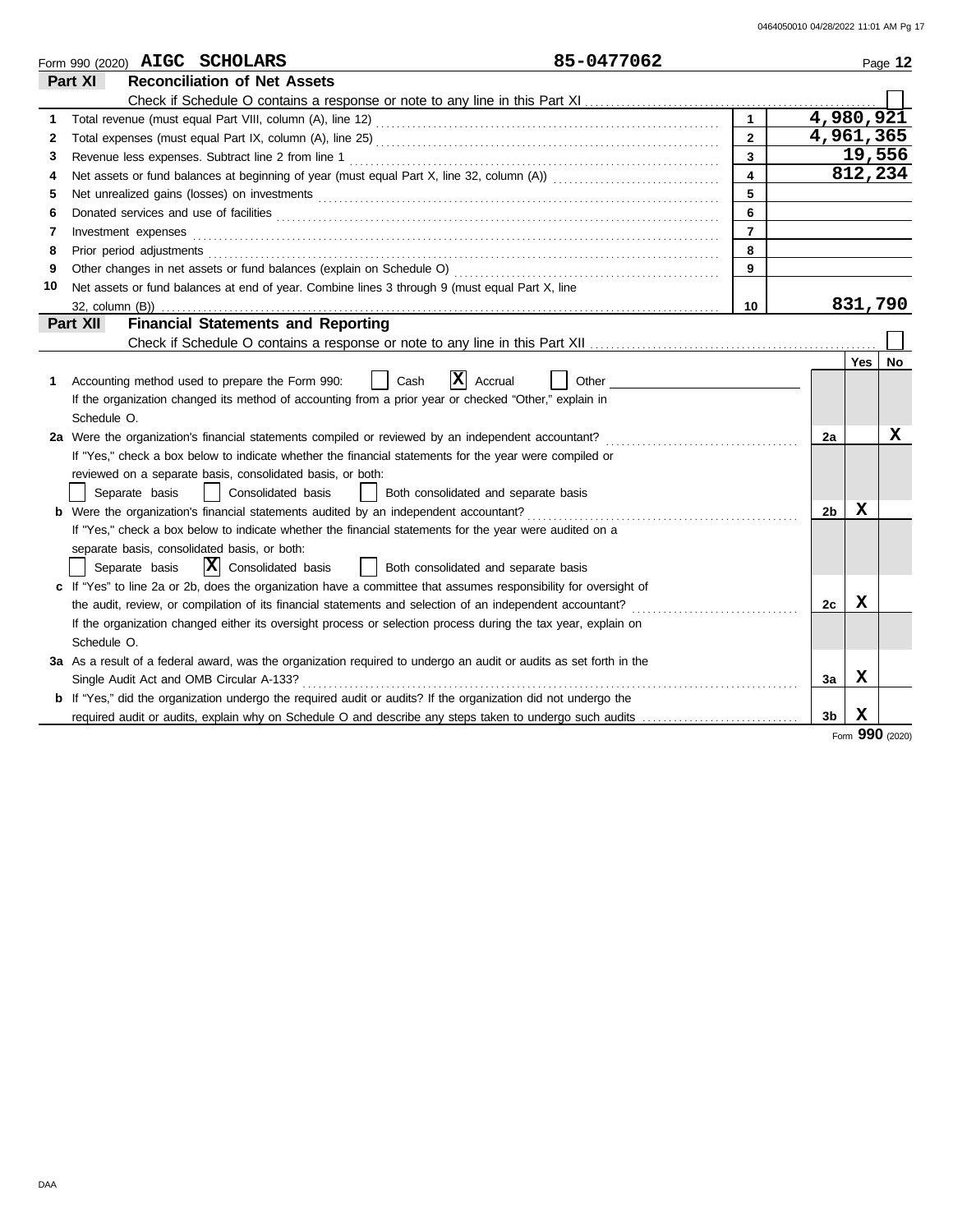|    | 85-0477062<br>Form 990 (2020) AIGC SCHOLARS                                                                                                                                                                                    |                         |                |             | Page 12 |
|----|--------------------------------------------------------------------------------------------------------------------------------------------------------------------------------------------------------------------------------|-------------------------|----------------|-------------|---------|
|    | <b>Reconciliation of Net Assets</b><br>Part XI                                                                                                                                                                                 |                         |                |             |         |
|    |                                                                                                                                                                                                                                |                         |                |             |         |
| 1  |                                                                                                                                                                                                                                |                         | 4,980,921      |             |         |
| 2  |                                                                                                                                                                                                                                | $\overline{2}$          | 4,961,365      |             |         |
| 3  |                                                                                                                                                                                                                                | $\overline{\mathbf{3}}$ |                |             | 19,556  |
| 4  |                                                                                                                                                                                                                                | $\overline{4}$          |                |             | 812,234 |
| 5  |                                                                                                                                                                                                                                | 5                       |                |             |         |
| 6  |                                                                                                                                                                                                                                | 6                       |                |             |         |
| 7  | Investment expenses                                                                                                                                                                                                            | $\overline{7}$          |                |             |         |
| 8  | Prior period adjustments [11, 12] and the contract of the contract of the contract of the contract of the contract of the contract of the contract of the contract of the contract of the contract of the contract of the cont | 8                       |                |             |         |
| 9  | Other changes in net assets or fund balances (explain on Schedule O)                                                                                                                                                           | 9                       |                |             |         |
| 10 | Net assets or fund balances at end of year. Combine lines 3 through 9 (must equal Part X, line                                                                                                                                 |                         |                |             |         |
|    | 32, column (B))                                                                                                                                                                                                                | 10                      |                |             | 831,790 |
|    | <b>Financial Statements and Reporting</b><br>Part XII                                                                                                                                                                          |                         |                |             |         |
|    |                                                                                                                                                                                                                                |                         |                |             |         |
|    |                                                                                                                                                                                                                                |                         |                | <b>Yes</b>  | No      |
| 1  | ΙX<br>Accounting method used to prepare the Form 990:<br>Cash<br>Accrual<br>Other                                                                                                                                              |                         |                |             |         |
|    | If the organization changed its method of accounting from a prior year or checked "Other," explain in                                                                                                                          |                         |                |             |         |
|    | Schedule O.                                                                                                                                                                                                                    |                         |                |             |         |
|    | 2a Were the organization's financial statements compiled or reviewed by an independent accountant?                                                                                                                             |                         | 2a             |             | x       |
|    | If "Yes," check a box below to indicate whether the financial statements for the year were compiled or                                                                                                                         |                         |                |             |         |
|    | reviewed on a separate basis, consolidated basis, or both:                                                                                                                                                                     |                         |                |             |         |
|    | Consolidated basis<br>Separate basis<br>Both consolidated and separate basis                                                                                                                                                   |                         |                |             |         |
|    | <b>b</b> Were the organization's financial statements audited by an independent accountant?                                                                                                                                    |                         | 2 <sub>b</sub> | x           |         |
|    | If "Yes," check a box below to indicate whether the financial statements for the year were audited on a                                                                                                                        |                         |                |             |         |
|    | separate basis, consolidated basis, or both:                                                                                                                                                                                   |                         |                |             |         |
|    | $ \mathbf{X} $ Consolidated basis<br>Separate basis<br>Both consolidated and separate basis                                                                                                                                    |                         |                |             |         |
|    | c If "Yes" to line 2a or 2b, does the organization have a committee that assumes responsibility for oversight of                                                                                                               |                         |                |             |         |
|    | the audit, review, or compilation of its financial statements and selection of an independent accountant?<br>.                                                                                                                 |                         | 2c             | x           |         |
|    | If the organization changed either its oversight process or selection process during the tax year, explain on                                                                                                                  |                         |                |             |         |
|    | Schedule O.                                                                                                                                                                                                                    |                         |                |             |         |
|    | 3a As a result of a federal award, was the organization required to undergo an audit or audits as set forth in the                                                                                                             |                         |                |             |         |
|    | Single Audit Act and OMB Circular A-133?                                                                                                                                                                                       |                         | 3a             | X           |         |
|    | b If "Yes," did the organization undergo the required audit or audits? If the organization did not undergo the                                                                                                                 |                         |                |             |         |
|    | required audit or audits, explain why on Schedule O and describe any steps taken to undergo such audits                                                                                                                        |                         | 3 <sub>b</sub> | $\mathbf x$ |         |

Form **990** (2020)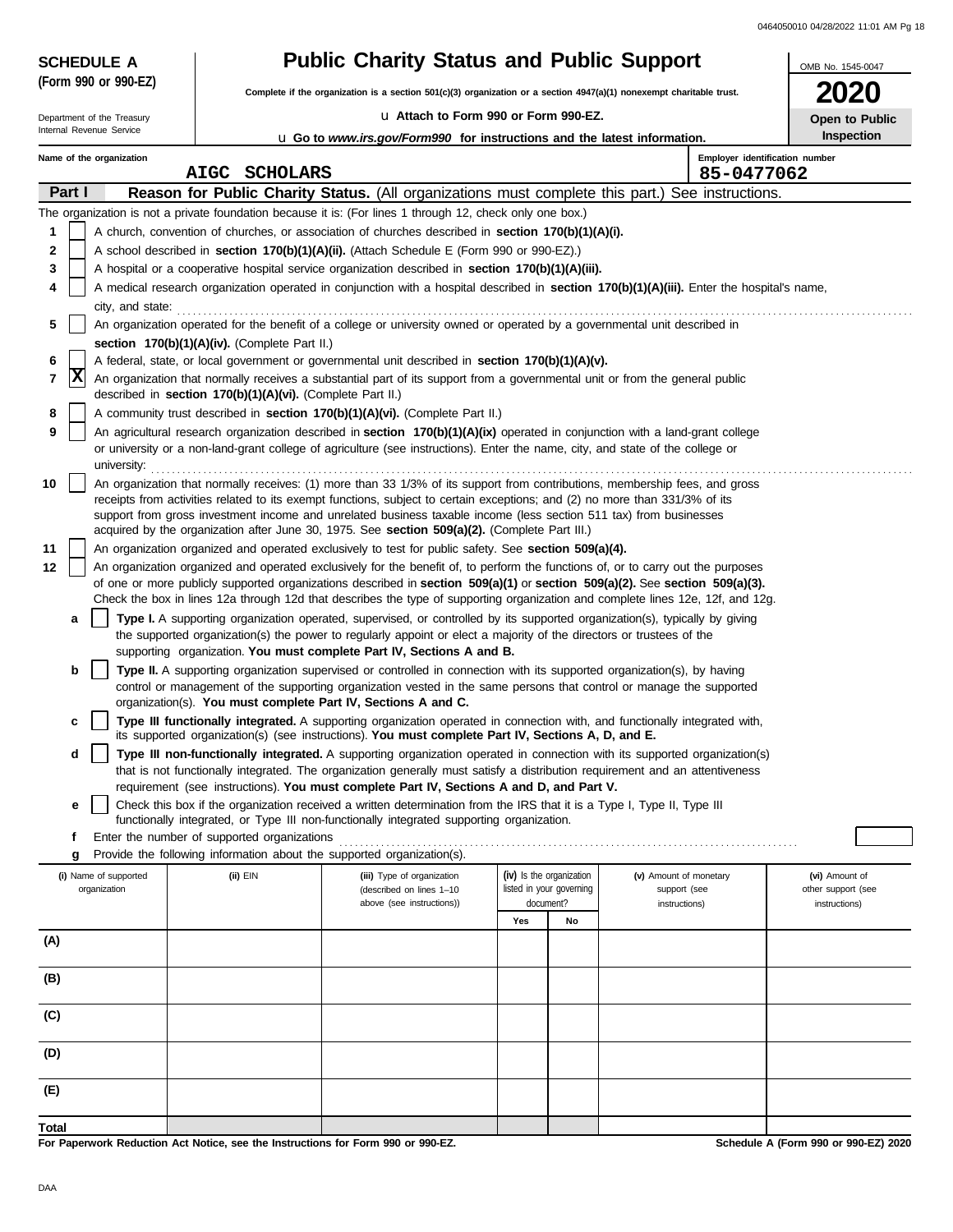| <b>SCHEDULE A</b>          |  |                                                            | <b>Public Charity Status and Public Support</b>                                                                                                                                                                                                                 | OMB No. 1545-0047        |                          |                               |                                     |
|----------------------------|--|------------------------------------------------------------|-----------------------------------------------------------------------------------------------------------------------------------------------------------------------------------------------------------------------------------------------------------------|--------------------------|--------------------------|-------------------------------|-------------------------------------|
| (Form 990 or 990-EZ)       |  |                                                            | Complete if the organization is a section 501(c)(3) organization or a section 4947(a)(1) nonexempt charitable trust.                                                                                                                                            |                          |                          |                               |                                     |
| Department of the Treasury |  |                                                            | La Attach to Form 990 or Form 990-EZ.                                                                                                                                                                                                                           |                          |                          |                               | Open to Public                      |
| Internal Revenue Service   |  |                                                            | <b>u</b> Go to www.irs.gov/Form990 for instructions and the latest information.                                                                                                                                                                                 |                          |                          |                               | Inspection                          |
| Name of the organization   |  | <b>SCHOLARS</b><br><b>AIGC</b>                             |                                                                                                                                                                                                                                                                 |                          |                          | 85-0477062                    | Employer identification number      |
| Part I                     |  |                                                            | Reason for Public Charity Status. (All organizations must complete this part.) See instructions.                                                                                                                                                                |                          |                          |                               |                                     |
|                            |  |                                                            | The organization is not a private foundation because it is: (For lines 1 through 12, check only one box.)                                                                                                                                                       |                          |                          |                               |                                     |
| 1                          |  |                                                            | A church, convention of churches, or association of churches described in section 170(b)(1)(A)(i).                                                                                                                                                              |                          |                          |                               |                                     |
| 2                          |  |                                                            | A school described in <b>section 170(b)(1)(A)(ii).</b> (Attach Schedule E (Form 990 or 990-EZ).)                                                                                                                                                                |                          |                          |                               |                                     |
| 3                          |  |                                                            | A hospital or a cooperative hospital service organization described in section 170(b)(1)(A)(iii).                                                                                                                                                               |                          |                          |                               |                                     |
| 4                          |  |                                                            | A medical research organization operated in conjunction with a hospital described in section 170(b)(1)(A)(iii). Enter the hospital's name,                                                                                                                      |                          |                          |                               |                                     |
| city, and state:<br>5      |  |                                                            | An organization operated for the benefit of a college or university owned or operated by a governmental unit described in                                                                                                                                       |                          |                          |                               |                                     |
|                            |  | section 170(b)(1)(A)(iv). (Complete Part II.)              |                                                                                                                                                                                                                                                                 |                          |                          |                               |                                     |
| 6                          |  |                                                            | A federal, state, or local government or governmental unit described in section 170(b)(1)(A)(v).                                                                                                                                                                |                          |                          |                               |                                     |
| ΙX<br>7                    |  | described in section 170(b)(1)(A)(vi). (Complete Part II.) | An organization that normally receives a substantial part of its support from a governmental unit or from the general public                                                                                                                                    |                          |                          |                               |                                     |
| 8                          |  |                                                            | A community trust described in section 170(b)(1)(A)(vi). (Complete Part II.)                                                                                                                                                                                    |                          |                          |                               |                                     |
| 9                          |  |                                                            | An agricultural research organization described in section 170(b)(1)(A)(ix) operated in conjunction with a land-grant college<br>or university or a non-land-grant college of agriculture (see instructions). Enter the name, city, and state of the college or |                          |                          |                               |                                     |
| university:<br>10          |  |                                                            | An organization that normally receives: (1) more than 33 1/3% of its support from contributions, membership fees, and gross                                                                                                                                     |                          |                          |                               |                                     |
|                            |  |                                                            | receipts from activities related to its exempt functions, subject to certain exceptions; and (2) no more than 331/3% of its                                                                                                                                     |                          |                          |                               |                                     |
|                            |  |                                                            | support from gross investment income and unrelated business taxable income (less section 511 tax) from businesses                                                                                                                                               |                          |                          |                               |                                     |
|                            |  |                                                            | acquired by the organization after June 30, 1975. See section 509(a)(2). (Complete Part III.)                                                                                                                                                                   |                          |                          |                               |                                     |
| 11<br>12                   |  |                                                            | An organization organized and operated exclusively to test for public safety. See section 509(a)(4).<br>An organization organized and operated exclusively for the benefit of, to perform the functions of, or to carry out the purposes                        |                          |                          |                               |                                     |
|                            |  |                                                            | of one or more publicly supported organizations described in section $509(a)(1)$ or section $509(a)(2)$ . See section $509(a)(3)$ .                                                                                                                             |                          |                          |                               |                                     |
|                            |  |                                                            | Check the box in lines 12a through 12d that describes the type of supporting organization and complete lines 12e, 12f, and 12g.                                                                                                                                 |                          |                          |                               |                                     |
| а                          |  |                                                            | Type I. A supporting organization operated, supervised, or controlled by its supported organization(s), typically by giving<br>the supported organization(s) the power to regularly appoint or elect a majority of the directors or trustees of the             |                          |                          |                               |                                     |
|                            |  |                                                            | supporting organization. You must complete Part IV, Sections A and B.                                                                                                                                                                                           |                          |                          |                               |                                     |
| b                          |  |                                                            | Type II. A supporting organization supervised or controlled in connection with its supported organization(s), by having                                                                                                                                         |                          |                          |                               |                                     |
|                            |  |                                                            | control or management of the supporting organization vested in the same persons that control or manage the supported<br>organization(s). You must complete Part IV, Sections A and C.                                                                           |                          |                          |                               |                                     |
| c                          |  |                                                            | Type III functionally integrated. A supporting organization operated in connection with, and functionally integrated with,<br>its supported organization(s) (see instructions). You must complete Part IV, Sections A, D, and E.                                |                          |                          |                               |                                     |
| d                          |  |                                                            | Type III non-functionally integrated. A supporting organization operated in connection with its supported organization(s)                                                                                                                                       |                          |                          |                               |                                     |
|                            |  |                                                            | that is not functionally integrated. The organization generally must satisfy a distribution requirement and an attentiveness                                                                                                                                    |                          |                          |                               |                                     |
|                            |  |                                                            | requirement (see instructions). You must complete Part IV, Sections A and D, and Part V.                                                                                                                                                                        |                          |                          |                               |                                     |
| е                          |  |                                                            | Check this box if the organization received a written determination from the IRS that it is a Type I, Type II, Type III<br>functionally integrated, or Type III non-functionally integrated supporting organization.                                            |                          |                          |                               |                                     |
| f                          |  | Enter the number of supported organizations                |                                                                                                                                                                                                                                                                 |                          |                          |                               |                                     |
| g                          |  |                                                            | Provide the following information about the supported organization(s).                                                                                                                                                                                          |                          |                          |                               |                                     |
| (i) Name of supported      |  | (ii) EIN                                                   | (iii) Type of organization                                                                                                                                                                                                                                      | (iv) Is the organization |                          | (v) Amount of monetary        | (vi) Amount of                      |
| organization               |  |                                                            | (described on lines 1-10<br>above (see instructions))                                                                                                                                                                                                           | document?                | listed in your governing | support (see<br>instructions) | other support (see<br>instructions) |
|                            |  |                                                            |                                                                                                                                                                                                                                                                 | Yes                      | No                       |                               |                                     |
| (A)                        |  |                                                            |                                                                                                                                                                                                                                                                 |                          |                          |                               |                                     |
|                            |  |                                                            |                                                                                                                                                                                                                                                                 |                          |                          |                               |                                     |
| (B)                        |  |                                                            |                                                                                                                                                                                                                                                                 |                          |                          |                               |                                     |
| (C)                        |  |                                                            |                                                                                                                                                                                                                                                                 |                          |                          |                               |                                     |
| (D)                        |  |                                                            |                                                                                                                                                                                                                                                                 |                          |                          |                               |                                     |
|                            |  |                                                            |                                                                                                                                                                                                                                                                 |                          |                          |                               |                                     |
| (E)                        |  |                                                            |                                                                                                                                                                                                                                                                 |                          |                          |                               |                                     |
| Total                      |  |                                                            |                                                                                                                                                                                                                                                                 |                          |                          |                               |                                     |

**For Paperwork Reduction Act Notice, see the Instructions for Form 990 or 990-EZ.**

**Schedule A (Form 990 or 990-EZ) 2020**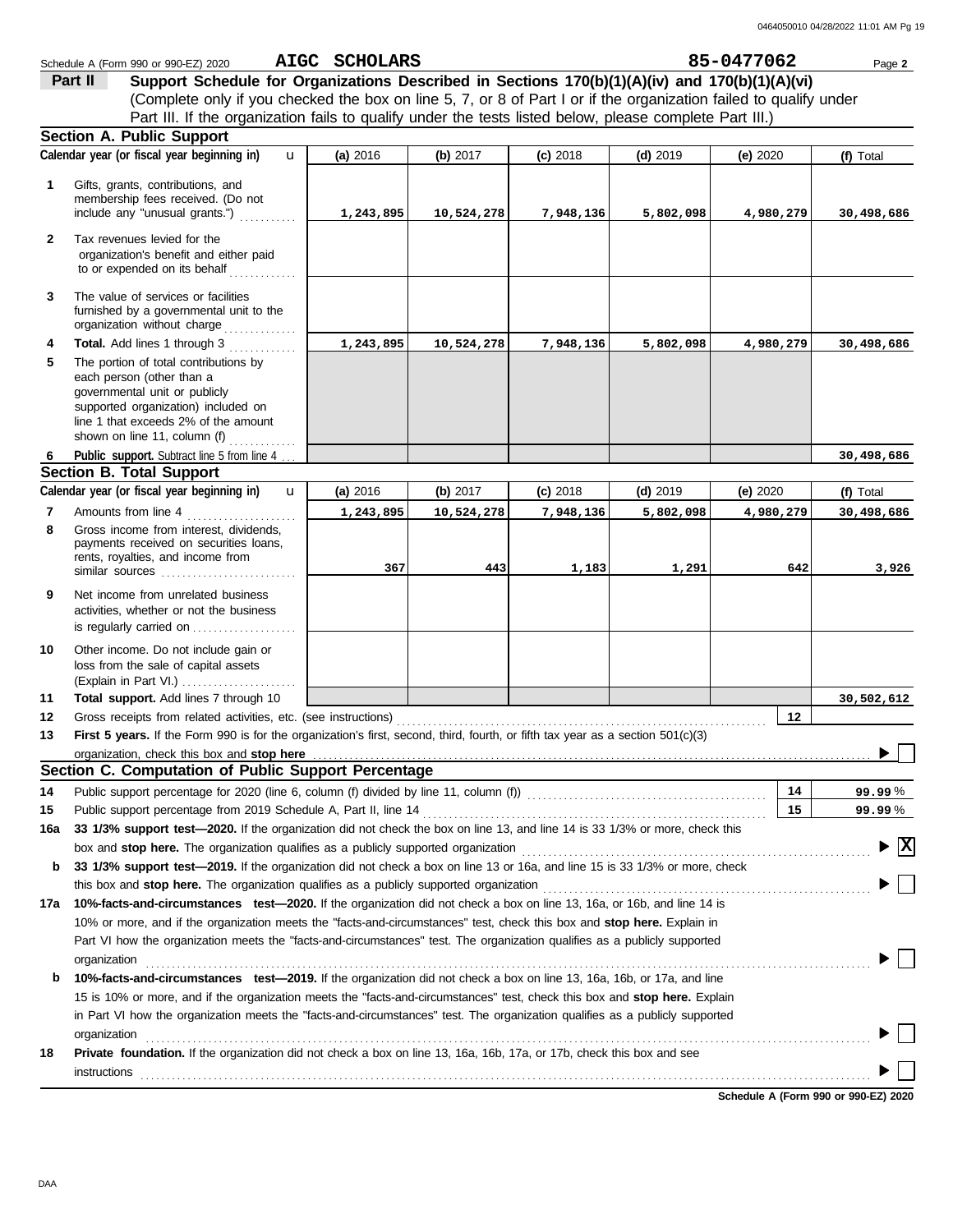|              | Schedule A (Form 990 or 990-EZ) 2020                                                                                                                                                                                           | AIGC SCHOLARS |            |            |            | 85-0477062 | Page 2                                 |
|--------------|--------------------------------------------------------------------------------------------------------------------------------------------------------------------------------------------------------------------------------|---------------|------------|------------|------------|------------|----------------------------------------|
|              | Part II<br>Support Schedule for Organizations Described in Sections 170(b)(1)(A)(iv) and 170(b)(1)(A)(vi)                                                                                                                      |               |            |            |            |            |                                        |
|              | (Complete only if you checked the box on line 5, 7, or 8 of Part I or if the organization failed to qualify under                                                                                                              |               |            |            |            |            |                                        |
|              | Part III. If the organization fails to qualify under the tests listed below, please complete Part III.)                                                                                                                        |               |            |            |            |            |                                        |
|              | <b>Section A. Public Support</b>                                                                                                                                                                                               |               |            |            |            |            |                                        |
|              | Calendar year (or fiscal year beginning in)<br>$\mathbf{u}$                                                                                                                                                                    | (a) 2016      | (b) 2017   | $(c)$ 2018 | $(d)$ 2019 | (e) $2020$ | (f) Total                              |
| 1            | Gifts, grants, contributions, and                                                                                                                                                                                              |               |            |            |            |            |                                        |
|              | membership fees received. (Do not                                                                                                                                                                                              |               |            |            |            |            |                                        |
|              | include any "unusual grants.")                                                                                                                                                                                                 | 1,243,895     | 10,524,278 | 7,948,136  | 5,802,098  | 4,980,279  | 30,498,686                             |
| $\mathbf{2}$ | Tax revenues levied for the                                                                                                                                                                                                    |               |            |            |            |            |                                        |
|              | organization's benefit and either paid                                                                                                                                                                                         |               |            |            |            |            |                                        |
|              | to or expended on its behalf                                                                                                                                                                                                   |               |            |            |            |            |                                        |
| 3            | The value of services or facilities                                                                                                                                                                                            |               |            |            |            |            |                                        |
|              | furnished by a governmental unit to the                                                                                                                                                                                        |               |            |            |            |            |                                        |
|              | organization without charge                                                                                                                                                                                                    |               |            |            |            |            |                                        |
| 4<br>5       | Total. Add lines 1 through 3<br>The portion of total contributions by                                                                                                                                                          | 1,243,895     | 10,524,278 | 7,948,136  | 5,802,098  | 4,980,279  | 30,498,686                             |
|              | each person (other than a                                                                                                                                                                                                      |               |            |            |            |            |                                        |
|              | governmental unit or publicly                                                                                                                                                                                                  |               |            |            |            |            |                                        |
|              | supported organization) included on                                                                                                                                                                                            |               |            |            |            |            |                                        |
|              | line 1 that exceeds 2% of the amount<br>shown on line 11, column (f) $\ldots$                                                                                                                                                  |               |            |            |            |            |                                        |
| 6            | Public support. Subtract line 5 from line 4                                                                                                                                                                                    |               |            |            |            |            | 30,498,686                             |
|              | <b>Section B. Total Support</b>                                                                                                                                                                                                |               |            |            |            |            |                                        |
|              | Calendar year (or fiscal year beginning in)<br>$\mathbf{u}$                                                                                                                                                                    | (a) 2016      | (b) $2017$ | $(c)$ 2018 | $(d)$ 2019 | (e) $2020$ | (f) Total                              |
| 7            | Amounts from line 4                                                                                                                                                                                                            | 1,243,895     | 10,524,278 | 7,948,136  | 5,802,098  | 4,980,279  | 30,498,686                             |
| 8            | Gross income from interest, dividends,                                                                                                                                                                                         |               |            |            |            |            |                                        |
|              | payments received on securities loans,                                                                                                                                                                                         |               |            |            |            |            |                                        |
|              | rents, royalties, and income from<br>similar sources                                                                                                                                                                           | 367           | 443        | 1,183      | 1,291      | 642        | 3,926                                  |
| 9            | Net income from unrelated business                                                                                                                                                                                             |               |            |            |            |            |                                        |
|              | activities, whether or not the business                                                                                                                                                                                        |               |            |            |            |            |                                        |
|              | is regularly carried on                                                                                                                                                                                                        |               |            |            |            |            |                                        |
| 10           | Other income. Do not include gain or                                                                                                                                                                                           |               |            |            |            |            |                                        |
|              | loss from the sale of capital assets                                                                                                                                                                                           |               |            |            |            |            |                                        |
|              |                                                                                                                                                                                                                                |               |            |            |            |            |                                        |
| 11           | Total support. Add lines 7 through 10                                                                                                                                                                                          |               |            |            |            |            | 30,502,612                             |
| 12           |                                                                                                                                                                                                                                |               |            |            |            | $12 \,$    |                                        |
| 13           | First 5 years. If the Form 990 is for the organization's first, second, third, fourth, or fifth tax year as a section 501(c)(3)                                                                                                |               |            |            |            |            |                                        |
|              | Section C. Computation of Public Support Percentage                                                                                                                                                                            |               |            |            |            |            |                                        |
|              |                                                                                                                                                                                                                                |               |            |            |            | 14         |                                        |
| 14<br>15     | Public support percentage for 2020 (line 6, column (f) divided by line 11, column (f)) [[[[[[[[[[[[[[[[[[[[[[                                                                                                                  |               |            |            |            | 15         | 99.99%                                 |
| 16a          | 33 1/3% support test-2020. If the organization did not check the box on line 13, and line 14 is 33 1/3% or more, check this                                                                                                    |               |            |            |            |            | 99.99 %                                |
|              |                                                                                                                                                                                                                                |               |            |            |            |            | $\blacktriangleright \boxed{\text{X}}$ |
| b            | 33 1/3% support test-2019. If the organization did not check a box on line 13 or 16a, and line 15 is 33 1/3% or more, check                                                                                                    |               |            |            |            |            |                                        |
|              |                                                                                                                                                                                                                                |               |            |            |            |            |                                        |
|              | 17a 10%-facts-and-circumstances test-2020. If the organization did not check a box on line 13, 16a, or 16b, and line 14 is                                                                                                     |               |            |            |            |            |                                        |
|              | 10% or more, and if the organization meets the "facts-and-circumstances" test, check this box and stop here. Explain in                                                                                                        |               |            |            |            |            |                                        |
|              | Part VI how the organization meets the "facts-and-circumstances" test. The organization qualifies as a publicly supported                                                                                                      |               |            |            |            |            |                                        |
|              | organization www.commutation.com/www.commutation.com/www.commutation.com/www.commutation.com/www.commutation.com                                                                                                               |               |            |            |            |            |                                        |
| b            | 10%-facts-and-circumstances test-2019. If the organization did not check a box on line 13, 16a, 16b, or 17a, and line                                                                                                          |               |            |            |            |            |                                        |
|              | 15 is 10% or more, and if the organization meets the "facts-and-circumstances" test, check this box and stop here. Explain                                                                                                     |               |            |            |            |            |                                        |
|              | in Part VI how the organization meets the "facts-and-circumstances" test. The organization qualifies as a publicly supported                                                                                                   |               |            |            |            |            |                                        |
|              | organization www.commutation.commutation.com/www.commutation.com/www.commutation.com/www.commutation.com/www.commutation.com/www.commutation.com/www.commutation.com/www.commutation.com/www.commutation.com/www.commutation.c |               |            |            |            |            |                                        |
| 18           | Private foundation. If the organization did not check a box on line 13, 16a, 16b, 17a, or 17b, check this box and see                                                                                                          |               |            |            |            |            |                                        |
|              |                                                                                                                                                                                                                                |               |            |            |            |            |                                        |
|              |                                                                                                                                                                                                                                |               |            |            |            |            |                                        |

**Schedule A (Form 990 or 990-EZ) 2020**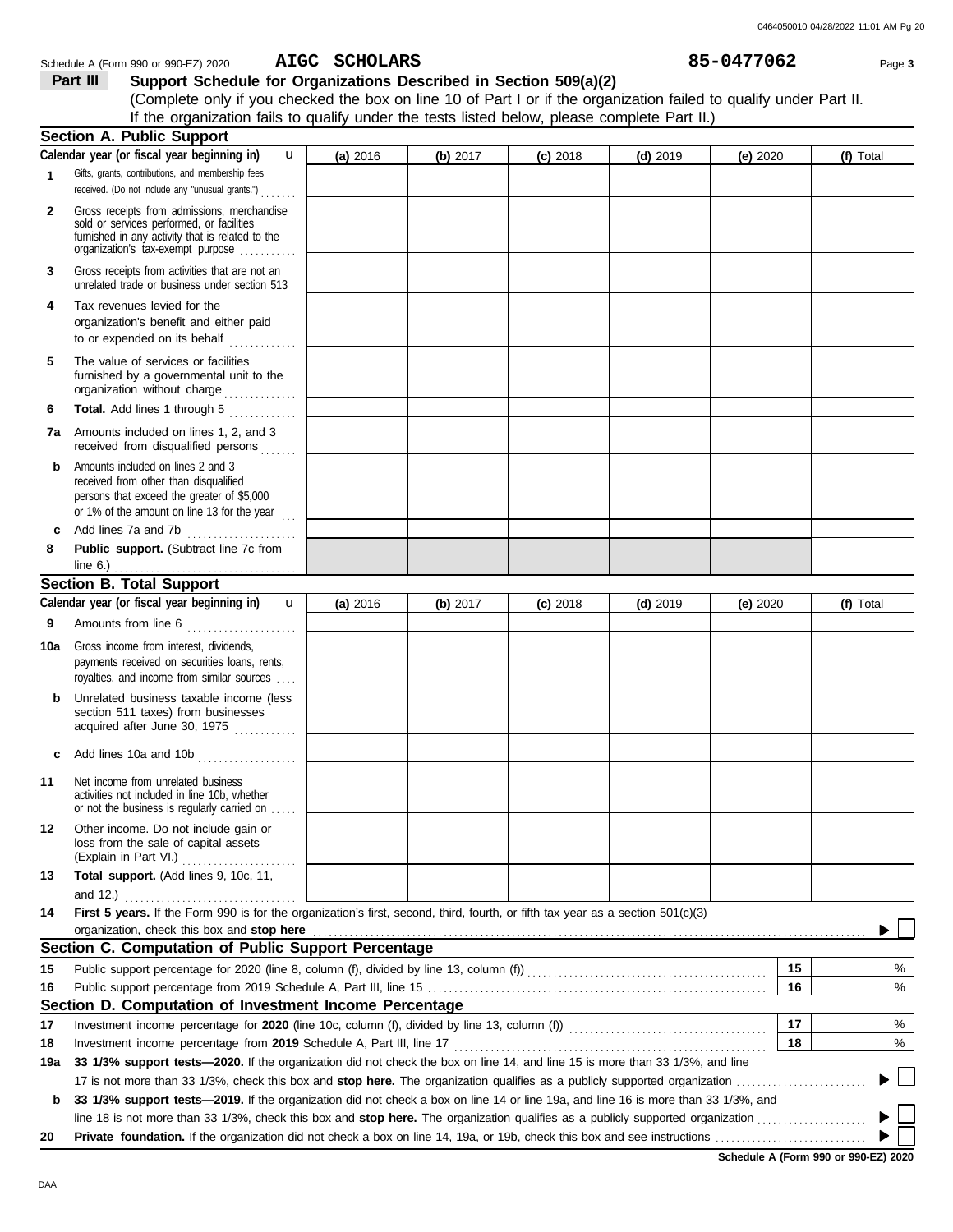|              | Schedule A (Form 990 or 990-EZ) 2020                                                                                                                                              | AIGC SCHOLARS |            |            |            | 85-0477062 |    | Page 3    |
|--------------|-----------------------------------------------------------------------------------------------------------------------------------------------------------------------------------|---------------|------------|------------|------------|------------|----|-----------|
|              | Part III<br>Support Schedule for Organizations Described in Section 509(a)(2)                                                                                                     |               |            |            |            |            |    |           |
|              | (Complete only if you checked the box on line 10 of Part I or if the organization failed to qualify under Part II.                                                                |               |            |            |            |            |    |           |
|              | If the organization fails to qualify under the tests listed below, please complete Part II.)                                                                                      |               |            |            |            |            |    |           |
|              | Section A. Public Support                                                                                                                                                         |               |            |            |            |            |    |           |
|              | Calendar year (or fiscal year beginning in)<br>$\mathbf{u}$                                                                                                                       | (a) 2016      | (b) $2017$ | $(c)$ 2018 | $(d)$ 2019 | (e) $2020$ |    | (f) Total |
| 1            | Gifts, grants, contributions, and membership fees<br>received. (Do not include any "unusual grants.")                                                                             |               |            |            |            |            |    |           |
| $\mathbf{2}$ | Gross receipts from admissions, merchandise<br>sold or services performed, or facilities<br>furnished in any activity that is related to the<br>organization's tax-exempt purpose |               |            |            |            |            |    |           |
| 3            | Gross receipts from activities that are not an<br>unrelated trade or business under section 513                                                                                   |               |            |            |            |            |    |           |
| 4            | Tax revenues levied for the<br>organization's benefit and either paid<br>to or expended on its behalf                                                                             |               |            |            |            |            |    |           |
| 5            | The value of services or facilities<br>furnished by a governmental unit to the<br>organization without charge                                                                     |               |            |            |            |            |    |           |
| 6            | Total. Add lines 1 through 5                                                                                                                                                      |               |            |            |            |            |    |           |
|              | <b>7a</b> Amounts included on lines 1, 2, and 3                                                                                                                                   |               |            |            |            |            |    |           |
| b            | Amounts included on lines 2 and 3<br>received from other than disqualified<br>persons that exceed the greater of \$5,000<br>or 1% of the amount on line 13 for the year $\ldots$  |               |            |            |            |            |    |           |
| c            | Add lines 7a and 7b                                                                                                                                                               |               |            |            |            |            |    |           |
| 8            | Public support. (Subtract line 7c from                                                                                                                                            |               |            |            |            |            |    |           |
|              | <b>Section B. Total Support</b>                                                                                                                                                   |               |            |            |            |            |    |           |
|              | Calendar year (or fiscal year beginning in) <b>u</b>                                                                                                                              | (a) $2016$    | (b) 2017   | $(c)$ 2018 | $(d)$ 2019 | (e) $2020$ |    | (f) Total |
| 9            | Amounts from line 6                                                                                                                                                               |               |            |            |            |            |    |           |
| 10a          | Gross income from interest, dividends,<br>payments received on securities loans, rents,<br>royalties, and income from similar sources                                             |               |            |            |            |            |    |           |
| b            | Unrelated business taxable income (less<br>section 511 taxes) from businesses<br>acquired after June 30, 1975                                                                     |               |            |            |            |            |    |           |
| c            | Add lines 10a and 10b                                                                                                                                                             |               |            |            |            |            |    |           |
| 11           | Net income from unrelated business<br>activities not included in line 10b, whether<br>or not the business is regularly carried on                                                 |               |            |            |            |            |    |           |
| 12           | Other income. Do not include gain or<br>loss from the sale of capital assets                                                                                                      |               |            |            |            |            |    |           |
| 13           | Total support. (Add lines 9, 10c, 11,                                                                                                                                             |               |            |            |            |            |    |           |
| 14           | First 5 years. If the Form 990 is for the organization's first, second, third, fourth, or fifth tax year as a section 501(c)(3)<br>organization, check this box and stop here     |               |            |            |            |            |    |           |
|              | Section C. Computation of Public Support Percentage                                                                                                                               |               |            |            |            |            |    |           |
| 15           |                                                                                                                                                                                   |               |            |            |            |            | 15 | %         |
| 16           |                                                                                                                                                                                   |               |            |            |            |            | 16 | %         |
|              | Section D. Computation of Investment Income Percentage                                                                                                                            |               |            |            |            |            |    |           |
| 17           |                                                                                                                                                                                   |               |            |            |            |            | 17 | %         |
| 18           |                                                                                                                                                                                   |               |            |            |            |            | 18 | $\%$      |
| 19a          | 33 1/3% support tests-2020. If the organization did not check the box on line 14, and line 15 is more than 33 1/3%, and line                                                      |               |            |            |            |            |    |           |
|              |                                                                                                                                                                                   |               |            |            |            |            |    |           |
| b            | 33 1/3% support tests-2019. If the organization did not check a box on line 14 or line 19a, and line 16 is more than 33 1/3%, and                                                 |               |            |            |            |            |    |           |
|              |                                                                                                                                                                                   |               |            |            |            |            |    |           |

**Schedule A (Form 990 or 990-EZ) 2020**

 $\blacktriangleright$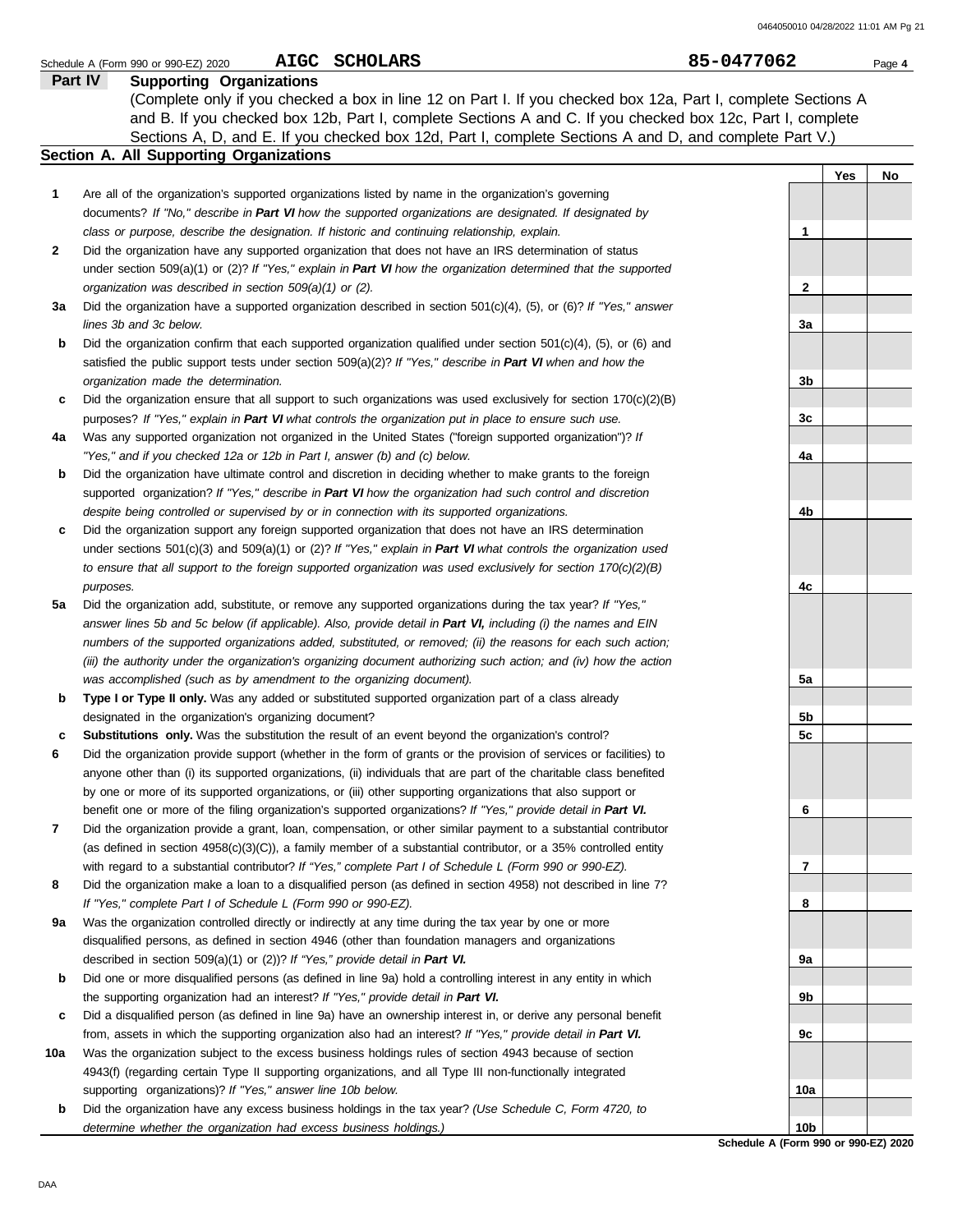|         | AIGC SCHOLARS<br>Schedule A (Form 990 or 990-EZ) 2020                                                               | 85-0477062      |     | Page 4 |
|---------|---------------------------------------------------------------------------------------------------------------------|-----------------|-----|--------|
| Part IV | <b>Supporting Organizations</b>                                                                                     |                 |     |        |
|         | (Complete only if you checked a box in line 12 on Part I. If you checked box 12a, Part I, complete Sections A       |                 |     |        |
|         | and B. If you checked box 12b, Part I, complete Sections A and C. If you checked box 12c, Part I, complete          |                 |     |        |
|         | Sections A, D, and E. If you checked box 12d, Part I, complete Sections A and D, and complete Part V.)              |                 |     |        |
|         | <b>Section A. All Supporting Organizations</b>                                                                      |                 |     |        |
|         |                                                                                                                     |                 | Yes | No     |
| 1       | Are all of the organization's supported organizations listed by name in the organization's governing                |                 |     |        |
|         | documents? If "No," describe in Part VI how the supported organizations are designated. If designated by            |                 |     |        |
|         | class or purpose, describe the designation. If historic and continuing relationship, explain.                       | 1               |     |        |
| 2       | Did the organization have any supported organization that does not have an IRS determination of status              |                 |     |        |
|         | under section 509(a)(1) or (2)? If "Yes," explain in Part VI how the organization determined that the supported     |                 |     |        |
|         | organization was described in section 509(a)(1) or (2).                                                             | 2               |     |        |
| За      | Did the organization have a supported organization described in section $501(c)(4)$ , (5), or (6)? If "Yes," answer |                 |     |        |
|         | lines 3b and 3c below.                                                                                              | За              |     |        |
| b       | Did the organization confirm that each supported organization qualified under section $501(c)(4)$ , (5), or (6) and |                 |     |        |
|         | satisfied the public support tests under section $509(a)(2)?$ If "Yes," describe in Part VI when and how the        |                 |     |        |
|         | organization made the determination.                                                                                | 3b              |     |        |
|         |                                                                                                                     |                 |     |        |
| c       | Did the organization ensure that all support to such organizations was used exclusively for section $170(c)(2)(B)$  |                 |     |        |
|         | purposes? If "Yes," explain in Part VI what controls the organization put in place to ensure such use.              | 3c              |     |        |
| 4a      | Was any supported organization not organized in the United States ("foreign supported organization")? If            |                 |     |        |
|         | "Yes," and if you checked 12a or 12b in Part I, answer (b) and (c) below.                                           | 4a              |     |        |
| b       | Did the organization have ultimate control and discretion in deciding whether to make grants to the foreign         |                 |     |        |
|         | supported organization? If "Yes," describe in Part VI how the organization had such control and discretion          |                 |     |        |
|         | despite being controlled or supervised by or in connection with its supported organizations.                        | 4b              |     |        |
| c       | Did the organization support any foreign supported organization that does not have an IRS determination             |                 |     |        |
|         | under sections $501(c)(3)$ and $509(a)(1)$ or (2)? If "Yes," explain in Part VI what controls the organization used |                 |     |        |
|         | to ensure that all support to the foreign supported organization was used exclusively for section $170(c)(2)(B)$    |                 |     |        |
|         | purposes.                                                                                                           | 4c              |     |        |
| 5a      | Did the organization add, substitute, or remove any supported organizations during the tax year? If "Yes,"          |                 |     |        |
|         | answer lines 5b and 5c below (if applicable). Also, provide detail in Part VI, including (i) the names and EIN      |                 |     |        |
|         | numbers of the supported organizations added, substituted, or removed; (ii) the reasons for each such action;       |                 |     |        |
|         | (iii) the authority under the organization's organizing document authorizing such action; and (iv) how the action   |                 |     |        |
|         | was accomplished (such as by amendment to the organizing document).                                                 | 5a              |     |        |
| b       | Type I or Type II only. Was any added or substituted supported organization part of a class already                 |                 |     |        |
|         | designated in the organization's organizing document?                                                               | 5b              |     |        |
| c       | Substitutions only. Was the substitution the result of an event beyond the organization's control?                  | 5c              |     |        |
|         | Did the organization provide support (whether in the form of grants or the provision of services or facilities) to  |                 |     |        |
|         | anyone other than (i) its supported organizations, (ii) individuals that are part of the charitable class benefited |                 |     |        |
|         | by one or more of its supported organizations, or (iii) other supporting organizations that also support or         |                 |     |        |
|         | benefit one or more of the filing organization's supported organizations? If "Yes," provide detail in Part VI.      | 6               |     |        |
| 7       | Did the organization provide a grant, loan, compensation, or other similar payment to a substantial contributor     |                 |     |        |
|         | (as defined in section $4958(c)(3)(C)$ ), a family member of a substantial contributor, or a 35% controlled entity  |                 |     |        |
|         | with regard to a substantial contributor? If "Yes," complete Part I of Schedule L (Form 990 or 990-EZ).             | 7               |     |        |
| 8       | Did the organization make a loan to a disqualified person (as defined in section 4958) not described in line 7?     |                 |     |        |
|         | If "Yes," complete Part I of Schedule L (Form 990 or 990-EZ).                                                       | 8               |     |        |
| 9a      | Was the organization controlled directly or indirectly at any time during the tax year by one or more               |                 |     |        |
|         | disqualified persons, as defined in section 4946 (other than foundation managers and organizations                  |                 |     |        |
|         | described in section 509(a)(1) or (2))? If "Yes," provide detail in Part VI.                                        | 9а              |     |        |
| b       | Did one or more disqualified persons (as defined in line 9a) hold a controlling interest in any entity in which     |                 |     |        |
|         | the supporting organization had an interest? If "Yes," provide detail in Part VI.                                   | 9b              |     |        |
| c       | Did a disqualified person (as defined in line 9a) have an ownership interest in, or derive any personal benefit     |                 |     |        |
|         | from, assets in which the supporting organization also had an interest? If "Yes," provide detail in Part VI.        | 9c              |     |        |
| 10a     | Was the organization subject to the excess business holdings rules of section 4943 because of section               |                 |     |        |
|         | 4943(f) (regarding certain Type II supporting organizations, and all Type III non-functionally integrated           |                 |     |        |
|         | supporting organizations)? If "Yes," answer line 10b below.                                                         | 10a             |     |        |
|         | Did the organization have any excess business holdings in the tax year? (Use Schedule C, Form 4720, to              |                 |     |        |
| b       | determine whether the organization had excess business holdings.)                                                   | 10 <sub>b</sub> |     |        |
|         |                                                                                                                     |                 |     |        |

**Schedule A (Form 990 or 990-EZ) 2020 10b**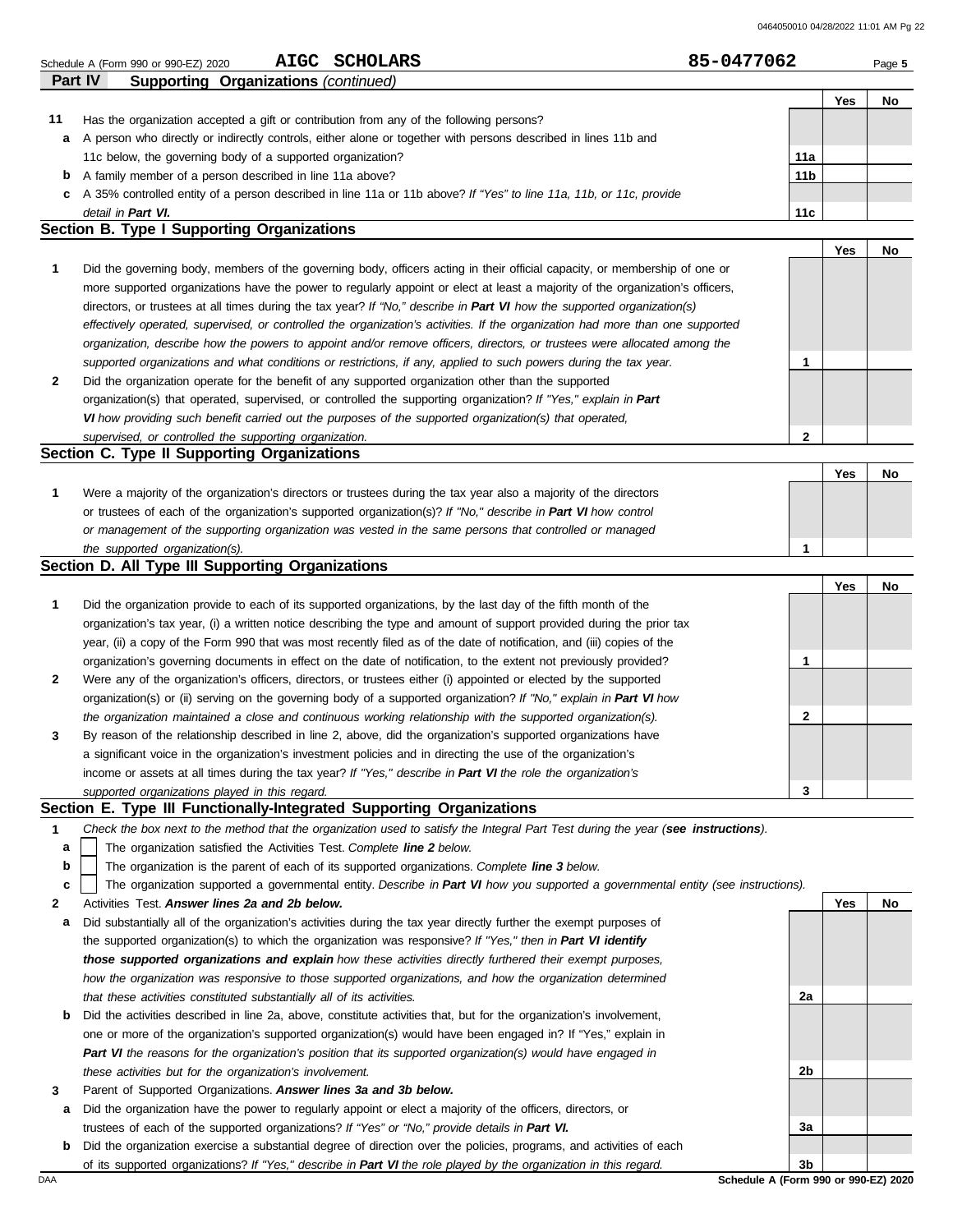|  | Schedule A (Form 990 or 990-EZ) 2020 | <b>AIGC</b> | <b>SCHOLARS</b> | 85-0477062 | Page 5 |  |
|--|--------------------------------------|-------------|-----------------|------------|--------|--|
|--|--------------------------------------|-------------|-----------------|------------|--------|--|

|    | Part IV<br><b>Supporting Organizations (continued)</b>                                                             |                 |                    |           |
|----|--------------------------------------------------------------------------------------------------------------------|-----------------|--------------------|-----------|
|    |                                                                                                                    |                 | Yes                | No        |
| 11 | Has the organization accepted a gift or contribution from any of the following persons?                            |                 |                    |           |
| a  | A person who directly or indirectly controls, either alone or together with persons described in lines 11b and     |                 |                    |           |
|    | 11c below, the governing body of a supported organization?                                                         | 11a             |                    |           |
| b  | A family member of a person described in line 11a above?                                                           | 11 <sub>b</sub> |                    |           |
| C. | A 35% controlled entity of a person described in line 11a or 11b above? If "Yes" to line 11a, 11b, or 11c, provide |                 |                    |           |
|    | detail in Part VI.                                                                                                 | 11c             |                    |           |
|    | <b>Section B. Type I Supporting Organizations</b>                                                                  |                 |                    |           |
|    |                                                                                                                    |                 | $V_{\alpha\alpha}$ | <b>MA</b> |

|   |                                                                                                                                |               | 153 | IVV |
|---|--------------------------------------------------------------------------------------------------------------------------------|---------------|-----|-----|
|   | Did the governing body, members of the governing body, officers acting in their official capacity, or membership of one or     |               |     |     |
|   | more supported organizations have the power to regularly appoint or elect at least a majority of the organization's officers,  |               |     |     |
|   | directors, or trustees at all times during the tax year? If "No," describe in Part VI how the supported organization(s)        |               |     |     |
|   | effectively operated, supervised, or controlled the organization's activities. If the organization had more than one supported |               |     |     |
|   | organization, describe how the powers to appoint and/or remove officers, directors, or trustees were allocated among the       |               |     |     |
|   | supported organizations and what conditions or restrictions, if any, applied to such powers during the tax year.               |               |     |     |
| 2 | Did the organization operate for the benefit of any supported organization other than the supported                            |               |     |     |
|   | organization(s) that operated, supervised, or controlled the supporting organization? If "Yes," explain in Part                |               |     |     |
|   | VI how providing such benefit carried out the purposes of the supported organization(s) that operated,                         |               |     |     |
|   | supervised, or controlled the supporting organization.                                                                         | $\mathcal{P}$ |     |     |
|   | Section C. Type II Supporting Organizations                                                                                    |               |     |     |

|  |                                                                                                                  |  |  | <b>Nc</b> |  |  |
|--|------------------------------------------------------------------------------------------------------------------|--|--|-----------|--|--|
|  | Were a majority of the organization's directors or trustees during the tax year also a majority of the directors |  |  |           |  |  |
|  | or trustees of each of the organization's supported organization(s)? If "No," describe in Part VI how control    |  |  |           |  |  |
|  | or management of the supporting organization was vested in the same persons that controlled or managed           |  |  |           |  |  |
|  | the supported organization(s).                                                                                   |  |  |           |  |  |

### **Section D. All Type III Supporting Organizations**

|                |                                                                                                                        |          | Yes | No |
|----------------|------------------------------------------------------------------------------------------------------------------------|----------|-----|----|
| 1              | Did the organization provide to each of its supported organizations, by the last day of the fifth month of the         |          |     |    |
|                | organization's tax year, (i) a written notice describing the type and amount of support provided during the prior tax  |          |     |    |
|                | year, (ii) a copy of the Form 990 that was most recently filed as of the date of notification, and (iii) copies of the |          |     |    |
|                | organization's governing documents in effect on the date of notification, to the extent not previously provided?       |          |     |    |
| $\overline{2}$ | Were any of the organization's officers, directors, or trustees either (i) appointed or elected by the supported       |          |     |    |
|                | organization(s) or (ii) serving on the governing body of a supported organization? If "No," explain in Part VI how     |          |     |    |
|                | the organization maintained a close and continuous working relationship with the supported organization(s).            | <u>ົ</u> |     |    |
| $\mathbf{3}$   | By reason of the relationship described in line 2, above, did the organization's supported organizations have          |          |     |    |
|                | a significant voice in the organization's investment policies and in directing the use of the organization's           |          |     |    |
|                | income or assets at all times during the tax year? If "Yes," describe in Part VI the role the organization's           |          |     |    |
|                | supported organizations played in this regard.                                                                         | 3        |     |    |

### **Section E. Type III Functionally-Integrated Supporting Organizations**

| Check the box next to the method that the organization used to satisfy the Integral Part Test during the year (see instructions). |  |  |
|-----------------------------------------------------------------------------------------------------------------------------------|--|--|
|                                                                                                                                   |  |  |

- The organization satisfied the Activities Test. *Complete line 2 below.* **a**
- The organization is the parent of each of its supported organizations. *Complete line 3 below.* **b**

The organization supported a governmental entity. *Describe in Part VI how you supported a governmental entity (see instructions).* **c**

- **2** Activities Test. *Answer lines 2a and 2b below.*
- **a** Did substantially all of the organization's activities during the tax year directly further the exempt purposes of the supported organization(s) to which the organization was responsive? *If "Yes," then in Part VI identify those supported organizations and explain how these activities directly furthered their exempt purposes, how the organization was responsive to those supported organizations, and how the organization determined that these activities constituted substantially all of its activities.*
- **b** Did the activities described in line 2a, above, constitute activities that, but for the organization's involvement, one or more of the organization's supported organization(s) would have been engaged in? If "Yes," explain in *Part VI the reasons for the organization's position that its supported organization(s) would have engaged in these activities but for the organization's involvement.*
- **3** Parent of Supported Organizations. *Answer lines 3a and 3b below.*
- **a** Did the organization have the power to regularly appoint or elect a majority of the officers, directors, or trustees of each of the supported organizations? *If "Yes" or "No," provide details in Part VI.*
- DAA **Schedule A (Form 990 or 990-EZ) 2020 b** Did the organization exercise a substantial degree of direction over the policies, programs, and activities of each of its supported organizations? *If "Yes," describe in Part VI the role played by the organization in this regard.*

**Yes No 2a 2b 3a 3b**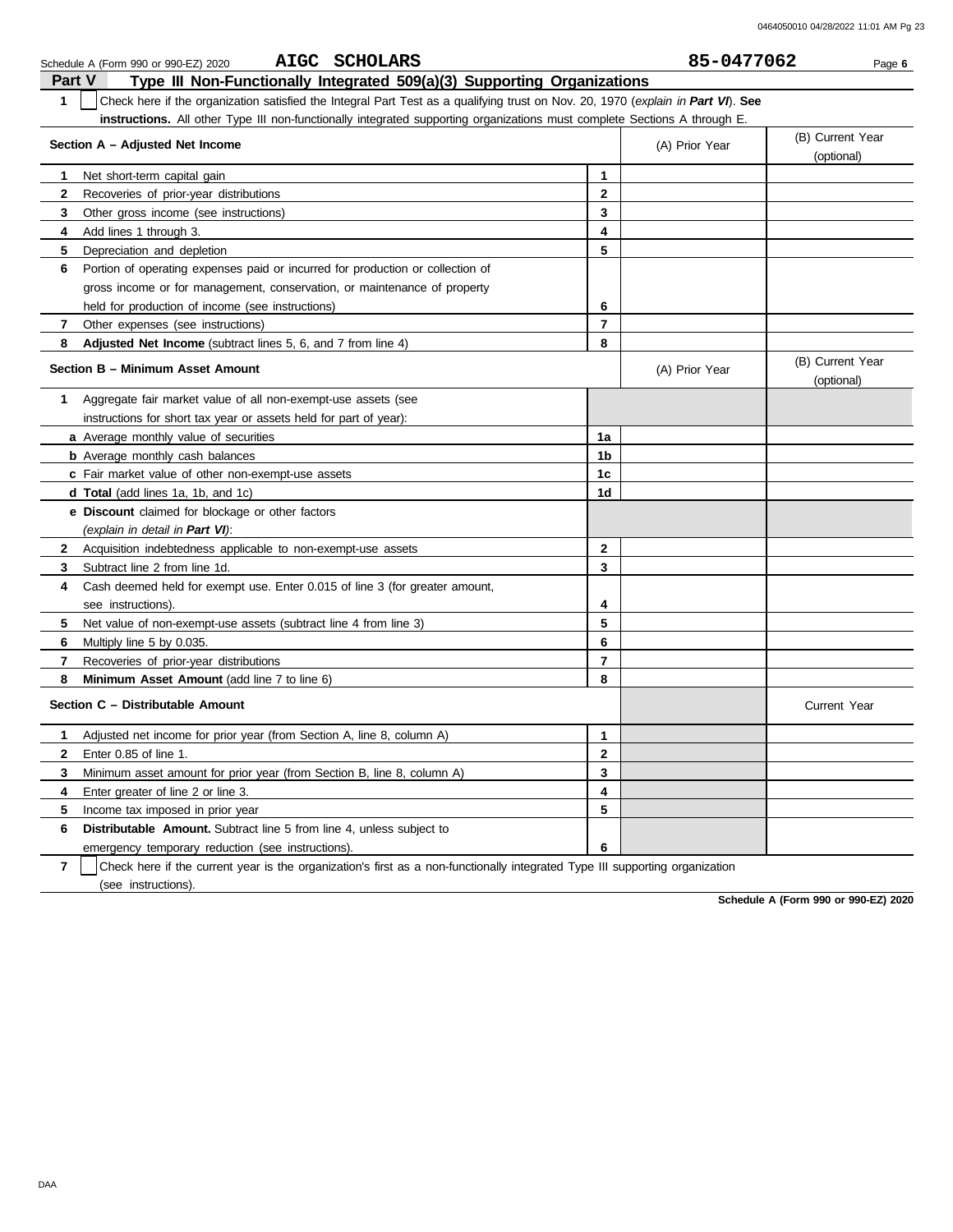|                | AIGC SCHOLARS<br>Schedule A (Form 990 or 990-EZ) 2020                                                                            |                | 85-0477062     | Page 6                         |
|----------------|----------------------------------------------------------------------------------------------------------------------------------|----------------|----------------|--------------------------------|
| <b>Part V</b>  | Type III Non-Functionally Integrated 509(a)(3) Supporting Organizations                                                          |                |                |                                |
| $\mathbf{1}$   | Check here if the organization satisfied the Integral Part Test as a qualifying trust on Nov. 20, 1970 (explain in Part VI). See |                |                |                                |
|                | instructions. All other Type III non-functionally integrated supporting organizations must complete Sections A through E.        |                |                |                                |
|                | Section A - Adjusted Net Income                                                                                                  |                | (A) Prior Year | (B) Current Year<br>(optional) |
| 1              | Net short-term capital gain                                                                                                      | $\mathbf{1}$   |                |                                |
| $\mathbf{2}$   | Recoveries of prior-year distributions                                                                                           | $\mathbf{2}$   |                |                                |
| 3              | Other gross income (see instructions)                                                                                            | 3              |                |                                |
| 4              | Add lines 1 through 3.                                                                                                           | 4              |                |                                |
| 5              | Depreciation and depletion                                                                                                       | 5              |                |                                |
| 6              | Portion of operating expenses paid or incurred for production or collection of                                                   |                |                |                                |
|                | gross income or for management, conservation, or maintenance of property                                                         |                |                |                                |
|                | held for production of income (see instructions)                                                                                 | 6              |                |                                |
| $\mathbf{7}$   | Other expenses (see instructions)                                                                                                | $\overline{7}$ |                |                                |
| 8              | <b>Adjusted Net Income</b> (subtract lines 5, 6, and 7 from line 4)                                                              | 8              |                |                                |
|                | Section B - Minimum Asset Amount                                                                                                 |                | (A) Prior Year | (B) Current Year<br>(optional) |
| 1              | Aggregate fair market value of all non-exempt-use assets (see                                                                    |                |                |                                |
|                | instructions for short tax year or assets held for part of year):                                                                |                |                |                                |
|                | a Average monthly value of securities                                                                                            | 1a             |                |                                |
|                | <b>b</b> Average monthly cash balances                                                                                           | 1b             |                |                                |
|                | c Fair market value of other non-exempt-use assets                                                                               | 1c             |                |                                |
|                | <b>d Total</b> (add lines 1a, 1b, and 1c)                                                                                        | 1d             |                |                                |
|                | <b>e</b> Discount claimed for blockage or other factors                                                                          |                |                |                                |
|                | (explain in detail in Part VI):                                                                                                  |                |                |                                |
| $\mathbf{2}$   | Acquisition indebtedness applicable to non-exempt-use assets                                                                     | $\mathbf{2}$   |                |                                |
| 3              | Subtract line 2 from line 1d.                                                                                                    | 3              |                |                                |
| 4              | Cash deemed held for exempt use. Enter 0.015 of line 3 (for greater amount,                                                      |                |                |                                |
|                | see instructions).                                                                                                               | 4              |                |                                |
| 5              | Net value of non-exempt-use assets (subtract line 4 from line 3)                                                                 | 5              |                |                                |
| 6              | Multiply line 5 by 0.035.                                                                                                        | 6              |                |                                |
| $\overline{7}$ | Recoveries of prior-year distributions                                                                                           | $\overline{7}$ |                |                                |
| 8              | <b>Minimum Asset Amount</b> (add line 7 to line 6)                                                                               | 8              |                |                                |
|                | Section C - Distributable Amount                                                                                                 |                |                | <b>Current Year</b>            |
| $\mathbf{1}$   | Adjusted net income for prior year (from Section A, line 8, column A)                                                            | 1              |                |                                |
| $\mathbf{2}$   | Enter 0.85 of line 1.                                                                                                            | $\overline{2}$ |                |                                |
| 3              | Minimum asset amount for prior year (from Section B, line 8, column A)                                                           | 3              |                |                                |
| 4              | Enter greater of line 2 or line 3.                                                                                               | 4              |                |                                |
| 5              | Income tax imposed in prior year                                                                                                 | 5              |                |                                |
| 6              | <b>Distributable Amount.</b> Subtract line 5 from line 4, unless subject to                                                      |                |                |                                |
|                | emergency temporary reduction (see instructions).                                                                                | 6              |                |                                |

**7** | Check here if the current year is the organization's first as a non-functionally integrated Type III supporting organization (see instructions).

**Schedule A (Form 990 or 990-EZ) 2020**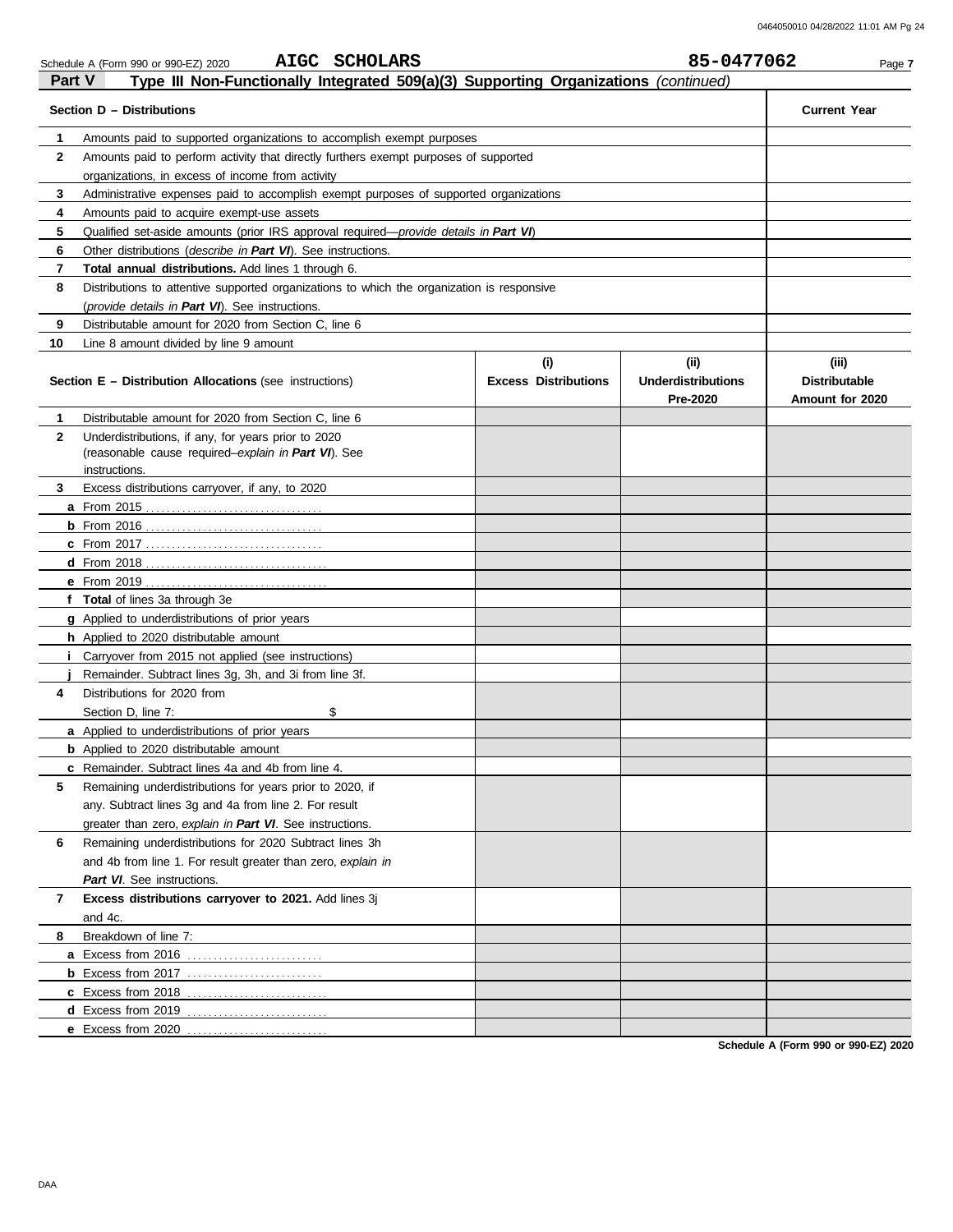|               | AIGC SCHOLARS<br>Schedule A (Form 990 or 990-EZ) 2020                                         |                             | 85-0477062                            | Page 7                                  |
|---------------|-----------------------------------------------------------------------------------------------|-----------------------------|---------------------------------------|-----------------------------------------|
| <b>Part V</b> | Type III Non-Functionally Integrated 509(a)(3) Supporting Organizations (continued)           |                             |                                       |                                         |
|               | Section D - Distributions                                                                     |                             |                                       | <b>Current Year</b>                     |
| 1             | Amounts paid to supported organizations to accomplish exempt purposes                         |                             |                                       |                                         |
| 2             | Amounts paid to perform activity that directly furthers exempt purposes of supported          |                             |                                       |                                         |
|               | organizations, in excess of income from activity                                              |                             |                                       |                                         |
| 3             | Administrative expenses paid to accomplish exempt purposes of supported organizations         |                             |                                       |                                         |
| 4             | Amounts paid to acquire exempt-use assets                                                     |                             |                                       |                                         |
| 5             | Qualified set-aside amounts (prior IRS approval required— <i>provide details in Part VI</i> ) |                             |                                       |                                         |
| 6             | Other distributions ( <i>describe in Part VI</i> ). See instructions.                         |                             |                                       |                                         |
| 7             | <b>Total annual distributions.</b> Add lines 1 through 6.                                     |                             |                                       |                                         |
| 8             | Distributions to attentive supported organizations to which the organization is responsive    |                             |                                       |                                         |
|               | (provide details in Part VI). See instructions.                                               |                             |                                       |                                         |
| 9             | Distributable amount for 2020 from Section C, line 6                                          |                             |                                       |                                         |
| 10            | Line 8 amount divided by line 9 amount                                                        |                             |                                       |                                         |
|               |                                                                                               | (i)                         | (ii)                                  | (iii)                                   |
|               | <b>Section E – Distribution Allocations</b> (see instructions)                                | <b>Excess Distributions</b> | <b>Underdistributions</b><br>Pre-2020 | <b>Distributable</b><br>Amount for 2020 |
| 1             | Distributable amount for 2020 from Section C, line 6                                          |                             |                                       |                                         |
| 2             | Underdistributions, if any, for years prior to 2020                                           |                             |                                       |                                         |
|               | (reasonable cause required-explain in Part VI). See                                           |                             |                                       |                                         |
|               | instructions.                                                                                 |                             |                                       |                                         |
| 3             | Excess distributions carryover, if any, to 2020                                               |                             |                                       |                                         |
|               |                                                                                               |                             |                                       |                                         |
|               |                                                                                               |                             |                                       |                                         |
|               |                                                                                               |                             |                                       |                                         |
|               |                                                                                               |                             |                                       |                                         |
|               |                                                                                               |                             |                                       |                                         |
|               | f Total of lines 3a through 3e                                                                |                             |                                       |                                         |
|               | <b>g</b> Applied to underdistributions of prior years                                         |                             |                                       |                                         |
|               | h Applied to 2020 distributable amount                                                        |                             |                                       |                                         |
|               | <i>i</i> Carryover from 2015 not applied (see instructions)                                   |                             |                                       |                                         |
|               | Remainder. Subtract lines 3g, 3h, and 3i from line 3f.                                        |                             |                                       |                                         |
| 4             | Distributions for 2020 from                                                                   |                             |                                       |                                         |
|               | Section D, line 7:<br>\$                                                                      |                             |                                       |                                         |
|               | <b>a</b> Applied to underdistributions of prior years                                         |                             |                                       |                                         |
|               | <b>b</b> Applied to 2020 distributable amount                                                 |                             |                                       |                                         |
|               | <b>c</b> Remainder. Subtract lines 4a and 4b from line 4.                                     |                             |                                       |                                         |
| 5             | Remaining underdistributions for years prior to 2020, if                                      |                             |                                       |                                         |
|               | any. Subtract lines 3g and 4a from line 2. For result                                         |                             |                                       |                                         |
|               | greater than zero, explain in Part VI. See instructions.                                      |                             |                                       |                                         |
| 6             | Remaining underdistributions for 2020 Subtract lines 3h                                       |                             |                                       |                                         |
|               | and 4b from line 1. For result greater than zero, explain in                                  |                             |                                       |                                         |
|               | Part VI. See instructions.                                                                    |                             |                                       |                                         |
| 7             | Excess distributions carryover to 2021. Add lines 3j                                          |                             |                                       |                                         |
|               | and 4c.                                                                                       |                             |                                       |                                         |
| 8             | Breakdown of line 7:                                                                          |                             |                                       |                                         |
|               |                                                                                               |                             |                                       |                                         |
|               |                                                                                               |                             |                                       |                                         |
|               |                                                                                               |                             |                                       |                                         |
|               |                                                                                               |                             |                                       |                                         |
|               | e Excess from 2020                                                                            |                             |                                       |                                         |

**Schedule A (Form 990 or 990-EZ) 2020**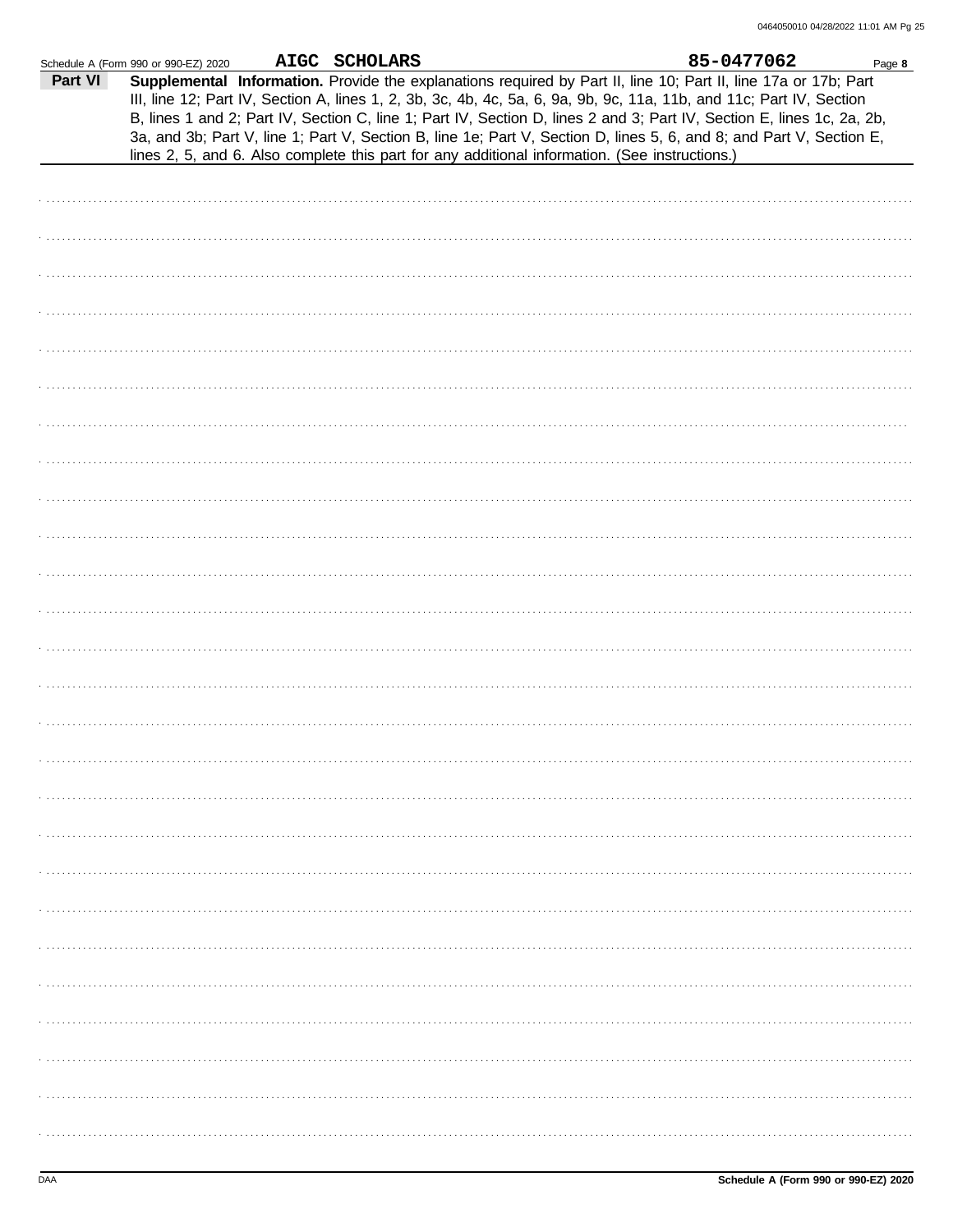|         | Schedule A (Form 990 or 990-EZ) 2020                                                                                                                                                                                                                                                                                                                                                                                                                                                                                                                                                        | AIGC SCHOLARS |  | 85-0477062 | Page 8 |
|---------|---------------------------------------------------------------------------------------------------------------------------------------------------------------------------------------------------------------------------------------------------------------------------------------------------------------------------------------------------------------------------------------------------------------------------------------------------------------------------------------------------------------------------------------------------------------------------------------------|---------------|--|------------|--------|
| Part VI | Supplemental Information. Provide the explanations required by Part II, line 10; Part II, line 17a or 17b; Part<br>III, line 12; Part IV, Section A, lines 1, 2, 3b, 3c, 4b, 4c, 5a, 6, 9a, 9b, 9c, 11a, 11b, and 11c; Part IV, Section<br>B, lines 1 and 2; Part IV, Section C, line 1; Part IV, Section D, lines 2 and 3; Part IV, Section E, lines 1c, 2a, 2b,<br>3a, and 3b; Part V, line 1; Part V, Section B, line 1e; Part V, Section D, lines 5, 6, and 8; and Part V, Section E,<br>lines 2, 5, and 6. Also complete this part for any additional information. (See instructions.) |               |  |            |        |
|         |                                                                                                                                                                                                                                                                                                                                                                                                                                                                                                                                                                                             |               |  |            |        |
|         |                                                                                                                                                                                                                                                                                                                                                                                                                                                                                                                                                                                             |               |  |            |        |
|         |                                                                                                                                                                                                                                                                                                                                                                                                                                                                                                                                                                                             |               |  |            |        |
|         |                                                                                                                                                                                                                                                                                                                                                                                                                                                                                                                                                                                             |               |  |            |        |
|         |                                                                                                                                                                                                                                                                                                                                                                                                                                                                                                                                                                                             |               |  |            |        |
|         |                                                                                                                                                                                                                                                                                                                                                                                                                                                                                                                                                                                             |               |  |            |        |
|         |                                                                                                                                                                                                                                                                                                                                                                                                                                                                                                                                                                                             |               |  |            |        |
|         |                                                                                                                                                                                                                                                                                                                                                                                                                                                                                                                                                                                             |               |  |            |        |
|         |                                                                                                                                                                                                                                                                                                                                                                                                                                                                                                                                                                                             |               |  |            |        |
|         |                                                                                                                                                                                                                                                                                                                                                                                                                                                                                                                                                                                             |               |  |            |        |
|         |                                                                                                                                                                                                                                                                                                                                                                                                                                                                                                                                                                                             |               |  |            |        |
|         |                                                                                                                                                                                                                                                                                                                                                                                                                                                                                                                                                                                             |               |  |            |        |
|         |                                                                                                                                                                                                                                                                                                                                                                                                                                                                                                                                                                                             |               |  |            |        |
|         |                                                                                                                                                                                                                                                                                                                                                                                                                                                                                                                                                                                             |               |  |            |        |
|         |                                                                                                                                                                                                                                                                                                                                                                                                                                                                                                                                                                                             |               |  |            |        |
|         |                                                                                                                                                                                                                                                                                                                                                                                                                                                                                                                                                                                             |               |  |            |        |
|         |                                                                                                                                                                                                                                                                                                                                                                                                                                                                                                                                                                                             |               |  |            |        |
|         |                                                                                                                                                                                                                                                                                                                                                                                                                                                                                                                                                                                             |               |  |            |        |
|         |                                                                                                                                                                                                                                                                                                                                                                                                                                                                                                                                                                                             |               |  |            |        |
|         |                                                                                                                                                                                                                                                                                                                                                                                                                                                                                                                                                                                             |               |  |            |        |
|         |                                                                                                                                                                                                                                                                                                                                                                                                                                                                                                                                                                                             |               |  |            |        |
|         |                                                                                                                                                                                                                                                                                                                                                                                                                                                                                                                                                                                             |               |  |            |        |
|         |                                                                                                                                                                                                                                                                                                                                                                                                                                                                                                                                                                                             |               |  |            |        |
|         |                                                                                                                                                                                                                                                                                                                                                                                                                                                                                                                                                                                             |               |  |            |        |
|         |                                                                                                                                                                                                                                                                                                                                                                                                                                                                                                                                                                                             |               |  |            |        |
|         |                                                                                                                                                                                                                                                                                                                                                                                                                                                                                                                                                                                             |               |  |            |        |
|         |                                                                                                                                                                                                                                                                                                                                                                                                                                                                                                                                                                                             |               |  |            |        |
|         |                                                                                                                                                                                                                                                                                                                                                                                                                                                                                                                                                                                             |               |  |            |        |
|         |                                                                                                                                                                                                                                                                                                                                                                                                                                                                                                                                                                                             |               |  |            |        |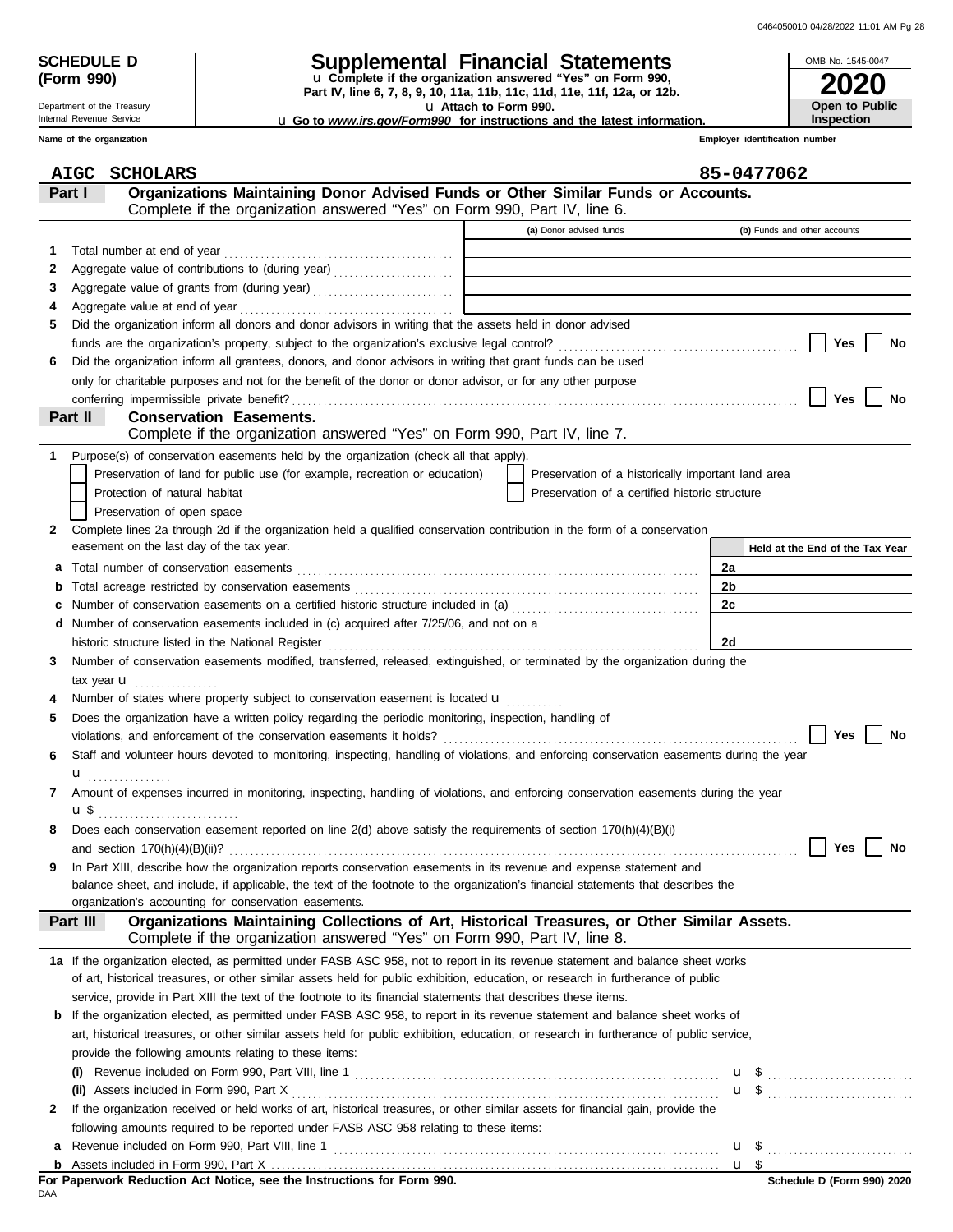| <b>SCHEDULE D</b> |  |
|-------------------|--|
| (Form 990)        |  |

Department of the Treasury

## **SCHEDULE D Supplemental Financial Statements**

**Part IV, line 6, 7, 8, 9, 10, 11a, 11b, 11c, 11d, 11e, 11f, 12a, or 12b.** u **Complete if the organization answered "Yes" on Form 990,**

u **Attach to Form 990.** 

| OMB No. 1545-0047 |
|-------------------|
| <b>2020</b>       |
| Open to Public    |
| Inspection        |

u **Go to** *www.irs.gov/Form990* **for instructions and the latest information.**

**Employer identification number**

|             | <b>AIGC</b><br><b>SCHOLARS</b>                                                                                                            |                                                             |                | 85-0477062                                          |
|-------------|-------------------------------------------------------------------------------------------------------------------------------------------|-------------------------------------------------------------|----------------|-----------------------------------------------------|
|             | Organizations Maintaining Donor Advised Funds or Other Similar Funds or Accounts.<br>Part I                                               |                                                             |                |                                                     |
|             | Complete if the organization answered "Yes" on Form 990, Part IV, line 6.                                                                 |                                                             |                |                                                     |
|             |                                                                                                                                           | (a) Donor advised funds                                     |                | (b) Funds and other accounts                        |
| 1           |                                                                                                                                           |                                                             |                |                                                     |
| 2           |                                                                                                                                           | the control of the control of the control of the control of |                |                                                     |
| З           |                                                                                                                                           |                                                             |                |                                                     |
| 4           |                                                                                                                                           |                                                             |                |                                                     |
| 5           | Did the organization inform all donors and donor advisors in writing that the assets held in donor advised                                |                                                             |                |                                                     |
|             |                                                                                                                                           |                                                             |                | Yes<br>No                                           |
| 6           | Did the organization inform all grantees, donors, and donor advisors in writing that grant funds can be used                              |                                                             |                |                                                     |
|             | only for charitable purposes and not for the benefit of the donor or donor advisor, or for any other purpose                              |                                                             |                |                                                     |
|             |                                                                                                                                           |                                                             |                | <b>Yes</b><br>No                                    |
|             | Part II<br><b>Conservation Easements.</b>                                                                                                 |                                                             |                |                                                     |
|             | Complete if the organization answered "Yes" on Form 990, Part IV, line 7.                                                                 |                                                             |                |                                                     |
| $\mathbf 1$ | Purpose(s) of conservation easements held by the organization (check all that apply).                                                     |                                                             |                |                                                     |
|             | Preservation of land for public use (for example, recreation or education)                                                                | Preservation of a historically important land area          |                |                                                     |
|             | Protection of natural habitat                                                                                                             | Preservation of a certified historic structure              |                |                                                     |
|             | Preservation of open space                                                                                                                |                                                             |                |                                                     |
| 2           | Complete lines 2a through 2d if the organization held a qualified conservation contribution in the form of a conservation                 |                                                             |                |                                                     |
|             | easement on the last day of the tax year.                                                                                                 |                                                             |                | Held at the End of the Tax Year                     |
| a           |                                                                                                                                           |                                                             | 2a             |                                                     |
| b           |                                                                                                                                           |                                                             | 2 <sub>b</sub> |                                                     |
| c           | Number of conservation easements on a certified historic structure included in (a) [[[[[[[[[[[[[[[[[[[[[[[[[]]]]]]]                       |                                                             | 2c             |                                                     |
|             | d Number of conservation easements included in (c) acquired after 7/25/06, and not on a                                                   |                                                             |                |                                                     |
|             | historic structure listed in the National Register                                                                                        |                                                             | 2d             |                                                     |
| 3           | Number of conservation easements modified, transferred, released, extinguished, or terminated by the organization during the              |                                                             |                |                                                     |
|             | tax year $\mathbf u$                                                                                                                      |                                                             |                |                                                     |
| 4           | Number of states where property subject to conservation easement is located $\mathbf{u}$                                                  |                                                             |                |                                                     |
| 5           | Does the organization have a written policy regarding the periodic monitoring, inspection, handling of                                    |                                                             |                |                                                     |
|             |                                                                                                                                           |                                                             |                | <b>Yes</b><br>No                                    |
| 6           | Staff and volunteer hours devoted to monitoring, inspecting, handling of violations, and enforcing conservation easements during the year |                                                             |                |                                                     |
|             | ${\bf u}$                                                                                                                                 |                                                             |                |                                                     |
| 7           | Amount of expenses incurred in monitoring, inspecting, handling of violations, and enforcing conservation easements during the year       |                                                             |                |                                                     |
|             |                                                                                                                                           |                                                             |                |                                                     |
| 8           | Does each conservation easement reported on line $2(d)$ above satisfy the requirements of section $170(h)(4)(B)(i)$                       |                                                             |                |                                                     |
|             |                                                                                                                                           |                                                             |                | Yes<br>No                                           |
|             | In Part XIII, describe how the organization reports conservation easements in its revenue and expense statement and                       |                                                             |                |                                                     |
|             | balance sheet, and include, if applicable, the text of the footnote to the organization's financial statements that describes the         |                                                             |                |                                                     |
|             | organization's accounting for conservation easements.                                                                                     |                                                             |                |                                                     |
|             | Organizations Maintaining Collections of Art, Historical Treasures, or Other Similar Assets.<br>Part III                                  |                                                             |                |                                                     |
|             | Complete if the organization answered "Yes" on Form 990, Part IV, line 8.                                                                 |                                                             |                |                                                     |
|             | 1a If the organization elected, as permitted under FASB ASC 958, not to report in its revenue statement and balance sheet works           |                                                             |                |                                                     |
|             | of art, historical treasures, or other similar assets held for public exhibition, education, or research in furtherance of public         |                                                             |                |                                                     |
|             | service, provide in Part XIII the text of the footnote to its financial statements that describes these items.                            |                                                             |                |                                                     |
|             | <b>b</b> If the organization elected, as permitted under FASB ASC 958, to report in its revenue statement and balance sheet works of      |                                                             |                |                                                     |
|             | art, historical treasures, or other similar assets held for public exhibition, education, or research in furtherance of public service,   |                                                             |                |                                                     |
|             | provide the following amounts relating to these items:                                                                                    |                                                             |                |                                                     |
|             |                                                                                                                                           |                                                             |                | u \$                                                |
|             |                                                                                                                                           |                                                             |                | $\mathbf{u}$ \$ $\ldots$ $\ldots$ $\ldots$ $\ldots$ |
| 2           | If the organization received or held works of art, historical treasures, or other similar assets for financial gain, provide the          |                                                             |                |                                                     |
|             | following amounts required to be reported under FASB ASC 958 relating to these items:                                                     |                                                             |                |                                                     |
|             |                                                                                                                                           |                                                             |                |                                                     |

DAA

<u>u \$</u>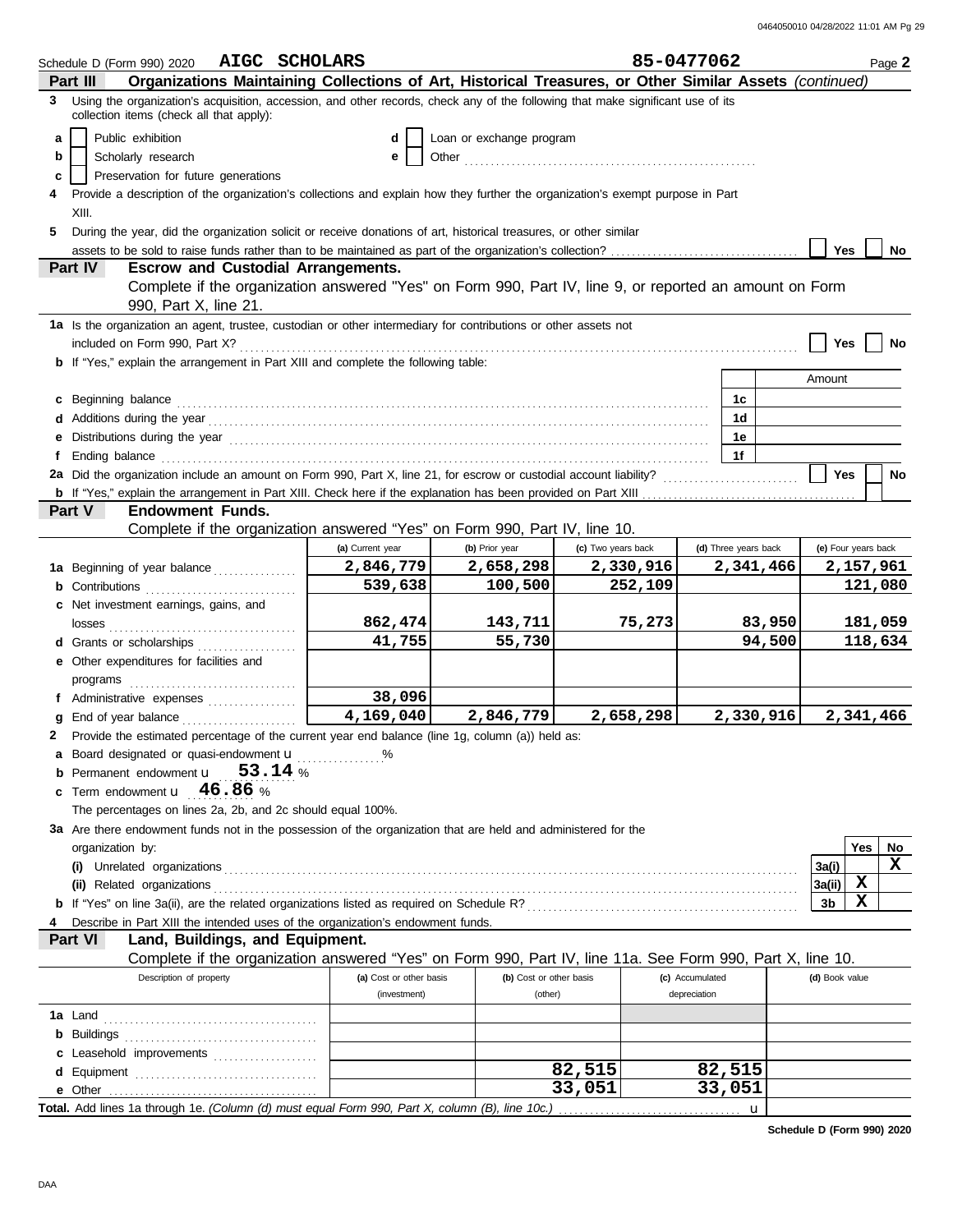|   | Schedule D (Form 990) 2020                                                                                                                                                                                                    | AIGC SCHOLARS                             |                         |                                                                                                            |                    | 85-0477062      |                      |                  |                     |            | Page 2             |
|---|-------------------------------------------------------------------------------------------------------------------------------------------------------------------------------------------------------------------------------|-------------------------------------------|-------------------------|------------------------------------------------------------------------------------------------------------|--------------------|-----------------|----------------------|------------------|---------------------|------------|--------------------|
|   | Part III                                                                                                                                                                                                                      |                                           |                         | Organizations Maintaining Collections of Art, Historical Treasures, or Other Similar Assets (continued)    |                    |                 |                      |                  |                     |            |                    |
|   | 3 Using the organization's acquisition, accession, and other records, check any of the following that make significant use of its<br>collection items (check all that apply):                                                 |                                           |                         |                                                                                                            |                    |                 |                      |                  |                     |            |                    |
|   |                                                                                                                                                                                                                               |                                           |                         |                                                                                                            |                    |                 |                      |                  |                     |            |                    |
| a | Public exhibition                                                                                                                                                                                                             |                                           | d<br>е                  | Loan or exchange program                                                                                   |                    |                 |                      |                  |                     |            |                    |
| b | Scholarly research<br>Preservation for future generations                                                                                                                                                                     |                                           |                         |                                                                                                            |                    |                 |                      |                  |                     |            |                    |
| c | Provide a description of the organization's collections and explain how they further the organization's exempt purpose in Part                                                                                                |                                           |                         |                                                                                                            |                    |                 |                      |                  |                     |            |                    |
|   | XIII.                                                                                                                                                                                                                         |                                           |                         |                                                                                                            |                    |                 |                      |                  |                     |            |                    |
| 5 | During the year, did the organization solicit or receive donations of art, historical treasures, or other similar                                                                                                             |                                           |                         |                                                                                                            |                    |                 |                      |                  |                     |            |                    |
|   |                                                                                                                                                                                                                               |                                           |                         |                                                                                                            |                    |                 |                      |                  | Yes                 |            | <b>No</b>          |
|   | <b>Part IV</b>                                                                                                                                                                                                                | <b>Escrow and Custodial Arrangements.</b> |                         |                                                                                                            |                    |                 |                      |                  |                     |            |                    |
|   |                                                                                                                                                                                                                               |                                           |                         | Complete if the organization answered "Yes" on Form 990, Part IV, line 9, or reported an amount on Form    |                    |                 |                      |                  |                     |            |                    |
|   | 990, Part X, line 21.                                                                                                                                                                                                         |                                           |                         |                                                                                                            |                    |                 |                      |                  |                     |            |                    |
|   | 1a Is the organization an agent, trustee, custodian or other intermediary for contributions or other assets not                                                                                                               |                                           |                         |                                                                                                            |                    |                 |                      |                  |                     |            |                    |
|   | included on Form 990, Part X?                                                                                                                                                                                                 |                                           |                         |                                                                                                            |                    |                 |                      |                  | <b>Yes</b>          |            | <b>No</b>          |
|   | <b>b</b> If "Yes," explain the arrangement in Part XIII and complete the following table:                                                                                                                                     |                                           |                         |                                                                                                            |                    |                 |                      |                  |                     |            |                    |
|   |                                                                                                                                                                                                                               |                                           |                         |                                                                                                            |                    |                 |                      |                  | Amount              |            |                    |
|   | Beginning balance expressions and contact the contract of the contract of the contract of the contract of the contract of the contract of the contract of the contract of the contract of the contract of the contract of the |                                           |                         |                                                                                                            |                    |                 | 1c                   |                  |                     |            |                    |
|   |                                                                                                                                                                                                                               |                                           |                         |                                                                                                            |                    |                 | 1d                   |                  |                     |            |                    |
|   |                                                                                                                                                                                                                               |                                           |                         |                                                                                                            |                    |                 | 1e                   |                  |                     |            |                    |
|   | Ending balance                                                                                                                                                                                                                |                                           |                         |                                                                                                            |                    |                 | 1f                   |                  |                     |            |                    |
|   | 2a Did the organization include an amount on Form 990, Part X, line 21, for escrow or custodial account liability?                                                                                                            |                                           |                         |                                                                                                            |                    |                 |                      |                  | <b>Yes</b>          |            | <b>No</b>          |
|   |                                                                                                                                                                                                                               |                                           |                         |                                                                                                            |                    |                 |                      |                  |                     |            |                    |
|   | Part V<br><b>Endowment Funds.</b>                                                                                                                                                                                             |                                           |                         |                                                                                                            |                    |                 |                      |                  |                     |            |                    |
|   |                                                                                                                                                                                                                               |                                           |                         | Complete if the organization answered "Yes" on Form 990, Part IV, line 10.                                 |                    |                 |                      |                  |                     |            |                    |
|   |                                                                                                                                                                                                                               |                                           | (a) Current year        | (b) Prior year                                                                                             | (c) Two years back |                 | (d) Three years back |                  | (e) Four years back |            |                    |
|   | 1a Beginning of year balance                                                                                                                                                                                                  |                                           | 2,846,779               | 2,658,298                                                                                                  | 2,330,916          |                 |                      | 2,341,466        |                     |            | 2,157,961          |
|   | <b>b</b> Contributions                                                                                                                                                                                                        |                                           | 539,638                 | 100,500                                                                                                    | 252,109            |                 |                      |                  |                     |            | 121,080            |
|   | c Net investment earnings, gains, and                                                                                                                                                                                         |                                           |                         |                                                                                                            |                    |                 |                      |                  |                     |            |                    |
|   |                                                                                                                                                                                                                               |                                           | 862,474<br>41,755       | 143,711<br>55,730                                                                                          | 75,273             |                 |                      | 83,950<br>94,500 |                     |            | 181,059<br>118,634 |
|   | d Grants or scholarships                                                                                                                                                                                                      |                                           |                         |                                                                                                            |                    |                 |                      |                  |                     |            |                    |
|   | <b>e</b> Other expenditures for facilities and                                                                                                                                                                                |                                           |                         |                                                                                                            |                    |                 |                      |                  |                     |            |                    |
|   |                                                                                                                                                                                                                               |                                           | 38,096                  |                                                                                                            |                    |                 |                      |                  |                     |            |                    |
|   | f Administrative expenses<br>End of year balance                                                                                                                                                                              |                                           | 4,169,040               | 2,846,779                                                                                                  | 2,658,298          |                 |                      | 2,330,916        |                     |            | 2,341,466          |
| 2 | Provide the estimated percentage of the current year end balance (line 1g, column (a)) held as:                                                                                                                               |                                           |                         |                                                                                                            |                    |                 |                      |                  |                     |            |                    |
| a | Board designated or quasi-endowment <b>u</b>                                                                                                                                                                                  | . %                                       |                         |                                                                                                            |                    |                 |                      |                  |                     |            |                    |
|   | Permanent endowment <b>u</b> 53.14 %                                                                                                                                                                                          |                                           |                         |                                                                                                            |                    |                 |                      |                  |                     |            |                    |
|   | Term endowment $\mathbf{u}$ 46.86 %                                                                                                                                                                                           |                                           |                         |                                                                                                            |                    |                 |                      |                  |                     |            |                    |
|   | The percentages on lines 2a, 2b, and 2c should equal 100%.                                                                                                                                                                    |                                           |                         |                                                                                                            |                    |                 |                      |                  |                     |            |                    |
|   | 3a Are there endowment funds not in the possession of the organization that are held and administered for the                                                                                                                 |                                           |                         |                                                                                                            |                    |                 |                      |                  |                     |            |                    |
|   | organization by:                                                                                                                                                                                                              |                                           |                         |                                                                                                            |                    |                 |                      |                  |                     | <b>Yes</b> | No                 |
|   |                                                                                                                                                                                                                               |                                           |                         |                                                                                                            |                    |                 |                      |                  | 3a(i)               |            | x                  |
|   |                                                                                                                                                                                                                               |                                           |                         |                                                                                                            |                    |                 |                      |                  | 3a(ii)              | X          |                    |
|   |                                                                                                                                                                                                                               |                                           |                         |                                                                                                            |                    |                 |                      |                  | 3b                  | X          |                    |
|   | Describe in Part XIII the intended uses of the organization's endowment funds.                                                                                                                                                |                                           |                         |                                                                                                            |                    |                 |                      |                  |                     |            |                    |
|   | Part VI                                                                                                                                                                                                                       | Land, Buildings, and Equipment.           |                         |                                                                                                            |                    |                 |                      |                  |                     |            |                    |
|   |                                                                                                                                                                                                                               |                                           |                         | Complete if the organization answered "Yes" on Form 990, Part IV, line 11a. See Form 990, Part X, line 10. |                    |                 |                      |                  |                     |            |                    |
|   | Description of property                                                                                                                                                                                                       |                                           | (a) Cost or other basis | (b) Cost or other basis                                                                                    |                    | (c) Accumulated |                      |                  | (d) Book value      |            |                    |
|   |                                                                                                                                                                                                                               |                                           | (investment)            | (other)                                                                                                    |                    | depreciation    |                      |                  |                     |            |                    |
|   |                                                                                                                                                                                                                               |                                           |                         |                                                                                                            |                    |                 |                      |                  |                     |            |                    |
|   |                                                                                                                                                                                                                               |                                           |                         |                                                                                                            |                    |                 |                      |                  |                     |            |                    |
|   | c Leasehold improvements                                                                                                                                                                                                      |                                           |                         |                                                                                                            | 82,515             |                 | 82,515               |                  |                     |            |                    |
|   |                                                                                                                                                                                                                               |                                           |                         |                                                                                                            | 33,051             |                 | 33,051               |                  |                     |            |                    |
|   |                                                                                                                                                                                                                               |                                           |                         |                                                                                                            |                    |                 |                      |                  |                     |            |                    |
|   |                                                                                                                                                                                                                               |                                           |                         |                                                                                                            |                    |                 |                      |                  |                     |            |                    |

**Schedule D (Form 990) 2020**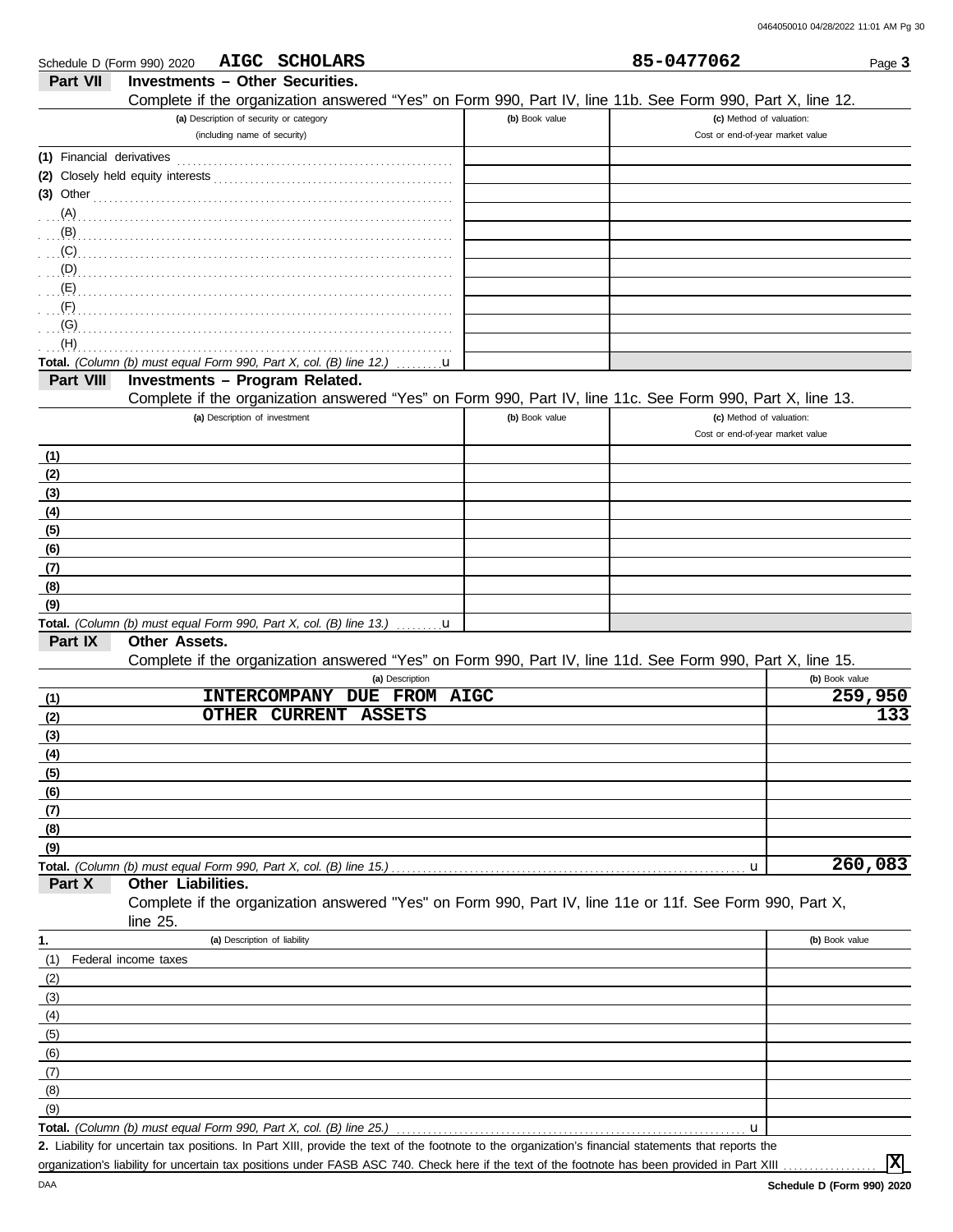| Schedule D (Form 990) 2020 | AIGC SCHOLARS                                                                                              |                | 85-0477062                       | Page 3         |
|----------------------------|------------------------------------------------------------------------------------------------------------|----------------|----------------------------------|----------------|
| Part VII                   | <b>Investments - Other Securities.</b>                                                                     |                |                                  |                |
|                            | Complete if the organization answered "Yes" on Form 990, Part IV, line 11b. See Form 990, Part X, line 12. |                |                                  |                |
|                            | (a) Description of security or category                                                                    | (b) Book value | (c) Method of valuation:         |                |
|                            | (including name of security)                                                                               |                | Cost or end-of-year market value |                |
| (1) Financial derivatives  |                                                                                                            |                |                                  |                |
|                            |                                                                                                            |                |                                  |                |
|                            | $(3)$ Other                                                                                                |                |                                  |                |
|                            |                                                                                                            |                |                                  |                |
|                            |                                                                                                            |                |                                  |                |
|                            | $(C)$ (C)                                                                                                  |                |                                  |                |
|                            |                                                                                                            |                |                                  |                |
|                            |                                                                                                            |                |                                  |                |
| (F)                        |                                                                                                            |                |                                  |                |
| (G)                        |                                                                                                            |                |                                  |                |
| (H)                        |                                                                                                            |                |                                  |                |
|                            | Total. (Column (b) must equal Form 990, Part X, col. (B) line 12.) $\ldots \ldots \mathbf{u}$              |                |                                  |                |
| Part VIII                  | Investments - Program Related.                                                                             |                |                                  |                |
|                            | Complete if the organization answered "Yes" on Form 990, Part IV, line 11c. See Form 990, Part X, line 13. |                |                                  |                |
|                            | (a) Description of investment                                                                              | (b) Book value | (c) Method of valuation:         |                |
|                            |                                                                                                            |                | Cost or end-of-year market value |                |
| (1)                        |                                                                                                            |                |                                  |                |
| (2)                        |                                                                                                            |                |                                  |                |
| (3)                        |                                                                                                            |                |                                  |                |
| (4)                        |                                                                                                            |                |                                  |                |
| (5)                        |                                                                                                            |                |                                  |                |
| (6)                        |                                                                                                            |                |                                  |                |
| (7)                        |                                                                                                            |                |                                  |                |
| (8)                        |                                                                                                            |                |                                  |                |
| (9)                        |                                                                                                            |                |                                  |                |
|                            | Total. (Column (b) must equal Form 990, Part X, col. (B) line 13.) $\dots \dots \mathbf{u}$                |                |                                  |                |
| Part IX                    | Other Assets.                                                                                              |                |                                  |                |
|                            | Complete if the organization answered "Yes" on Form 990, Part IV, line 11d. See Form 990, Part X, line 15. |                |                                  |                |
|                            | (a) Description                                                                                            |                |                                  | (b) Book value |
| (1)                        | INTERCOMPANY DUE FROM AIGC                                                                                 |                |                                  | 259,950        |
| (2)                        | <b>OTHER</b><br><b>CURRENT</b><br><b>ASSETS</b>                                                            |                |                                  | 133            |
| (3)                        |                                                                                                            |                |                                  |                |
| (4)                        |                                                                                                            |                |                                  |                |
| (5)                        |                                                                                                            |                |                                  |                |
| (6)                        |                                                                                                            |                |                                  |                |
| (7)                        |                                                                                                            |                |                                  |                |
| (8)                        |                                                                                                            |                |                                  |                |
| (9)                        |                                                                                                            |                |                                  |                |
|                            |                                                                                                            |                | u                                | 260,083        |
| Part X                     | Other Liabilities.                                                                                         |                |                                  |                |
|                            | Complete if the organization answered "Yes" on Form 990, Part IV, line 11e or 11f. See Form 990, Part X,   |                |                                  |                |
|                            | line $25$ .                                                                                                |                |                                  |                |
| 1.                         | (a) Description of liability                                                                               |                |                                  | (b) Book value |
| (1)                        | Federal income taxes                                                                                       |                |                                  |                |
|                            |                                                                                                            |                |                                  |                |
| (2)<br>(3)                 |                                                                                                            |                |                                  |                |
|                            |                                                                                                            |                |                                  |                |
| (4)                        |                                                                                                            |                |                                  |                |
| (5)                        |                                                                                                            |                |                                  |                |
| (6)                        |                                                                                                            |                |                                  |                |
| (7)                        |                                                                                                            |                |                                  |                |
| (8)                        |                                                                                                            |                |                                  |                |
| (9)                        |                                                                                                            |                |                                  |                |
|                            | Total. (Column (b) must equal Form 990, Part X, col. (B) line 25.)                                         |                | u                                |                |

Liability for uncertain tax positions. In Part XIII, provide the text of the footnote to the organization's financial statements that reports the **2.** organization's liability for uncertain tax positions under FASB ASC 740. Check here if the text of the footnote has been provided in Part XIII

**X**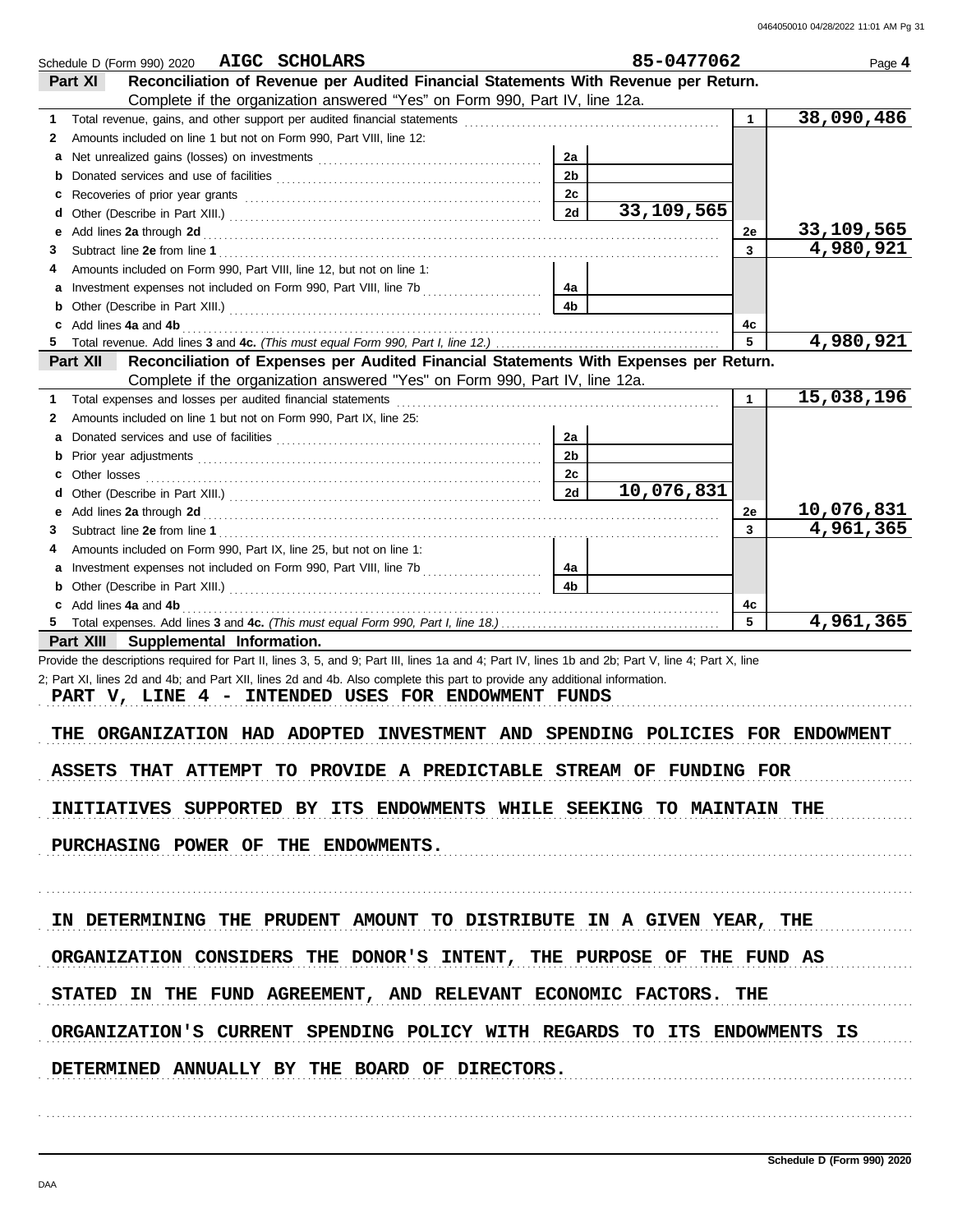|              | Schedule D (Form 990) 2020 AIGC SCHOLARS                                                                                                                                                                                       |                | 85-0477062 |              | Page 4     |
|--------------|--------------------------------------------------------------------------------------------------------------------------------------------------------------------------------------------------------------------------------|----------------|------------|--------------|------------|
|              | Reconciliation of Revenue per Audited Financial Statements With Revenue per Return.<br><b>Part XI</b>                                                                                                                          |                |            |              |            |
|              | Complete if the organization answered "Yes" on Form 990, Part IV, line 12a.                                                                                                                                                    |                |            |              |            |
| 1            |                                                                                                                                                                                                                                |                |            | $\mathbf{1}$ | 38,090,486 |
| 2            | Amounts included on line 1 but not on Form 990, Part VIII, line 12:                                                                                                                                                            |                |            |              |            |
| a            |                                                                                                                                                                                                                                | 2a             |            |              |            |
| b            |                                                                                                                                                                                                                                | 2 <sub>b</sub> |            |              |            |
| c            |                                                                                                                                                                                                                                | 2c             |            |              |            |
| d            |                                                                                                                                                                                                                                | 2d             | 33,109,565 |              |            |
| е            | Add lines 2a through 2d [11] Additional Discovery and Discovery Additional Discovery Additional Discovery Additional Discovery Additional Discovery Additional Discovery Additional Discovery Additional Discovery Additional  |                |            | 2e           | 33,109,565 |
| 3            |                                                                                                                                                                                                                                |                |            | 3            | 4,980,921  |
| 4            | Amounts included on Form 990, Part VIII, line 12, but not on line 1:                                                                                                                                                           |                |            |              |            |
| a            |                                                                                                                                                                                                                                | 4a             |            |              |            |
| b            |                                                                                                                                                                                                                                | 4b             |            |              |            |
| c            | Add lines 4a and 4b                                                                                                                                                                                                            |                |            | 4c           |            |
| 5.           |                                                                                                                                                                                                                                |                |            | 5            | 4,980,921  |
|              | Reconciliation of Expenses per Audited Financial Statements With Expenses per Return.<br><b>Part XII</b>                                                                                                                       |                |            |              |            |
|              | Complete if the organization answered "Yes" on Form 990, Part IV, line 12a.                                                                                                                                                    |                |            | $\mathbf{1}$ | 15,038,196 |
| $\mathbf{1}$ |                                                                                                                                                                                                                                |                |            |              |            |
| 2            | Amounts included on line 1 but not on Form 990, Part IX, line 25:                                                                                                                                                              |                |            |              |            |
| a            |                                                                                                                                                                                                                                | 2a             |            |              |            |
| b            |                                                                                                                                                                                                                                | 2b             |            |              |            |
| c            |                                                                                                                                                                                                                                | 2c<br>2d       | 10,076,831 |              |            |
| d            |                                                                                                                                                                                                                                |                |            | 2e           | 10,076,831 |
| е<br>3       | Add lines 2a through 2d [11] 20 [11] 20 [12] 20 [12] 20 [12] 20 [12] 20 [12] 20 [12] 20 [12] 20 [12] 20 [12] 20 [12] 20 [12] 20 [12] 20 [12] 20 [12] 20 [12] 20 [12] 20 [12] 20 [12] 20 [12] 20 [12] 20 [12] 20 [12] 20 [12] 2 |                |            | 3            | 4,961,365  |
| 4            | Amounts included on Form 990, Part IX, line 25, but not on line 1:                                                                                                                                                             |                |            |              |            |
| a            |                                                                                                                                                                                                                                | 4a             |            |              |            |
| b            |                                                                                                                                                                                                                                | 4 <sub>b</sub> |            |              |            |
|              | c Add lines 4a and 4b                                                                                                                                                                                                          |                |            | 4c           |            |
| 5            |                                                                                                                                                                                                                                |                |            | 5            | 4,961,365  |
|              | Part XIII Supplemental Information.                                                                                                                                                                                            |                |            |              |            |
|              | Provide the descriptions required for Part II, lines 3, 5, and 9; Part III, lines 1a and 4; Part IV, lines 1b and 2b; Part V, line 4; Part X, line                                                                             |                |            |              |            |
|              | 2; Part XI, lines 2d and 4b; and Part XII, lines 2d and 4b. Also complete this part to provide any additional information.                                                                                                     |                |            |              |            |
|              | PART V, LINE 4 - INTENDED USES FOR ENDOWMENT FUNDS                                                                                                                                                                             |                |            |              |            |
|              |                                                                                                                                                                                                                                |                |            |              |            |
|              | THE ORGANIZATION HAD ADOPTED INVESTMENT AND SPENDING POLICIES FOR ENDOWMENT                                                                                                                                                    |                |            |              |            |
|              |                                                                                                                                                                                                                                |                |            |              |            |
|              | ASSETS THAT ATTEMPT TO PROVIDE A PREDICTABLE STREAM OF FUNDING FOR                                                                                                                                                             |                |            |              |            |
|              |                                                                                                                                                                                                                                |                |            |              |            |
|              | INITIATIVES SUPPORTED BY ITS ENDOWMENTS WHILE SEEKING TO MAINTAIN THE                                                                                                                                                          |                |            |              |            |
|              |                                                                                                                                                                                                                                |                |            |              |            |
|              | PURCHASING POWER OF THE ENDOWMENTS.                                                                                                                                                                                            |                |            |              |            |
|              |                                                                                                                                                                                                                                |                |            |              |            |
|              |                                                                                                                                                                                                                                |                |            |              |            |
|              |                                                                                                                                                                                                                                |                |            |              |            |
|              | IN DETERMINING THE PRUDENT AMOUNT TO DISTRIBUTE IN A GIVEN YEAR, THE                                                                                                                                                           |                |            |              |            |
|              |                                                                                                                                                                                                                                |                |            |              |            |
|              | ORGANIZATION CONSIDERS THE DONOR'S INTENT, THE PURPOSE OF THE FUND AS                                                                                                                                                          |                |            |              |            |
|              | STATED IN THE FUND AGREEMENT, AND RELEVANT ECONOMIC FACTORS. THE                                                                                                                                                               |                |            |              |            |
|              |                                                                                                                                                                                                                                |                |            |              |            |
|              | ORGANIZATION'S CURRENT SPENDING POLICY WITH REGARDS TO ITS ENDOWMENTS IS                                                                                                                                                       |                |            |              |            |
|              |                                                                                                                                                                                                                                |                |            |              |            |
|              | DETERMINED ANNUALLY BY THE BOARD OF DIRECTORS.                                                                                                                                                                                 |                |            |              |            |
|              |                                                                                                                                                                                                                                |                |            |              |            |
|              |                                                                                                                                                                                                                                |                |            |              |            |
|              |                                                                                                                                                                                                                                |                |            |              |            |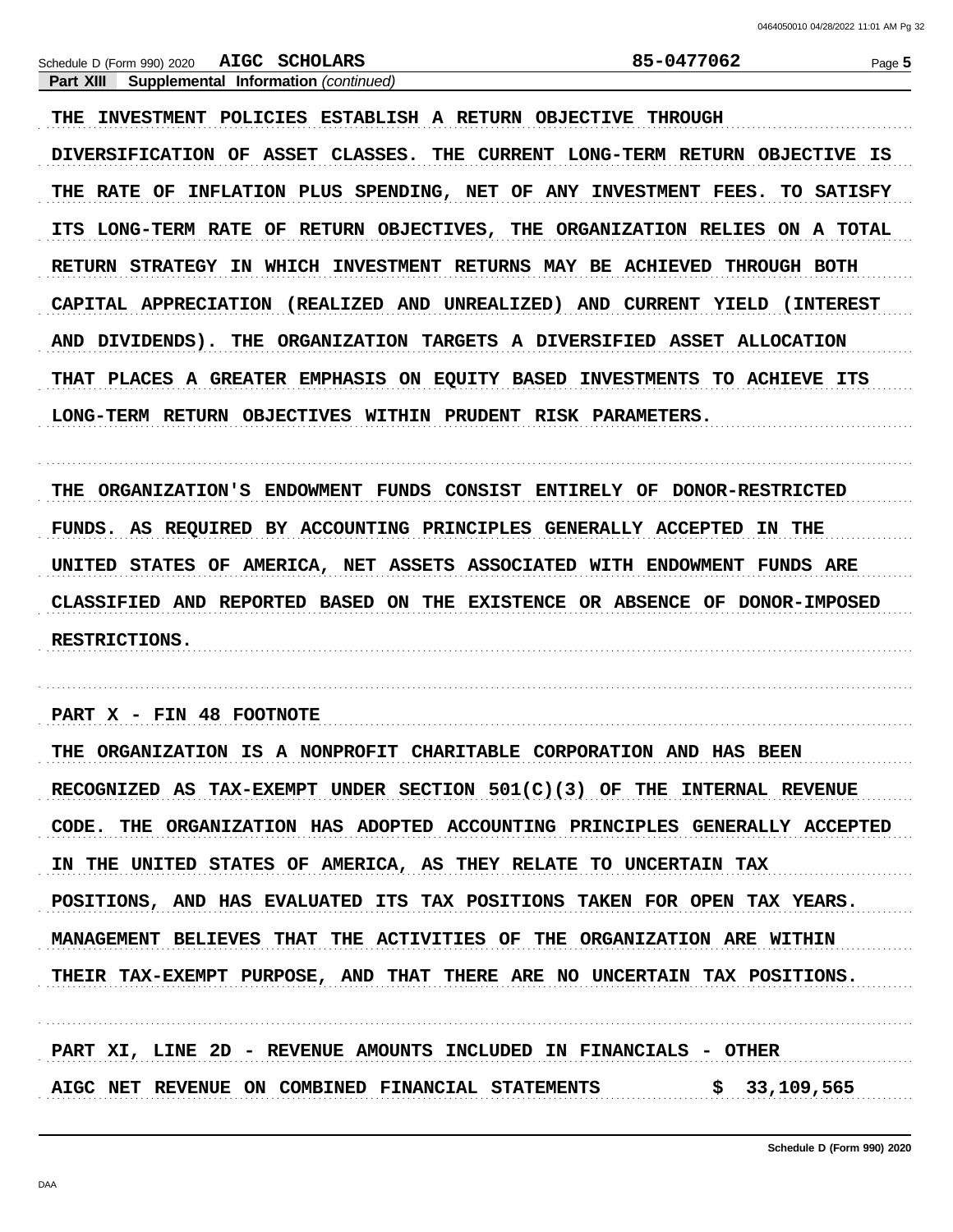85-0477062

Page 5

### Part XIII Supplemental Information (continued)

THE INVESTMENT POLICIES ESTABLISH A RETURN OBJECTIVE THROUGH DIVERSIFICATION OF ASSET CLASSES. THE CURRENT LONG-TERM RETURN OBJECTIVE IS THE RATE OF INFLATION PLUS SPENDING, NET OF ANY INVESTMENT FEES. TO SATISFY ITS LONG-TERM RATE OF RETURN OBJECTIVES, THE ORGANIZATION RELIES ON A TOTAL RETURN STRATEGY IN WHICH INVESTMENT RETURNS MAY BE ACHIEVED THROUGH BOTH CAPITAL APPRECIATION (REALIZED AND UNREALIZED) AND CURRENT YIELD (INTEREST AND DIVIDENDS). THE ORGANIZATION TARGETS A DIVERSIFIED ASSET ALLOCATION THAT PLACES A GREATER EMPHASIS ON EQUITY BASED INVESTMENTS TO ACHIEVE ITS LONG-TERM RETURN OBJECTIVES WITHIN PRUDENT RISK PARAMETERS.

THE ORGANIZATION'S ENDOWMENT FUNDS CONSIST ENTIRELY OF DONOR-RESTRICTED FUNDS. AS REQUIRED BY ACCOUNTING PRINCIPLES GENERALLY ACCEPTED IN THE UNITED STATES OF AMERICA, NET ASSETS ASSOCIATED WITH ENDOWMENT FUNDS ARE CLASSIFIED AND REPORTED BASED ON THE EXISTENCE OR ABSENCE OF DONOR-IMPOSED **RESTRICTIONS.** 

PART X - FIN 48 FOOTNOTE THE ORGANIZATION IS A NONPROFIT CHARITABLE CORPORATION AND HAS BEEN

RECOGNIZED AS TAX-EXEMPT UNDER SECTION  $501(C)(3)$  OF THE INTERNAL REVENUE CODE. THE ORGANIZATION HAS ADOPTED ACCOUNTING PRINCIPLES GENERALLY ACCEPTED IN THE UNITED STATES OF AMERICA, AS THEY RELATE TO UNCERTAIN TAX POSITIONS, AND HAS EVALUATED ITS TAX POSITIONS TAKEN FOR OPEN TAX YEARS. MANAGEMENT BELIEVES THAT THE ACTIVITIES OF THE ORGANIZATION ARE WITHIN THEIR TAX-EXEMPT PURPOSE, AND THAT THERE ARE NO UNCERTAIN TAX POSITIONS.

PART XI, LINE 2D - REVENUE AMOUNTS INCLUDED IN FINANCIALS - OTHER AIGC NET REVENUE ON COMBINED FINANCIAL STATEMENTS \$ 33,109,565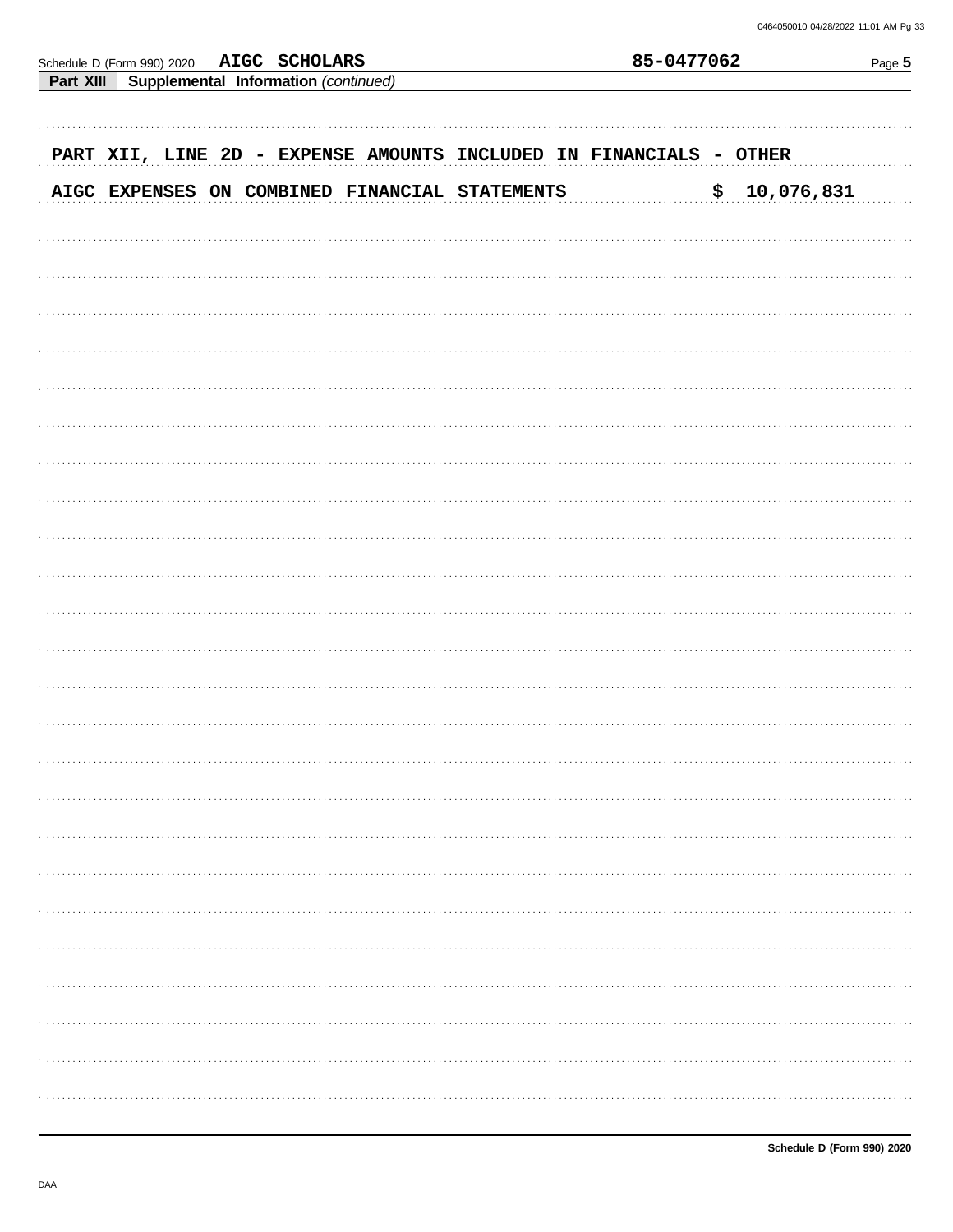| <b>AIGC SCHOLARS</b><br>Schedule D (Form 990) 2020         | 85-0477062       | Page 5 |  |  |
|------------------------------------------------------------|------------------|--------|--|--|
| Supplemental Information (continued)<br>Part XIII          |                  |        |  |  |
| PART XII, LINE 2D - EXPENSE AMOUNTS INCLUDED IN FINANCIALS | - OTHER          |        |  |  |
| AIGC EXPENSES ON COMBINED FINANCIAL STATEMENTS             | 10,076,831<br>\$ |        |  |  |
|                                                            |                  |        |  |  |
|                                                            |                  |        |  |  |
|                                                            |                  |        |  |  |
|                                                            |                  |        |  |  |
|                                                            |                  |        |  |  |
|                                                            |                  |        |  |  |
|                                                            |                  |        |  |  |
|                                                            |                  |        |  |  |
|                                                            |                  |        |  |  |
|                                                            |                  |        |  |  |
|                                                            |                  |        |  |  |
|                                                            |                  |        |  |  |
|                                                            |                  |        |  |  |
|                                                            |                  |        |  |  |
|                                                            |                  |        |  |  |
|                                                            |                  |        |  |  |
|                                                            |                  |        |  |  |
|                                                            |                  |        |  |  |
|                                                            |                  |        |  |  |
|                                                            |                  |        |  |  |
|                                                            |                  |        |  |  |
|                                                            |                  |        |  |  |
|                                                            |                  |        |  |  |
|                                                            |                  |        |  |  |
|                                                            |                  |        |  |  |
|                                                            |                  |        |  |  |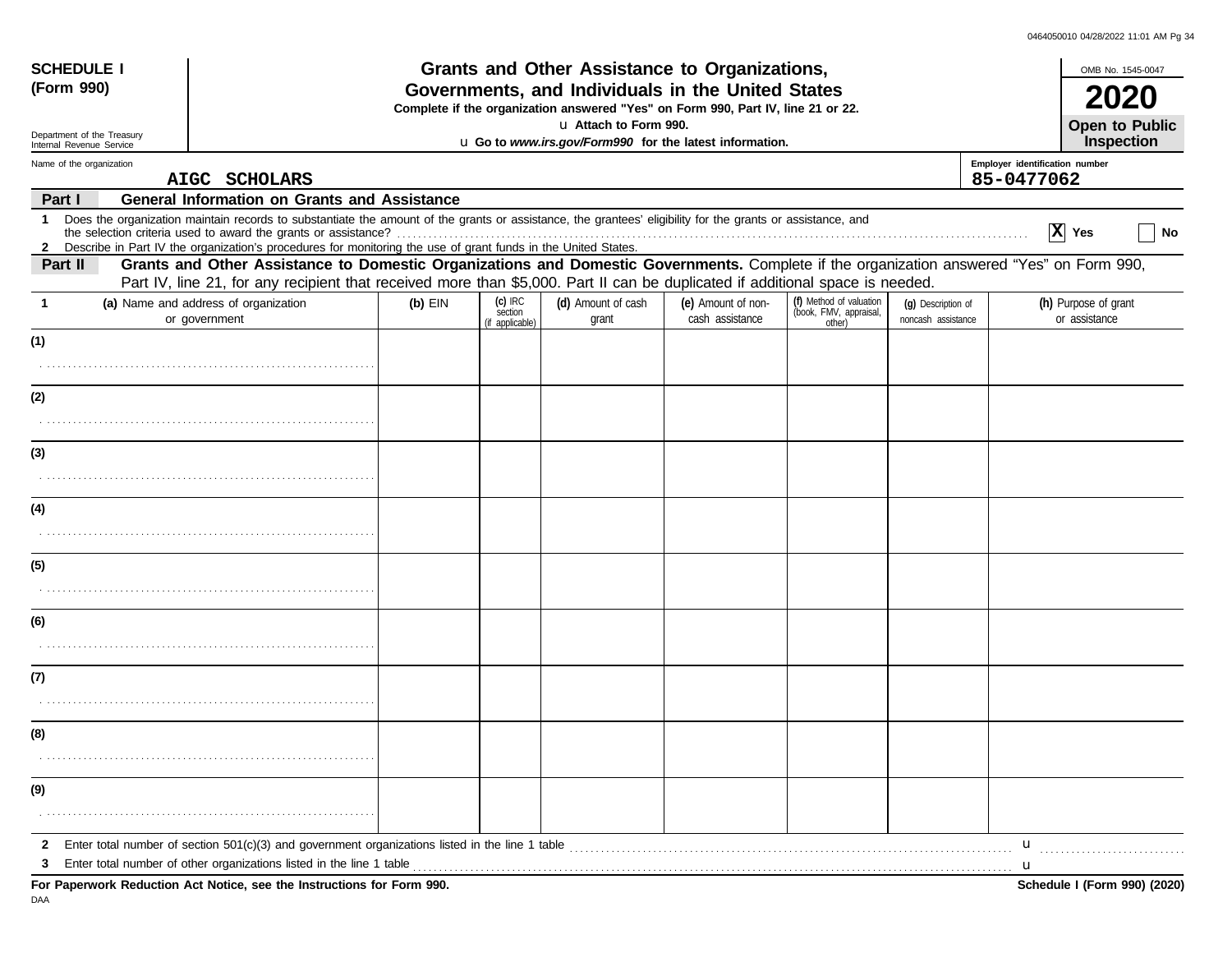|              | <b>SCHEDULE I</b>          |                                                                                                                                                                                                                                                                             |                                                   |                                         | Grants and Other Assistance to Organizations,                                    |                                       |                                                             |                                          |                                              |                                       | OMB No. 1545-0047            |
|--------------|----------------------------|-----------------------------------------------------------------------------------------------------------------------------------------------------------------------------------------------------------------------------------------------------------------------------|---------------------------------------------------|-----------------------------------------|----------------------------------------------------------------------------------|---------------------------------------|-------------------------------------------------------------|------------------------------------------|----------------------------------------------|---------------------------------------|------------------------------|
| (Form 990)   |                            |                                                                                                                                                                                                                                                                             | Governments, and Individuals in the United States |                                         |                                                                                  |                                       |                                                             |                                          |                                              | 2020                                  |                              |
|              |                            |                                                                                                                                                                                                                                                                             |                                                   |                                         | Complete if the organization answered "Yes" on Form 990, Part IV, line 21 or 22. |                                       |                                                             |                                          |                                              |                                       |                              |
|              | Department of the Treasury |                                                                                                                                                                                                                                                                             |                                                   |                                         | u Attach to Form 990.                                                            |                                       |                                                             |                                          |                                              |                                       | Open to Public               |
|              | Internal Revenue Service   |                                                                                                                                                                                                                                                                             |                                                   |                                         | u Go to www.irs.gov/Form990 for the latest information.                          |                                       |                                                             |                                          |                                              | Inspection                            |                              |
|              | Name of the organization   | AIGC SCHOLARS                                                                                                                                                                                                                                                               |                                                   |                                         |                                                                                  |                                       |                                                             |                                          | Employer identification number<br>85-0477062 |                                       |                              |
| Part I       |                            | <b>General Information on Grants and Assistance</b>                                                                                                                                                                                                                         |                                                   |                                         |                                                                                  |                                       |                                                             |                                          |                                              |                                       |                              |
| $\mathbf 1$  |                            | Does the organization maintain records to substantiate the amount of the grants or assistance, the grantees' eligibility for the grants or assistance, and<br>Describe in Part IV the organization's procedures for monitoring the use of grant funds in the United States. |                                                   |                                         |                                                                                  |                                       |                                                             |                                          |                                              | $\boxed{\mathbf{X}}$ Yes              | No                           |
| Part II      |                            | Grants and Other Assistance to Domestic Organizations and Domestic Governments. Complete if the organization answered "Yes" on Form 990,                                                                                                                                    |                                                   |                                         |                                                                                  |                                       |                                                             |                                          |                                              |                                       |                              |
|              |                            | Part IV, line 21, for any recipient that received more than \$5,000. Part II can be duplicated if additional space is needed.                                                                                                                                               |                                                   |                                         |                                                                                  |                                       |                                                             |                                          |                                              |                                       |                              |
| $\mathbf{1}$ |                            | (a) Name and address of organization<br>or government                                                                                                                                                                                                                       | $(b)$ EIN                                         | $(c)$ IRC<br>section<br>(if applicable) | (d) Amount of cash<br>grant                                                      | (e) Amount of non-<br>cash assistance | (f) Method of valuation<br>(book, FMV, appraisal,<br>other) | (g) Description of<br>noncash assistance |                                              | (h) Purpose of grant<br>or assistance |                              |
| (1)          |                            |                                                                                                                                                                                                                                                                             |                                                   |                                         |                                                                                  |                                       |                                                             |                                          |                                              |                                       |                              |
|              |                            |                                                                                                                                                                                                                                                                             |                                                   |                                         |                                                                                  |                                       |                                                             |                                          |                                              |                                       |                              |
| (2)          |                            |                                                                                                                                                                                                                                                                             |                                                   |                                         |                                                                                  |                                       |                                                             |                                          |                                              |                                       |                              |
|              |                            |                                                                                                                                                                                                                                                                             |                                                   |                                         |                                                                                  |                                       |                                                             |                                          |                                              |                                       |                              |
| (3)          |                            |                                                                                                                                                                                                                                                                             |                                                   |                                         |                                                                                  |                                       |                                                             |                                          |                                              |                                       |                              |
|              |                            |                                                                                                                                                                                                                                                                             |                                                   |                                         |                                                                                  |                                       |                                                             |                                          |                                              |                                       |                              |
| (4)          |                            |                                                                                                                                                                                                                                                                             |                                                   |                                         |                                                                                  |                                       |                                                             |                                          |                                              |                                       |                              |
|              |                            |                                                                                                                                                                                                                                                                             |                                                   |                                         |                                                                                  |                                       |                                                             |                                          |                                              |                                       |                              |
| (5)          |                            |                                                                                                                                                                                                                                                                             |                                                   |                                         |                                                                                  |                                       |                                                             |                                          |                                              |                                       |                              |
|              |                            |                                                                                                                                                                                                                                                                             |                                                   |                                         |                                                                                  |                                       |                                                             |                                          |                                              |                                       |                              |
| (6)          |                            |                                                                                                                                                                                                                                                                             |                                                   |                                         |                                                                                  |                                       |                                                             |                                          |                                              |                                       |                              |
|              |                            |                                                                                                                                                                                                                                                                             |                                                   |                                         |                                                                                  |                                       |                                                             |                                          |                                              |                                       |                              |
| (7)          |                            |                                                                                                                                                                                                                                                                             |                                                   |                                         |                                                                                  |                                       |                                                             |                                          |                                              |                                       |                              |
|              |                            |                                                                                                                                                                                                                                                                             |                                                   |                                         |                                                                                  |                                       |                                                             |                                          |                                              |                                       |                              |
| (8)          |                            |                                                                                                                                                                                                                                                                             |                                                   |                                         |                                                                                  |                                       |                                                             |                                          |                                              |                                       |                              |
|              |                            |                                                                                                                                                                                                                                                                             |                                                   |                                         |                                                                                  |                                       |                                                             |                                          |                                              |                                       |                              |
| (9)          |                            |                                                                                                                                                                                                                                                                             |                                                   |                                         |                                                                                  |                                       |                                                             |                                          |                                              |                                       |                              |
|              |                            |                                                                                                                                                                                                                                                                             |                                                   |                                         |                                                                                  |                                       |                                                             |                                          |                                              |                                       |                              |
| $\mathbf{2}$ |                            |                                                                                                                                                                                                                                                                             |                                                   |                                         |                                                                                  |                                       |                                                             |                                          | $\mathbf{u}$                                 |                                       |                              |
| 3            |                            | Enter total number of other organizations listed in the line 1 table <i>manufacture in the content of the line</i> 1 table manufacture in the line 1 table manufacture in the line 1 table manufacture in the line of the line of t                                         |                                                   |                                         |                                                                                  |                                       |                                                             |                                          |                                              |                                       |                              |
| DAA          |                            | For Paperwork Reduction Act Notice, see the Instructions for Form 990.                                                                                                                                                                                                      |                                                   |                                         |                                                                                  |                                       |                                                             |                                          |                                              |                                       | Schedule I (Form 990) (2020) |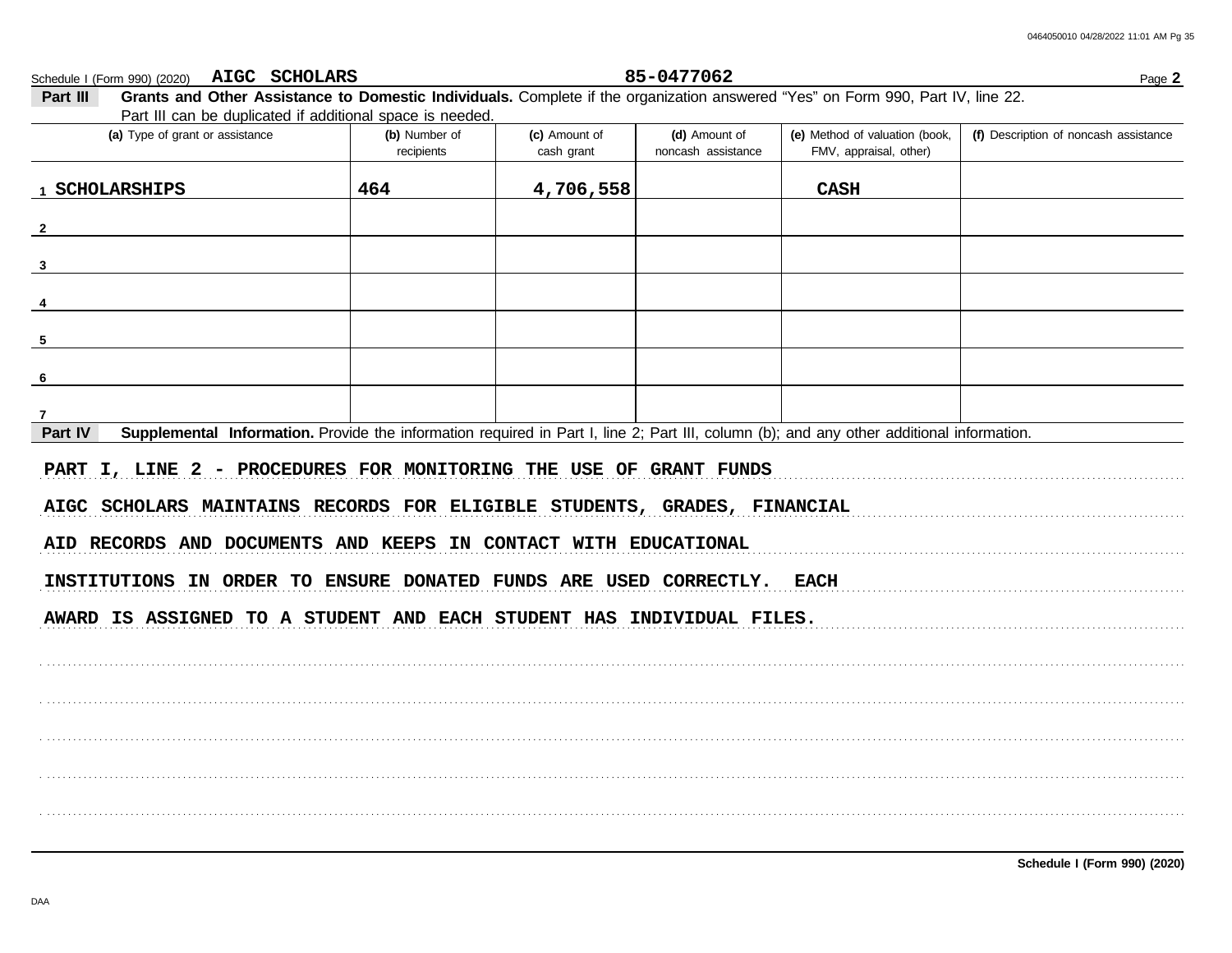| Part III can be duplicated if additional space is needed.                                                                                            |                             |                             |                                     |                                                          |                                       |
|------------------------------------------------------------------------------------------------------------------------------------------------------|-----------------------------|-----------------------------|-------------------------------------|----------------------------------------------------------|---------------------------------------|
| (a) Type of grant or assistance                                                                                                                      | (b) Number of<br>recipients | (c) Amount of<br>cash grant | (d) Amount of<br>noncash assistance | (e) Method of valuation (book,<br>FMV, appraisal, other) | (f) Description of noncash assistance |
| 1 SCHOLARSHIPS                                                                                                                                       | 464                         | 4,706,558                   |                                     | <b>CASH</b>                                              |                                       |
| $\overline{2}$                                                                                                                                       |                             |                             |                                     |                                                          |                                       |
| $\overline{\mathbf{3}}$                                                                                                                              |                             |                             |                                     |                                                          |                                       |
| $\frac{4}{1}$                                                                                                                                        |                             |                             |                                     |                                                          |                                       |
| $\frac{5}{ }$                                                                                                                                        |                             |                             |                                     |                                                          |                                       |
| $6 \overline{}$                                                                                                                                      |                             |                             |                                     |                                                          |                                       |
| 7                                                                                                                                                    |                             |                             |                                     |                                                          |                                       |
| Supplemental Information. Provide the information required in Part I, line 2; Part III, column (b); and any other additional information.<br>Part IV |                             |                             |                                     |                                                          |                                       |
| PART I, LINE 2 - PROCEDURES FOR MONITORING THE USE OF GRANT FUNDS<br>AIGC SCHOLARS MAINTAINS RECORDS FOR ELIGIBLE STUDENTS, GRADES, FINANCIAL        |                             |                             |                                     |                                                          |                                       |
| AID RECORDS AND DOCUMENTS AND KEEPS IN CONTACT WITH EDUCATIONAL                                                                                      |                             |                             |                                     |                                                          |                                       |
| INSTITUTIONS IN ORDER TO ENSURE DONATED FUNDS ARE USED CORRECTLY. EACH                                                                               |                             |                             |                                     |                                                          |                                       |
| AWARD IS ASSIGNED TO A STUDENT AND EACH STUDENT HAS INDIVIDUAL FILES.                                                                                |                             |                             |                                     |                                                          |                                       |
|                                                                                                                                                      |                             |                             |                                     |                                                          |                                       |

85-0477062

Grants and Other Assistance to Domestic Individuals. Complete if the organization answered "Yes" on Form 990, Part IV, line 22. Part III Part III can be dup atod if additiv ů.

AIGC SCHOLARS

Schedule I (Form 990) (2020)

-2

-6

 $\overline{7}$ Part IV

Schedule I (Form 990) (2020)

Page 2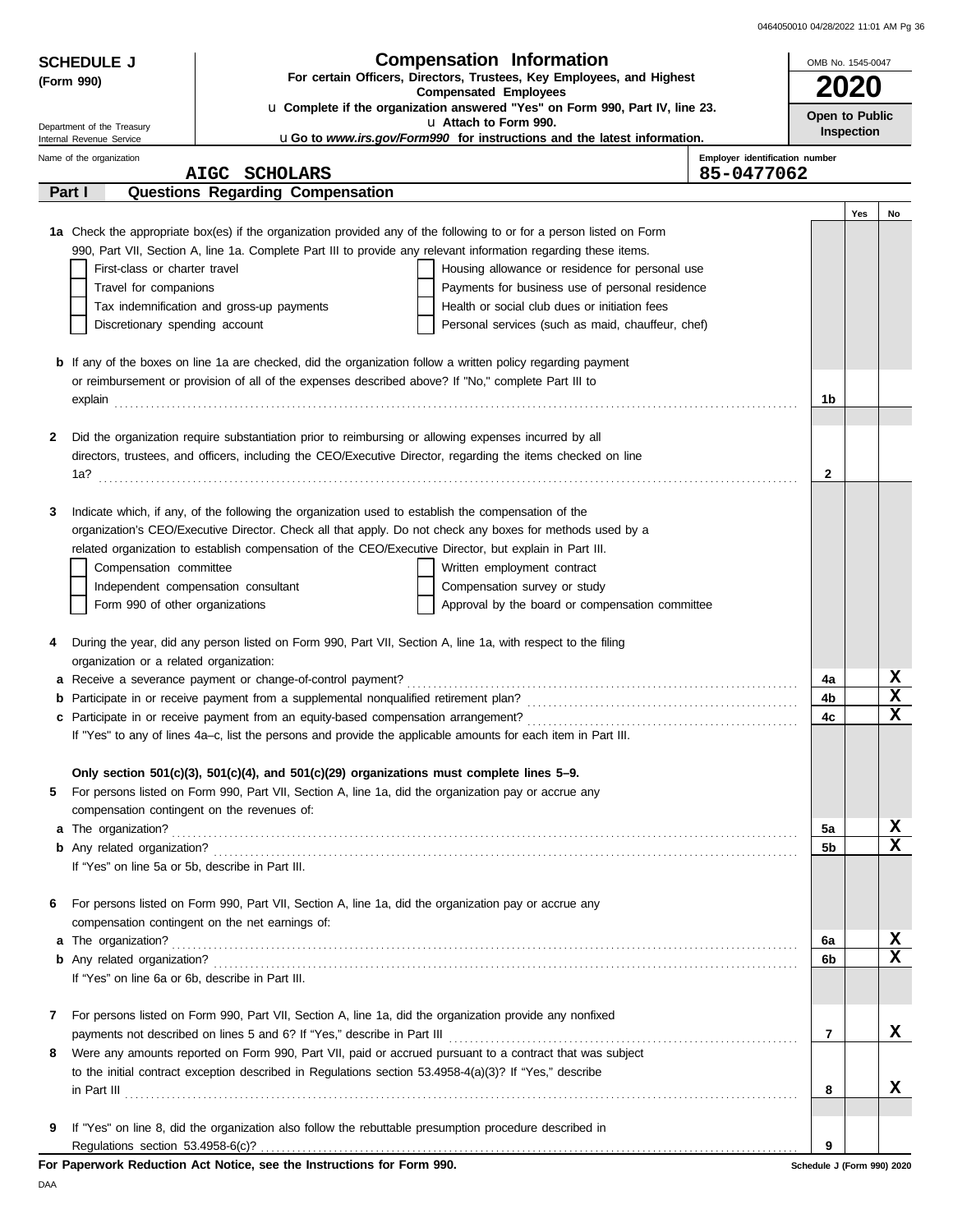| 0464050010 04/28/2022 11:01 AM Pg 36 |  |  |
|--------------------------------------|--|--|

| <b>SCHEDULE J</b>                                    |                                                                                                              | <b>Compensation Information</b>                                                                                      | OMB No. 1545-0047              |                              |
|------------------------------------------------------|--------------------------------------------------------------------------------------------------------------|----------------------------------------------------------------------------------------------------------------------|--------------------------------|------------------------------|
| (Form 990)                                           |                                                                                                              | For certain Officers, Directors, Trustees, Key Employees, and Highest                                                | 2020                           |                              |
|                                                      |                                                                                                              | <b>Compensated Employees</b><br>La Complete if the organization answered "Yes" on Form 990, Part IV, line 23.        |                                |                              |
| Department of the Treasury                           |                                                                                                              | u Attach to Form 990.                                                                                                | Open to Public<br>Inspection   |                              |
| Internal Revenue Service<br>Name of the organization |                                                                                                              | <b>uGo to www.irs.gov/Form990 for instructions and the latest information.</b>                                       | Employer identification number |                              |
|                                                      | AIGC SCHOLARS                                                                                                |                                                                                                                      | 85-0477062                     |                              |
| Part I                                               | <b>Questions Regarding Compensation</b>                                                                      |                                                                                                                      |                                |                              |
|                                                      |                                                                                                              |                                                                                                                      |                                | Yes<br>No                    |
|                                                      |                                                                                                              | 1a Check the appropriate box(es) if the organization provided any of the following to or for a person listed on Form |                                |                              |
|                                                      |                                                                                                              | 990, Part VII, Section A, line 1a. Complete Part III to provide any relevant information regarding these items.      |                                |                              |
| First-class or charter travel                        |                                                                                                              | Housing allowance or residence for personal use                                                                      |                                |                              |
| Travel for companions                                |                                                                                                              | Payments for business use of personal residence                                                                      |                                |                              |
| Discretionary spending account                       | Tax indemnification and gross-up payments                                                                    | Health or social club dues or initiation fees<br>Personal services (such as maid, chauffeur, chef)                   |                                |                              |
|                                                      |                                                                                                              |                                                                                                                      |                                |                              |
|                                                      |                                                                                                              | <b>b</b> If any of the boxes on line 1a are checked, did the organization follow a written policy regarding payment  |                                |                              |
|                                                      | or reimbursement or provision of all of the expenses described above? If "No," complete Part III to          |                                                                                                                      |                                |                              |
|                                                      |                                                                                                              |                                                                                                                      | 1b                             |                              |
|                                                      |                                                                                                              |                                                                                                                      |                                |                              |
| 2                                                    | Did the organization require substantiation prior to reimbursing or allowing expenses incurred by all        |                                                                                                                      |                                |                              |
|                                                      |                                                                                                              | directors, trustees, and officers, including the CEO/Executive Director, regarding the items checked on line         |                                |                              |
|                                                      |                                                                                                              |                                                                                                                      | $\mathbf{2}$                   |                              |
| 3                                                    | Indicate which, if any, of the following the organization used to establish the compensation of the          |                                                                                                                      |                                |                              |
|                                                      |                                                                                                              | organization's CEO/Executive Director. Check all that apply. Do not check any boxes for methods used by a            |                                |                              |
|                                                      | related organization to establish compensation of the CEO/Executive Director, but explain in Part III.       |                                                                                                                      |                                |                              |
| Compensation committee                               |                                                                                                              | Written employment contract                                                                                          |                                |                              |
|                                                      | Independent compensation consultant                                                                          | Compensation survey or study                                                                                         |                                |                              |
| Form 990 of other organizations                      |                                                                                                              | Approval by the board or compensation committee                                                                      |                                |                              |
|                                                      |                                                                                                              |                                                                                                                      |                                |                              |
| 4                                                    | During the year, did any person listed on Form 990, Part VII, Section A, line 1a, with respect to the filing |                                                                                                                      |                                |                              |
| organization or a related organization:              |                                                                                                              |                                                                                                                      |                                |                              |
|                                                      |                                                                                                              |                                                                                                                      | 4a                             | X<br>$\overline{\mathbf{x}}$ |
| b                                                    |                                                                                                              |                                                                                                                      | 4b                             | $\mathbf x$                  |
| c                                                    |                                                                                                              | "Yes" to any of lines 4a-c, list the persons and provide the applicable amounts for each item in Part III.           | 4c                             |                              |
|                                                      |                                                                                                              |                                                                                                                      |                                |                              |
|                                                      | Only section 501(c)(3), 501(c)(4), and 501(c)(29) organizations must complete lines $5-9$ .                  |                                                                                                                      |                                |                              |
| 5                                                    | For persons listed on Form 990, Part VII, Section A, line 1a, did the organization pay or accrue any         |                                                                                                                      |                                |                              |
| compensation contingent on the revenues of:          |                                                                                                              |                                                                                                                      |                                |                              |
|                                                      |                                                                                                              |                                                                                                                      | 5a                             | X                            |
|                                                      |                                                                                                              |                                                                                                                      | 5 <sub>b</sub>                 | $\overline{\mathbf{x}}$      |
| If "Yes" on line 5a or 5b, describe in Part III.     |                                                                                                              |                                                                                                                      |                                |                              |
| 6                                                    | For persons listed on Form 990, Part VII, Section A, line 1a, did the organization pay or accrue any         |                                                                                                                      |                                |                              |
|                                                      | compensation contingent on the net earnings of:                                                              |                                                                                                                      |                                |                              |
| <b>a</b> The organization?                           |                                                                                                              |                                                                                                                      | 6a                             | X                            |
|                                                      |                                                                                                              |                                                                                                                      | 6b                             | $\overline{\mathbf{x}}$      |
| If "Yes" on line 6a or 6b, describe in Part III.     |                                                                                                              |                                                                                                                      |                                |                              |
|                                                      |                                                                                                              |                                                                                                                      |                                |                              |
| 7                                                    | For persons listed on Form 990, Part VII, Section A, line 1a, did the organization provide any nonfixed      |                                                                                                                      |                                |                              |
|                                                      |                                                                                                              |                                                                                                                      | 7                              | x                            |
| 8                                                    |                                                                                                              | Were any amounts reported on Form 990, Part VII, paid or accrued pursuant to a contract that was subject             |                                |                              |
|                                                      | to the initial contract exception described in Regulations section 53.4958-4(a)(3)? If "Yes," describe       |                                                                                                                      |                                | x                            |
|                                                      |                                                                                                              |                                                                                                                      | 8                              |                              |
| 9                                                    | If "Yes" on line 8, did the organization also follow the rebuttable presumption procedure described in       |                                                                                                                      |                                |                              |
|                                                      |                                                                                                              |                                                                                                                      | 9                              |                              |
|                                                      | For Paperwork Reduction Act Notice, see the Instructions for Form 990.                                       |                                                                                                                      | Schedule J (Form 990) 2020     |                              |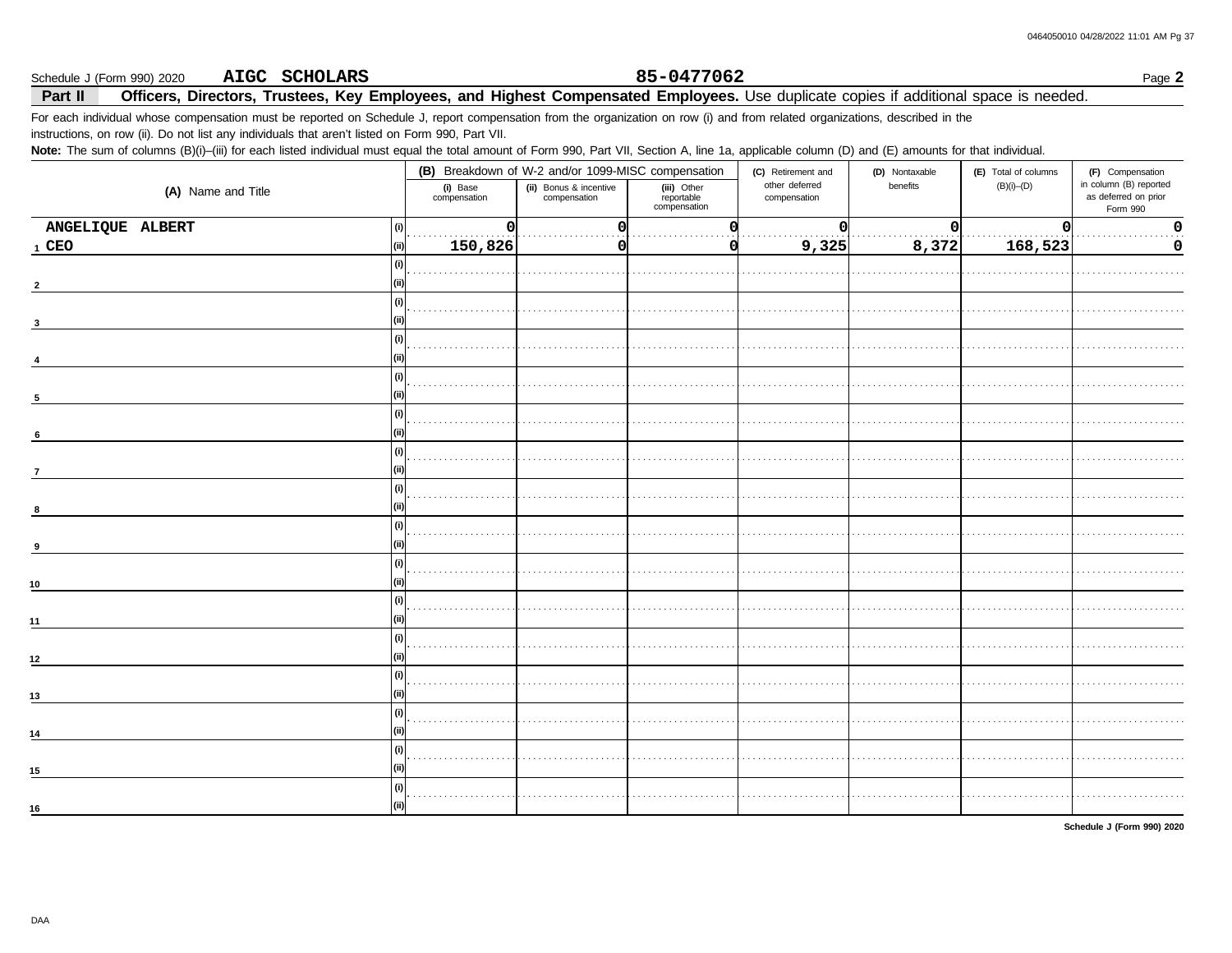#### Schedule J (Form 990) 2020 AIGC SCHOLARS

### 85-0477062

Page 2

#### Officers, Directors, Trustees, Key Employees, and Highest Compensated Employees. Use duplicate copies if additional space is needed. Part II

For each individual whose compensation must be reported on Schedule J, report compensation from the organization on row (i) and from related organizations, described in the instructions, on row (ii). Do not list any individuals that aren't listed on Form 990, Part VII.

Note: The sum of columns (B)(i)-(iii) for each listed individual must equal the total amount of Form 990, Part VII, Section A, line 1a, applicable column (D) and (E) amounts for that individual.

|                           | (B) Breakdown of W-2 and/or 1099-MISC compensation |                                        |                                           | (C) Retirement and             | (D) Nontaxable | (E) Total of columns | (F) Compensation                                           |  |
|---------------------------|----------------------------------------------------|----------------------------------------|-------------------------------------------|--------------------------------|----------------|----------------------|------------------------------------------------------------|--|
| (A) Name and Title        | (i) Base<br>compensation                           | (ii) Bonus & incentive<br>compensation | (iii) Other<br>reportable<br>compensation | other deferred<br>compensation | benefits       | $(B)(i)$ - $(D)$     | in column (B) reported<br>as deferred on prior<br>Form 990 |  |
| ANGELIQUE ALBERT<br>l (i) | 0                                                  | 0                                      |                                           | $\Omega$                       | $\Omega$       | 0                    | $\pmb{0}$                                                  |  |
| 1 CEO                     | 150,826                                            | 01                                     |                                           | 9,325                          | 8,372          | 168,523              | 0                                                          |  |
| l (i)                     |                                                    |                                        |                                           |                                |                |                      |                                                            |  |
| $\overline{2}$            |                                                    |                                        |                                           |                                |                |                      |                                                            |  |
| -G                        |                                                    |                                        |                                           |                                |                |                      |                                                            |  |
| 3                         |                                                    |                                        |                                           |                                |                |                      |                                                            |  |
| l (i)                     |                                                    |                                        |                                           |                                |                |                      |                                                            |  |
|                           |                                                    |                                        |                                           |                                |                |                      |                                                            |  |
| (i)                       |                                                    |                                        |                                           |                                |                |                      |                                                            |  |
| $\sqrt{5}$                |                                                    |                                        |                                           |                                |                |                      |                                                            |  |
| l (i)                     |                                                    |                                        |                                           |                                |                |                      |                                                            |  |
| 6                         |                                                    |                                        |                                           |                                |                |                      |                                                            |  |
| l (i)                     |                                                    |                                        |                                           |                                |                |                      |                                                            |  |
| $\overline{7}$            |                                                    |                                        |                                           |                                |                |                      |                                                            |  |
| l (i                      |                                                    |                                        |                                           |                                |                |                      |                                                            |  |
|                           |                                                    |                                        |                                           |                                |                |                      |                                                            |  |
|                           |                                                    |                                        |                                           |                                |                |                      |                                                            |  |
| 9                         |                                                    |                                        |                                           |                                |                |                      |                                                            |  |
| -G                        |                                                    |                                        |                                           |                                |                |                      |                                                            |  |
|                           |                                                    |                                        |                                           |                                |                |                      |                                                            |  |
| 10                        |                                                    |                                        |                                           |                                |                |                      |                                                            |  |
|                           |                                                    |                                        |                                           |                                |                |                      |                                                            |  |
| 11                        |                                                    |                                        |                                           |                                |                |                      |                                                            |  |
| l (i)                     |                                                    |                                        |                                           |                                |                |                      |                                                            |  |
| 12                        |                                                    |                                        |                                           |                                |                |                      |                                                            |  |
| (i)                       |                                                    |                                        |                                           |                                |                |                      |                                                            |  |
| 13                        |                                                    |                                        |                                           |                                |                |                      |                                                            |  |
| (i)                       |                                                    |                                        |                                           |                                |                |                      |                                                            |  |
| 14                        |                                                    |                                        |                                           |                                |                |                      |                                                            |  |
|                           |                                                    |                                        |                                           |                                |                |                      |                                                            |  |
| 15                        |                                                    |                                        |                                           |                                |                |                      |                                                            |  |
|                           |                                                    |                                        |                                           |                                |                |                      |                                                            |  |
| 16                        |                                                    |                                        |                                           |                                |                |                      |                                                            |  |

Schedule J (Form 990) 2020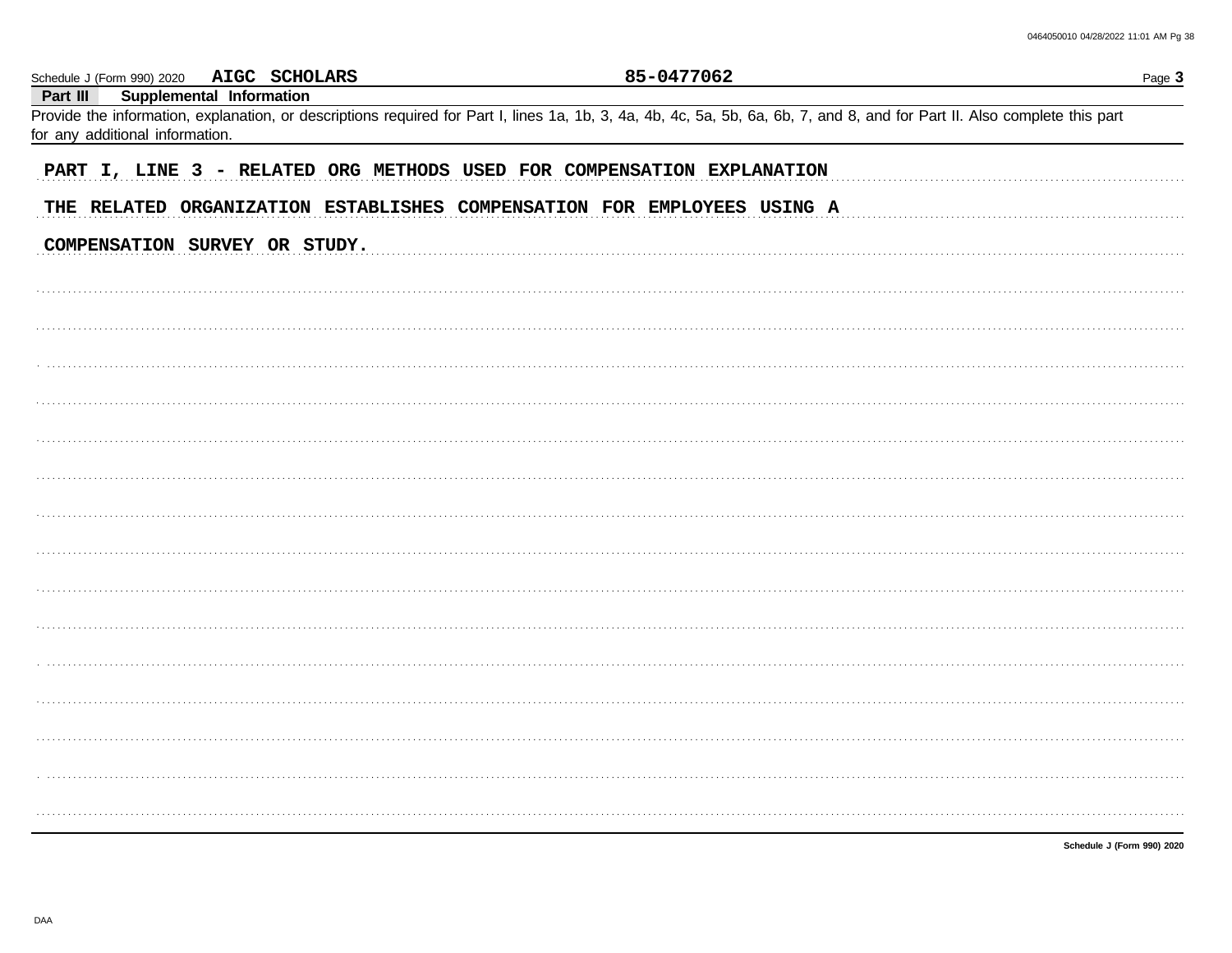|                                 | Schedule J (Form 990) 2020 AIGC SCHOLARS | 85-0477062                                                                                                                                                                 | Page 3 |
|---------------------------------|------------------------------------------|----------------------------------------------------------------------------------------------------------------------------------------------------------------------------|--------|
| Part III                        | Supplemental Information                 | Provide the information, explanation, or descriptions required for Part I, lines 1a, 1b, 3, 4a, 4b, 4c, 5a, 5b, 6a, 6b, 7, and 8, and for Part II. Also complete this part |        |
| for any additional information. |                                          |                                                                                                                                                                            |        |
|                                 |                                          | PART I, LINE 3 - RELATED ORG METHODS USED FOR COMPENSATION EXPLANATION                                                                                                     |        |
|                                 |                                          | THE RELATED ORGANIZATION ESTABLISHES COMPENSATION FOR EMPLOYEES USING A                                                                                                    |        |
|                                 | COMPENSATION SURVEY OR STUDY.            |                                                                                                                                                                            |        |
|                                 |                                          |                                                                                                                                                                            |        |
|                                 |                                          |                                                                                                                                                                            |        |
|                                 |                                          |                                                                                                                                                                            |        |
|                                 |                                          |                                                                                                                                                                            |        |
|                                 |                                          |                                                                                                                                                                            |        |
|                                 |                                          |                                                                                                                                                                            |        |
|                                 |                                          |                                                                                                                                                                            |        |
|                                 |                                          |                                                                                                                                                                            |        |
|                                 |                                          |                                                                                                                                                                            |        |
|                                 |                                          |                                                                                                                                                                            |        |
|                                 |                                          |                                                                                                                                                                            |        |
|                                 |                                          |                                                                                                                                                                            |        |
|                                 |                                          |                                                                                                                                                                            |        |
|                                 |                                          |                                                                                                                                                                            |        |
|                                 |                                          |                                                                                                                                                                            |        |
|                                 |                                          |                                                                                                                                                                            |        |
|                                 |                                          |                                                                                                                                                                            |        |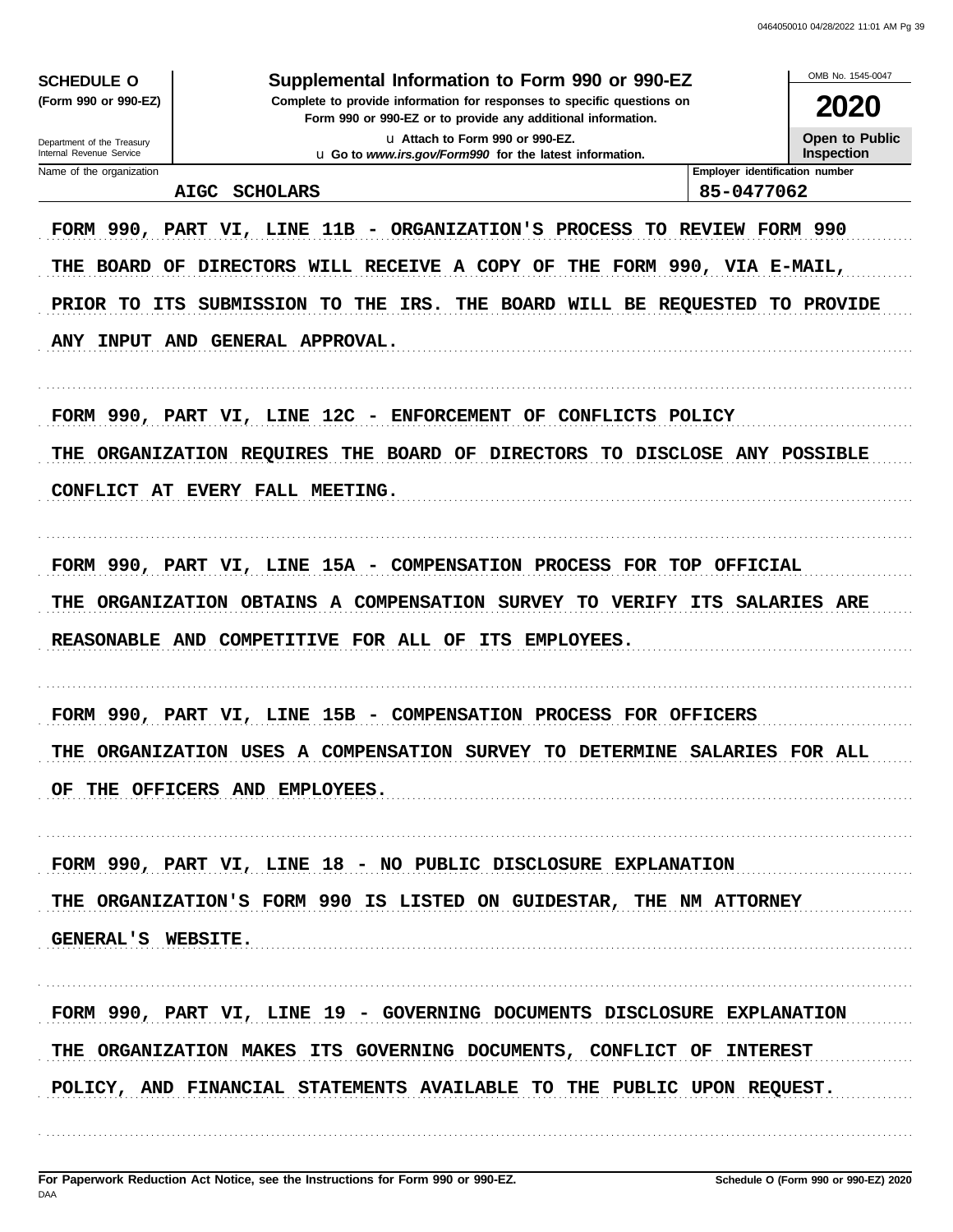| <b>SCHEDULE O</b>                                    | Supplemental Information to Form 990 or 990-EZ                                                   |                                | OMB No. 1545-0047                    |  |  |
|------------------------------------------------------|--------------------------------------------------------------------------------------------------|--------------------------------|--------------------------------------|--|--|
| (Form 990 or 990-EZ)                                 | Complete to provide information for responses to specific questions on                           |                                |                                      |  |  |
| Department of the Treasury                           | Form 990 or 990-EZ or to provide any additional information.<br>La Attach to Form 990 or 990-EZ. |                                | <b>2020</b><br><b>Open to Public</b> |  |  |
| Internal Revenue Service<br>Name of the organization | u Go to www.irs.gov/Form990 for the latest information.                                          | Employer identification number | <b>Inspection</b>                    |  |  |
| <b>AIGC</b>                                          | <b>SCHOLARS</b>                                                                                  | 85-0477062                     |                                      |  |  |
|                                                      | FORM 990, PART VI, LINE 11B - ORGANIZATION'S PROCESS                                             | TO REVIEW FORM 990             |                                      |  |  |
|                                                      | THE BOARD OF DIRECTORS WILL RECEIVE A COPY OF THE FORM 990, VIA E-MAIL,                          |                                |                                      |  |  |
| PRIOR TO ITS                                         | SUBMISSION TO THE IRS.<br>THE BOARD WILL BE REQUESTED TO PROVIDE                                 |                                |                                      |  |  |
|                                                      | ANY INPUT AND GENERAL APPROVAL.                                                                  |                                |                                      |  |  |
|                                                      | FORM 990, PART VI, LINE 12C - ENFORCEMENT OF CONFLICTS POLICY                                    |                                |                                      |  |  |
| THE                                                  | ORGANIZATION REQUIRES THE BOARD OF DIRECTORS TO DISCLOSE ANY POSSIBLE                            |                                |                                      |  |  |
|                                                      | CONFLICT AT EVERY FALL MEETING.                                                                  |                                |                                      |  |  |
|                                                      |                                                                                                  |                                |                                      |  |  |
|                                                      | FORM 990, PART VI, LINE 15A - COMPENSATION PROCESS FOR TOP OFFICIAL                              |                                |                                      |  |  |
| THE                                                  | ORGANIZATION OBTAINS A COMPENSATION SURVEY TO VERIFY ITS SALARIES ARE                            |                                |                                      |  |  |
|                                                      | REASONABLE AND COMPETITIVE FOR ALL OF ITS<br><b>EMPLOYEES.</b>                                   |                                |                                      |  |  |
|                                                      |                                                                                                  |                                |                                      |  |  |
|                                                      | FORM 990, PART VI, LINE 15B - COMPENSATION PROCESS FOR OFFICERS                                  |                                |                                      |  |  |
|                                                      | THE ORGANIZATION USES A COMPENSATION SURVEY TO DETERMINE SALARIES FOR ALL                        |                                |                                      |  |  |
|                                                      | OF THE OFFICERS AND EMPLOYEES.                                                                   |                                |                                      |  |  |
|                                                      | FORM 990, PART VI, LINE 18 - NO PUBLIC DISCLOSURE EXPLANATION                                    |                                |                                      |  |  |
|                                                      | THE ORGANIZATION'S FORM 990 IS LISTED ON GUIDESTAR, THE NM ATTORNEY                              |                                |                                      |  |  |
| GENERAL'S WEBSITE.                                   |                                                                                                  |                                |                                      |  |  |
|                                                      |                                                                                                  |                                |                                      |  |  |
|                                                      | FORM 990, PART VI, LINE 19 - GOVERNING DOCUMENTS DISCLOSURE EXPLANATION                          |                                |                                      |  |  |
|                                                      | THE ORGANIZATION MAKES ITS GOVERNING DOCUMENTS, CONFLICT OF INTEREST                             |                                |                                      |  |  |
|                                                      | POLICY, AND FINANCIAL STATEMENTS AVAILABLE TO THE PUBLIC UPON REQUEST.                           |                                |                                      |  |  |
|                                                      |                                                                                                  |                                |                                      |  |  |
|                                                      |                                                                                                  |                                |                                      |  |  |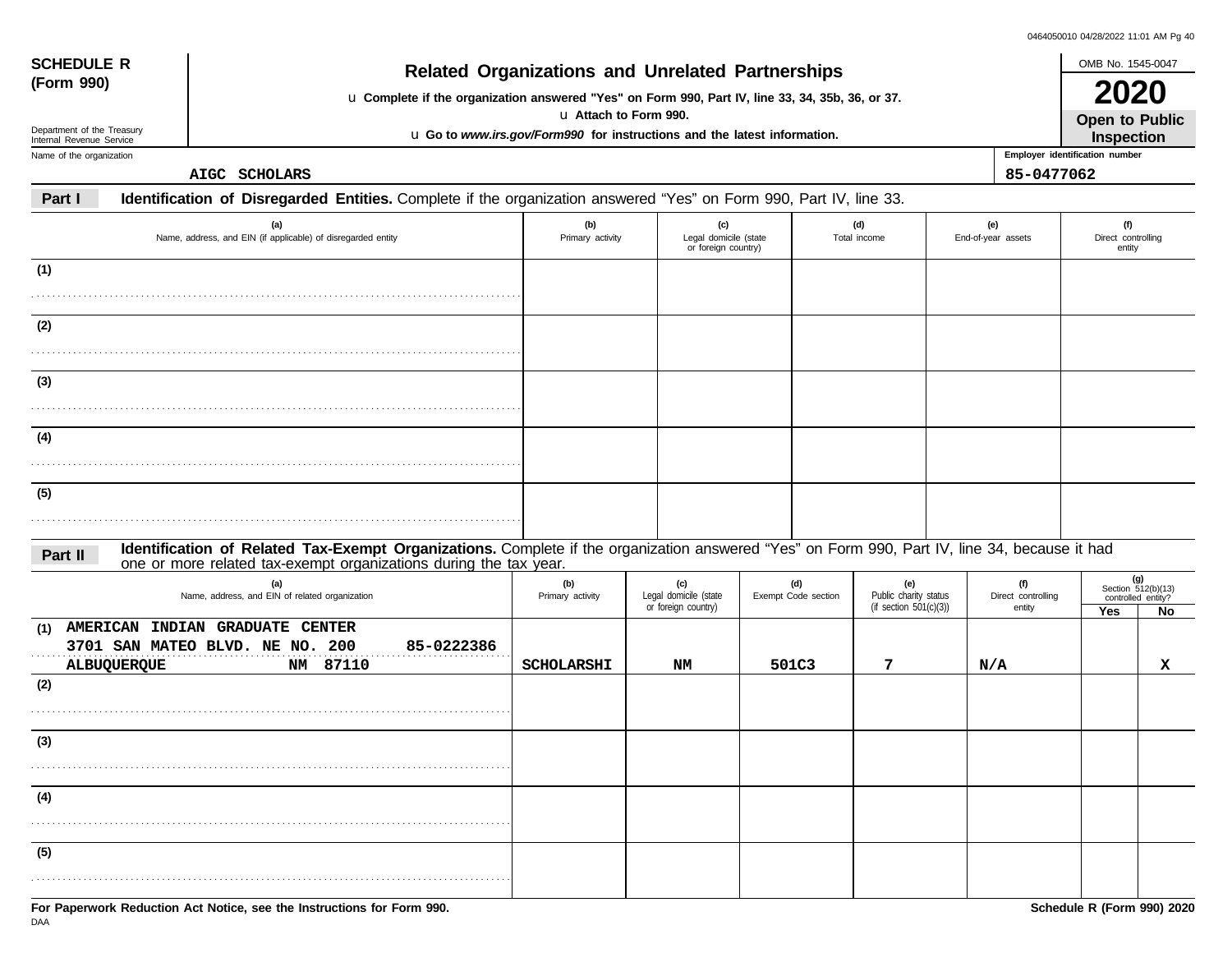| 0464050010 04/28/2022 11:01 AM Pg 40 |  |  |  |
|--------------------------------------|--|--|--|
|                                      |  |  |  |

| <b>SCHEDULE R</b>                                      | <b>Related Organizations and Unrelated Partnerships</b>                                                                                                                                                            |                                                                                                   |                                                     |                            |                                                        |                           |                                     | OMB No. 1545-0047                   |                                                         |
|--------------------------------------------------------|--------------------------------------------------------------------------------------------------------------------------------------------------------------------------------------------------------------------|---------------------------------------------------------------------------------------------------|-----------------------------------------------------|----------------------------|--------------------------------------------------------|---------------------------|-------------------------------------|-------------------------------------|---------------------------------------------------------|
| (Form 990)                                             | u Complete if the organization answered "Yes" on Form 990, Part IV, line 33, 34, 35b, 36, or 37.                                                                                                                   |                                                                                                   |                                                     |                            |                                                        |                           |                                     | 2020                                |                                                         |
| Department of the Treasury<br>Internal Revenue Service |                                                                                                                                                                                                                    | u Attach to Form 990.<br>u Go to www.irs.gov/Form990 for instructions and the latest information. |                                                     |                            |                                                        |                           |                                     | <b>Open to Public</b><br>Inspection |                                                         |
| Name of the organization                               |                                                                                                                                                                                                                    |                                                                                                   |                                                     |                            |                                                        |                           |                                     | Employer identification number      |                                                         |
|                                                        | AIGC SCHOLARS                                                                                                                                                                                                      |                                                                                                   |                                                     |                            |                                                        |                           | 85-0477062                          |                                     |                                                         |
| Part I                                                 | Identification of Disregarded Entities. Complete if the organization answered "Yes" on Form 990, Part IV, line 33.                                                                                                 |                                                                                                   |                                                     |                            |                                                        |                           |                                     |                                     |                                                         |
|                                                        | (a)<br>Name, address, and EIN (if applicable) of disregarded entity                                                                                                                                                | (b)<br>Primary activity                                                                           | (c)<br>Legal domicile (state<br>or foreign country) |                            | (d)<br>Total income                                    | (e)<br>End-of-year assets |                                     | (f)<br>Direct controlling<br>entity |                                                         |
| (1)                                                    |                                                                                                                                                                                                                    |                                                                                                   |                                                     |                            |                                                        |                           |                                     |                                     |                                                         |
|                                                        |                                                                                                                                                                                                                    |                                                                                                   |                                                     |                            |                                                        |                           |                                     |                                     |                                                         |
| (2)                                                    |                                                                                                                                                                                                                    |                                                                                                   |                                                     |                            |                                                        |                           |                                     |                                     |                                                         |
|                                                        |                                                                                                                                                                                                                    |                                                                                                   |                                                     |                            |                                                        |                           |                                     |                                     |                                                         |
| (3)                                                    |                                                                                                                                                                                                                    |                                                                                                   |                                                     |                            |                                                        |                           |                                     |                                     |                                                         |
|                                                        |                                                                                                                                                                                                                    |                                                                                                   |                                                     |                            |                                                        |                           |                                     |                                     |                                                         |
| (4)                                                    |                                                                                                                                                                                                                    |                                                                                                   |                                                     |                            |                                                        |                           |                                     |                                     |                                                         |
|                                                        |                                                                                                                                                                                                                    |                                                                                                   |                                                     |                            |                                                        |                           |                                     |                                     |                                                         |
| (5)                                                    |                                                                                                                                                                                                                    |                                                                                                   |                                                     |                            |                                                        |                           |                                     |                                     |                                                         |
|                                                        |                                                                                                                                                                                                                    |                                                                                                   |                                                     |                            |                                                        |                           |                                     |                                     |                                                         |
| Part II                                                | Identification of Related Tax-Exempt Organizations. Complete if the organization answered "Yes" on Form 990, Part IV, line 34, because it had<br>one or more related tax-exempt organizations during the tax year. |                                                                                                   |                                                     |                            |                                                        |                           |                                     |                                     |                                                         |
|                                                        | (a)<br>Name, address, and EIN of related organization                                                                                                                                                              | (b)<br>Primary activity                                                                           | (c)<br>Legal domicile (state<br>or foreign country) | (d)<br>Exempt Code section | (e)<br>Public charity status<br>(if section 501(c)(3)) |                           | (f)<br>Direct controlling<br>entity | Yes                                 | $(g)$<br>Section 512(b)(13)<br>controlled entity?<br>No |
| (1)<br>ALBUQUERQUE                                     | AMERICAN INDIAN GRADUATE CENTER<br>3701 SAN MATEO BLVD. NE NO. 200<br>85-0222386<br>NM 87110                                                                                                                       | <b>SCHOLARSHI</b>                                                                                 | NM                                                  | 501C3                      | 7                                                      | N/A                       |                                     |                                     | x                                                       |
| (2)                                                    |                                                                                                                                                                                                                    |                                                                                                   |                                                     |                            |                                                        |                           |                                     |                                     |                                                         |
|                                                        |                                                                                                                                                                                                                    |                                                                                                   |                                                     |                            |                                                        |                           |                                     |                                     |                                                         |
| (3)                                                    |                                                                                                                                                                                                                    |                                                                                                   |                                                     |                            |                                                        |                           |                                     |                                     |                                                         |
| .                                                      |                                                                                                                                                                                                                    |                                                                                                   |                                                     |                            |                                                        |                           |                                     |                                     |                                                         |
| (4)                                                    |                                                                                                                                                                                                                    |                                                                                                   |                                                     |                            |                                                        |                           |                                     |                                     |                                                         |
|                                                        |                                                                                                                                                                                                                    |                                                                                                   |                                                     |                            |                                                        |                           |                                     |                                     |                                                         |
| (5)                                                    |                                                                                                                                                                                                                    |                                                                                                   |                                                     |                            |                                                        |                           |                                     |                                     |                                                         |
|                                                        |                                                                                                                                                                                                                    |                                                                                                   |                                                     |                            |                                                        |                           |                                     |                                     |                                                         |
|                                                        |                                                                                                                                                                                                                    |                                                                                                   |                                                     |                            |                                                        |                           |                                     |                                     |                                                         |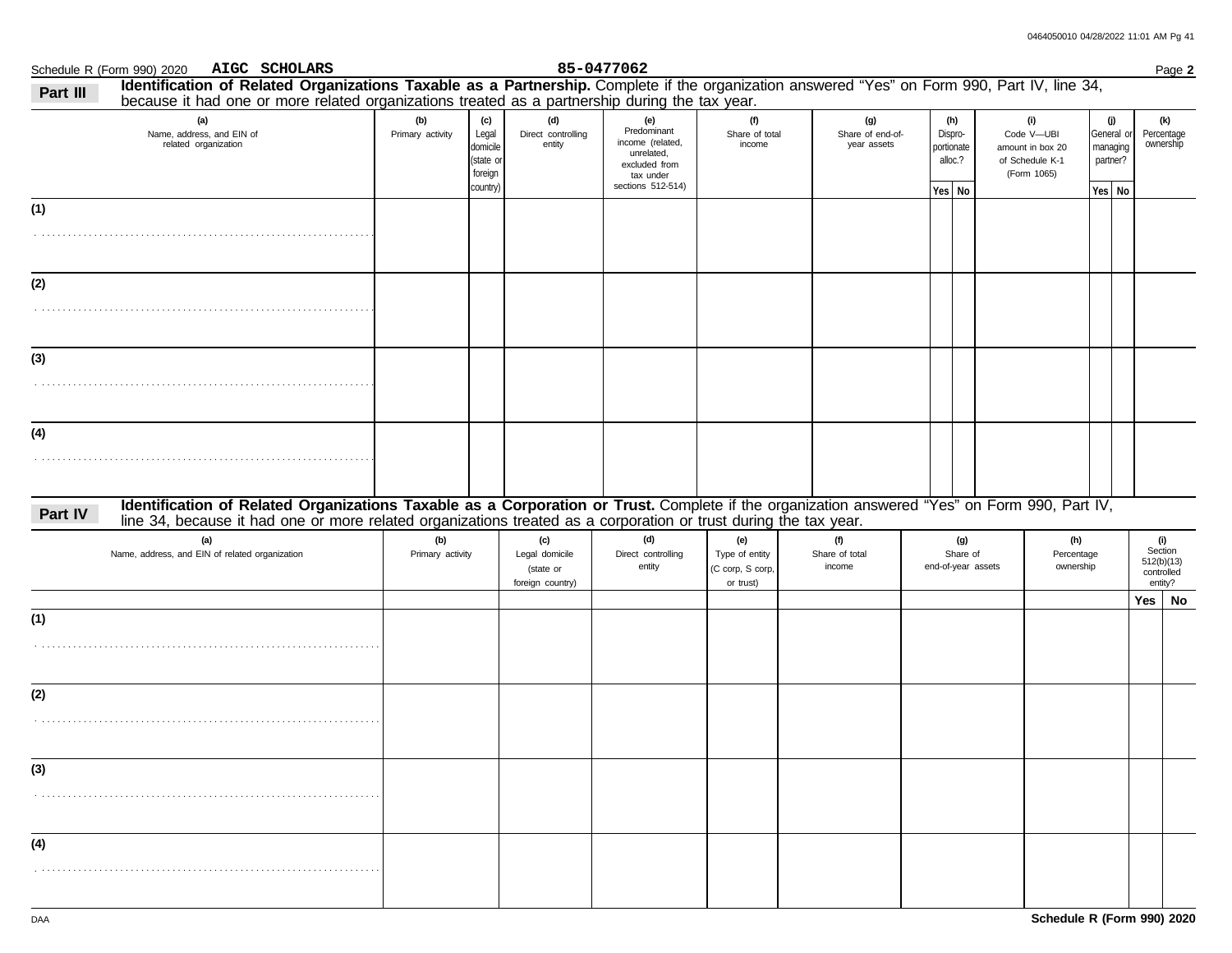|          | AIGC SCHOLARS<br>Schedule R (Form 990) 2020                                                                                                                                                                                                                      |                         |                                                              |                                                        | 85-0477062                                                                                              |                                                        |                                        |                                                   |                    |                                                                         |                    |                               |                                                       | Page 2 |
|----------|------------------------------------------------------------------------------------------------------------------------------------------------------------------------------------------------------------------------------------------------------------------|-------------------------|--------------------------------------------------------------|--------------------------------------------------------|---------------------------------------------------------------------------------------------------------|--------------------------------------------------------|----------------------------------------|---------------------------------------------------|--------------------|-------------------------------------------------------------------------|--------------------|-------------------------------|-------------------------------------------------------|--------|
| Part III | Identification of Related Organizations Taxable as a Partnership. Complete if the organization answered "Yes" on Form 990, Part IV, line 34,<br>because it had one or more related organizations treated as a partnership during the tax year.                   |                         |                                                              |                                                        |                                                                                                         |                                                        |                                        |                                                   |                    |                                                                         |                    |                               |                                                       |        |
|          | (a)<br>Name, address, and EIN of<br>related organization                                                                                                                                                                                                         | (b)<br>Primary activity | (c)<br>Legal<br>domicile<br>(state or<br>foreign<br>country) | (d)<br>Direct controlling<br>entity                    | (e)<br>Predominant<br>income (related,<br>unrelated,<br>excluded from<br>tax under<br>sections 512-514) | (f)<br>Share of total<br>income                        | (g)<br>Share of end-of-<br>year assets | (h)<br>Dispro-<br>portionate<br>alloc.?<br>Yes No |                    | (i)<br>Code V-UBI<br>amount in box 20<br>of Schedule K-1<br>(Form 1065) | partner?<br>Yes No | (j)<br>General or<br>managing | (k)<br>Percentage<br>ownership                        |        |
| (1)      |                                                                                                                                                                                                                                                                  |                         |                                                              |                                                        |                                                                                                         |                                                        |                                        |                                                   |                    |                                                                         |                    |                               |                                                       |        |
| (2)      |                                                                                                                                                                                                                                                                  |                         |                                                              |                                                        |                                                                                                         |                                                        |                                        |                                                   |                    |                                                                         |                    |                               |                                                       |        |
| (3)      |                                                                                                                                                                                                                                                                  |                         |                                                              |                                                        |                                                                                                         |                                                        |                                        |                                                   |                    |                                                                         |                    |                               |                                                       |        |
| (4)      |                                                                                                                                                                                                                                                                  |                         |                                                              |                                                        |                                                                                                         |                                                        |                                        |                                                   |                    |                                                                         |                    |                               |                                                       |        |
| Part IV  | Identification of Related Organizations Taxable as a Corporation or Trust. Complete if the organization answered "Yes" on Form 990, Part IV,<br>line 34, because it had one or more related organizations treated as a corporation or trust during the tax year. |                         |                                                              |                                                        |                                                                                                         |                                                        |                                        |                                                   |                    |                                                                         |                    |                               |                                                       |        |
|          | (a)<br>Name, address, and EIN of related organization                                                                                                                                                                                                            | (b)<br>Primary activity |                                                              | (c)<br>Legal domicile<br>(state or<br>foreign country) | (d)<br>Direct controlling<br>entity                                                                     | (e)<br>Type of entity<br>(C corp, S corp,<br>or trust) | (f)<br>Share of total<br>income        | (g)<br>Share of                                   | end-of-year assets | (h)<br>Percentage<br>ownership                                          |                    |                               | (i)<br>Section<br>512(b)(13)<br>controlled<br>entity? |        |
| (1)      |                                                                                                                                                                                                                                                                  |                         |                                                              |                                                        |                                                                                                         |                                                        |                                        |                                                   |                    |                                                                         |                    |                               | Yes                                                   | No     |
|          |                                                                                                                                                                                                                                                                  |                         |                                                              |                                                        |                                                                                                         |                                                        |                                        |                                                   |                    |                                                                         |                    |                               |                                                       |        |
| (2)      |                                                                                                                                                                                                                                                                  |                         |                                                              |                                                        |                                                                                                         |                                                        |                                        |                                                   |                    |                                                                         |                    |                               |                                                       |        |
| (3)      |                                                                                                                                                                                                                                                                  |                         |                                                              |                                                        |                                                                                                         |                                                        |                                        |                                                   |                    |                                                                         |                    |                               |                                                       |        |
| (4)      |                                                                                                                                                                                                                                                                  |                         |                                                              |                                                        |                                                                                                         |                                                        |                                        |                                                   |                    |                                                                         |                    |                               |                                                       |        |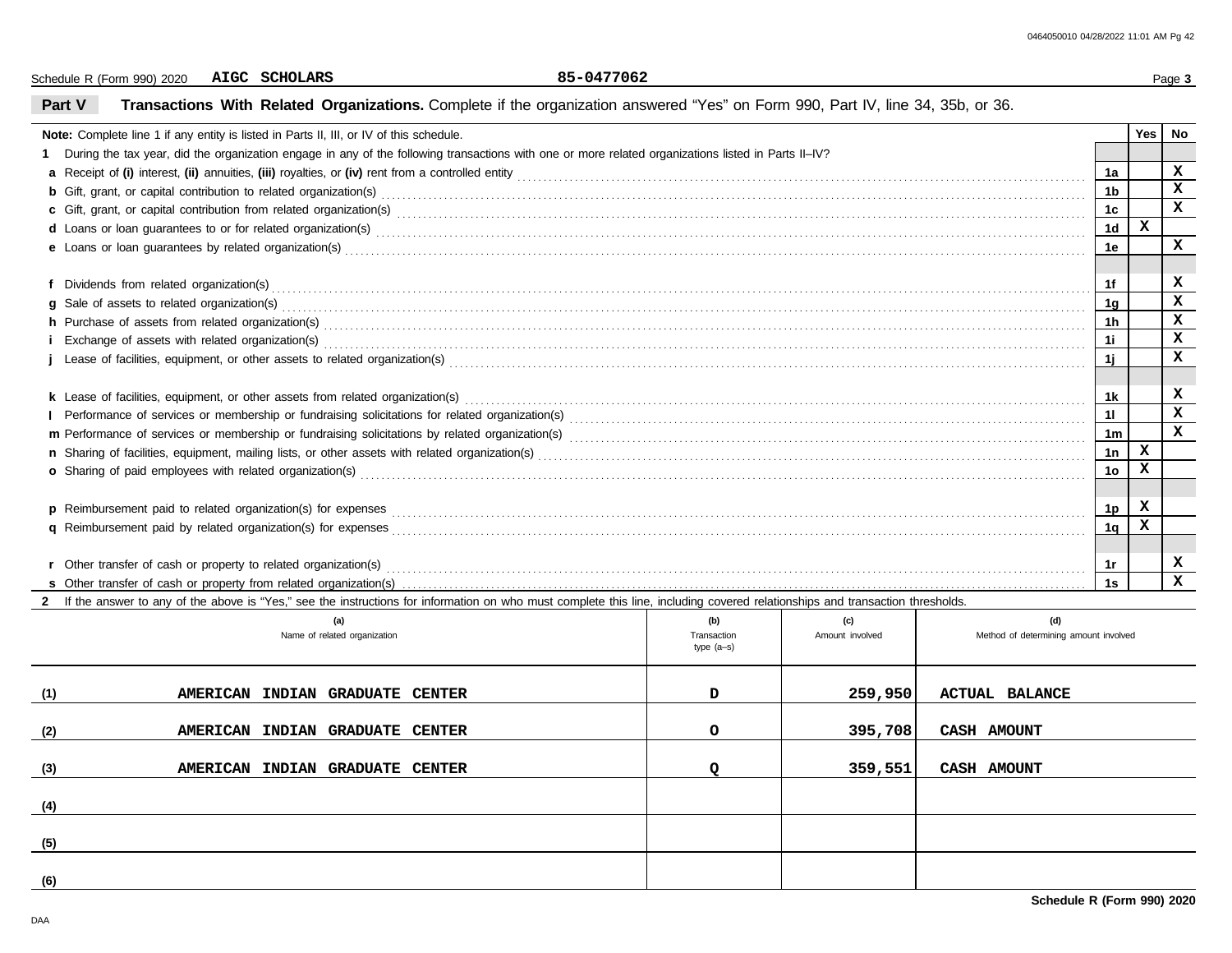Schedule R (Form 990) 2020 **AIGC SCHOLARS** 85-0477062 Page 3 **AIGC SCHOLARS 85-0477062**

# **Part V Transactions With Related Organizations.** Complete if the organization answered "Yes" on Form 990, Part IV, line 34, 35b, or 36.

| Note: Complete line 1 if any entity is listed in Parts II, III, or IV of this schedule.                                                                                                                                         |                | <b>Yes</b>   | No          |
|---------------------------------------------------------------------------------------------------------------------------------------------------------------------------------------------------------------------------------|----------------|--------------|-------------|
| 1 During the tax year, did the organization engage in any of the following transactions with one or more related organizations listed in Parts II-IV?                                                                           |                |              |             |
|                                                                                                                                                                                                                                 | 1a             |              | x           |
| b Gift, grant, or capital contribution to related organization(s) encourse contained and contained and contribution to related organization(s) encourse contained and contribution to related organization(s) encourse contain  | 1 <sub>b</sub> |              | x           |
|                                                                                                                                                                                                                                 | 1 <sub>c</sub> |              | $\mathbf x$ |
| d Loans or loan guarantees to or for related organization(s) encourance contained and contained and contained and contained and contained and contained and contained and contained and contained and contained and contained   | 1 <sub>d</sub> | $\mathbf x$  |             |
|                                                                                                                                                                                                                                 | 1e             |              | X           |
|                                                                                                                                                                                                                                 |                |              |             |
|                                                                                                                                                                                                                                 | 1f             |              | x           |
|                                                                                                                                                                                                                                 | 1g             |              | x           |
| h Purchase of assets from related organization(s) encourance contains and contains a container and container and container and container and container and container and container and container and container and container a  | 1 <sub>h</sub> |              | x           |
|                                                                                                                                                                                                                                 | 11             |              | x           |
|                                                                                                                                                                                                                                 | 1j             |              | $\mathbf x$ |
|                                                                                                                                                                                                                                 |                |              |             |
|                                                                                                                                                                                                                                 | 1k             |              | x           |
|                                                                                                                                                                                                                                 | 11             |              | x           |
|                                                                                                                                                                                                                                 | 1 <sub>m</sub> |              | $\mathbf x$ |
|                                                                                                                                                                                                                                 | 1n             | $\mathbf x$  |             |
| o Sharing of paid employees with related organization(s) Material Annual Community and Sharing of paid employees with related organization(s) Material Annual Community and Sharing of paid employees with related organizatio  | 1 <sub>o</sub> |              |             |
|                                                                                                                                                                                                                                 |                |              |             |
| p Reimbursement paid to related organization(s) for expenses<br>and the expense of the content content content content content content content of the content of the content of the content of the content of the content of th | 1p             | x            |             |
| q Reimbursement paid by related organization(s) for expenses [11, 12] and the content of the content of the content of the content of the content of the content of the content of the content of the content of the content o  | 1q             | $\mathbf{x}$ |             |
|                                                                                                                                                                                                                                 |                |              |             |
| <b>r</b> Other transfer of cash or property to related organization(s)                                                                                                                                                          | 1r             |              | x           |
|                                                                                                                                                                                                                                 | 1s             |              | $\mathbf x$ |
| 2 If the answer to any of the above is "Yes," see the instructions for information on who must complete this line, including covered relationships and transaction thresholds.                                                  |                |              |             |

|     | (a)<br>Name of related organization | (b)<br>Transaction<br>type (a-s) | (c)<br>Amount involved | (d)<br>Method of determining amount involved |
|-----|-------------------------------------|----------------------------------|------------------------|----------------------------------------------|
| (1) | AMERICAN INDIAN GRADUATE CENTER     | D                                | 259,950                | <b>ACTUAL BALANCE</b>                        |
| (2) | AMERICAN INDIAN GRADUATE CENTER     | $\circ$                          | 395,708                | CASH AMOUNT                                  |
| (3) | AMERICAN INDIAN GRADUATE CENTER     |                                  | 359,551                | CASH AMOUNT                                  |
| (4) |                                     |                                  |                        |                                              |
| (5) |                                     |                                  |                        |                                              |
| (6) |                                     |                                  |                        |                                              |

L.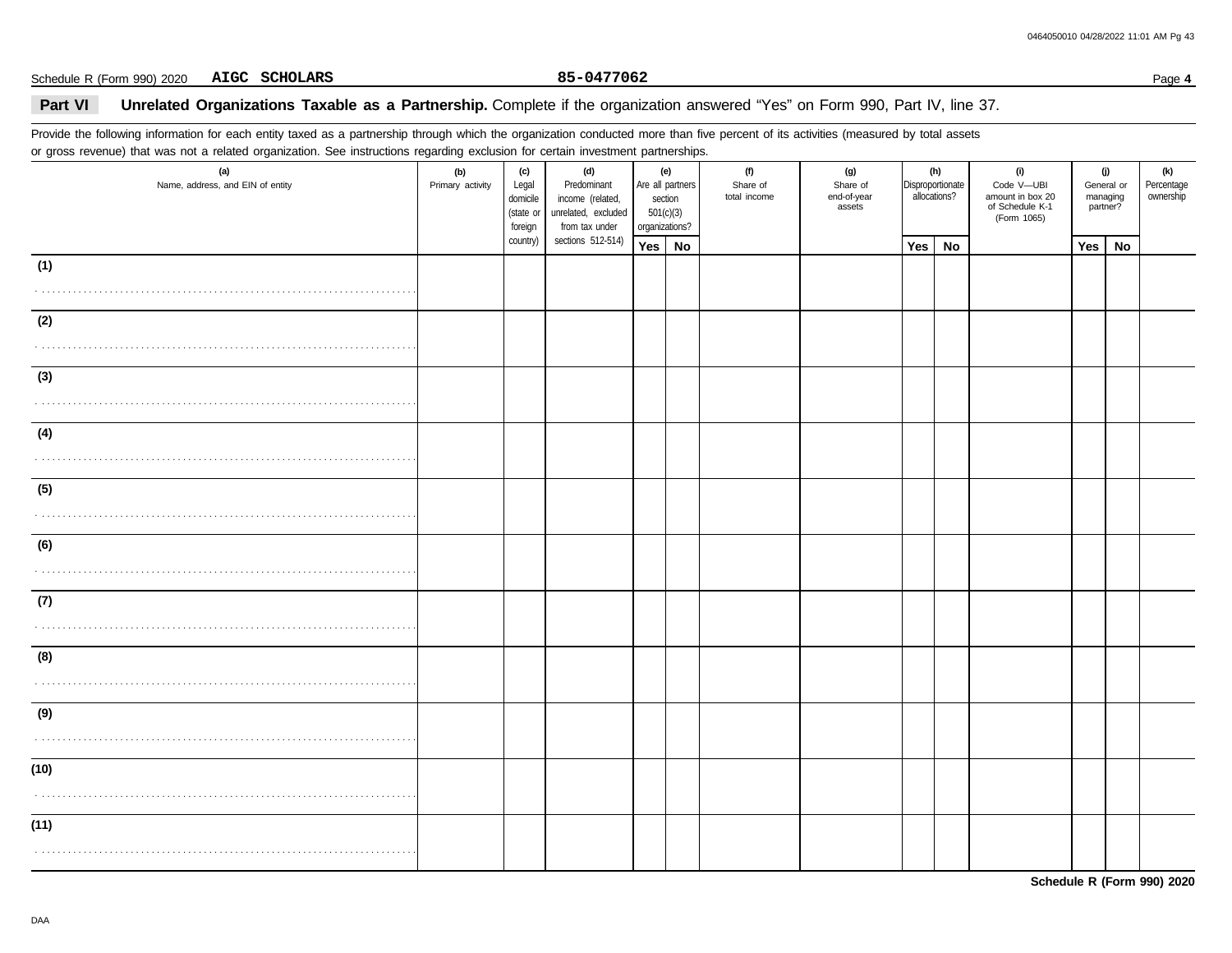Schedule R (Form 990) 2020 **AIGC SCHOLARS** 25-0477062 **Page 4** 25-0477062 **AIGC SCHOLARS 85-0477062**

### **Part VI** Unrelated Organizations Taxable as a Partnership. Complete if the organization answered "Yes" on Form 990, Part IV, line 37.

Provide the following information for each entity taxed as a partnership through which the organization conducted more than five percent of its activities (measured by total assets or gross revenue) that was not a related organization. See instructions regarding exclusion for certain investment partnerships.

| (a)<br>Name, address, and EIN of entity | (b)<br>Primary activity | (c)<br>Legal<br>domicile<br>(state or<br>foreign | (d)<br>Predominant<br>income (related,<br>unrelated, excluded<br>from tax under | (e)<br>Are all partners<br>section<br>501(c)(3)<br>organizations? |    | (f)<br>Share of<br>total income | (g)<br>Share of<br>end-of-year<br>assets | allocations? | (h)<br>Disproportionate | (i)<br>Code V-UBI<br>amount in box 20<br>of Schedule K-1<br>(Form 1065) | General or<br>managing<br>partner? | (j) | (k)<br>Percentage<br>ownership |
|-----------------------------------------|-------------------------|--------------------------------------------------|---------------------------------------------------------------------------------|-------------------------------------------------------------------|----|---------------------------------|------------------------------------------|--------------|-------------------------|-------------------------------------------------------------------------|------------------------------------|-----|--------------------------------|
|                                         |                         | country)                                         | sections 512-514)                                                               | Yes                                                               | No |                                 |                                          | Yes          | <b>No</b>               |                                                                         | <b>Yes</b>                         | No  |                                |
| (1)                                     |                         |                                                  |                                                                                 |                                                                   |    |                                 |                                          |              |                         |                                                                         |                                    |     |                                |
|                                         |                         |                                                  |                                                                                 |                                                                   |    |                                 |                                          |              |                         |                                                                         |                                    |     |                                |
| (2)                                     |                         |                                                  |                                                                                 |                                                                   |    |                                 |                                          |              |                         |                                                                         |                                    |     |                                |
|                                         |                         |                                                  |                                                                                 |                                                                   |    |                                 |                                          |              |                         |                                                                         |                                    |     |                                |
| (3)                                     |                         |                                                  |                                                                                 |                                                                   |    |                                 |                                          |              |                         |                                                                         |                                    |     |                                |
|                                         |                         |                                                  |                                                                                 |                                                                   |    |                                 |                                          |              |                         |                                                                         |                                    |     |                                |
| (4)                                     |                         |                                                  |                                                                                 |                                                                   |    |                                 |                                          |              |                         |                                                                         |                                    |     |                                |
|                                         |                         |                                                  |                                                                                 |                                                                   |    |                                 |                                          |              |                         |                                                                         |                                    |     |                                |
| (5)                                     |                         |                                                  |                                                                                 |                                                                   |    |                                 |                                          |              |                         |                                                                         |                                    |     |                                |
|                                         |                         |                                                  |                                                                                 |                                                                   |    |                                 |                                          |              |                         |                                                                         |                                    |     |                                |
| (6)                                     |                         |                                                  |                                                                                 |                                                                   |    |                                 |                                          |              |                         |                                                                         |                                    |     |                                |
|                                         |                         |                                                  |                                                                                 |                                                                   |    |                                 |                                          |              |                         |                                                                         |                                    |     |                                |
| (7)                                     |                         |                                                  |                                                                                 |                                                                   |    |                                 |                                          |              |                         |                                                                         |                                    |     |                                |
|                                         |                         |                                                  |                                                                                 |                                                                   |    |                                 |                                          |              |                         |                                                                         |                                    |     |                                |
| (8)                                     |                         |                                                  |                                                                                 |                                                                   |    |                                 |                                          |              |                         |                                                                         |                                    |     |                                |
|                                         |                         |                                                  |                                                                                 |                                                                   |    |                                 |                                          |              |                         |                                                                         |                                    |     |                                |
| (9)                                     |                         |                                                  |                                                                                 |                                                                   |    |                                 |                                          |              |                         |                                                                         |                                    |     |                                |
|                                         |                         |                                                  |                                                                                 |                                                                   |    |                                 |                                          |              |                         |                                                                         |                                    |     |                                |
| (10)                                    |                         |                                                  |                                                                                 |                                                                   |    |                                 |                                          |              |                         |                                                                         |                                    |     |                                |
|                                         |                         |                                                  |                                                                                 |                                                                   |    |                                 |                                          |              |                         |                                                                         |                                    |     |                                |
| (11)                                    |                         |                                                  |                                                                                 |                                                                   |    |                                 |                                          |              |                         |                                                                         |                                    |     |                                |
|                                         |                         |                                                  |                                                                                 |                                                                   |    |                                 |                                          |              |                         |                                                                         |                                    |     |                                |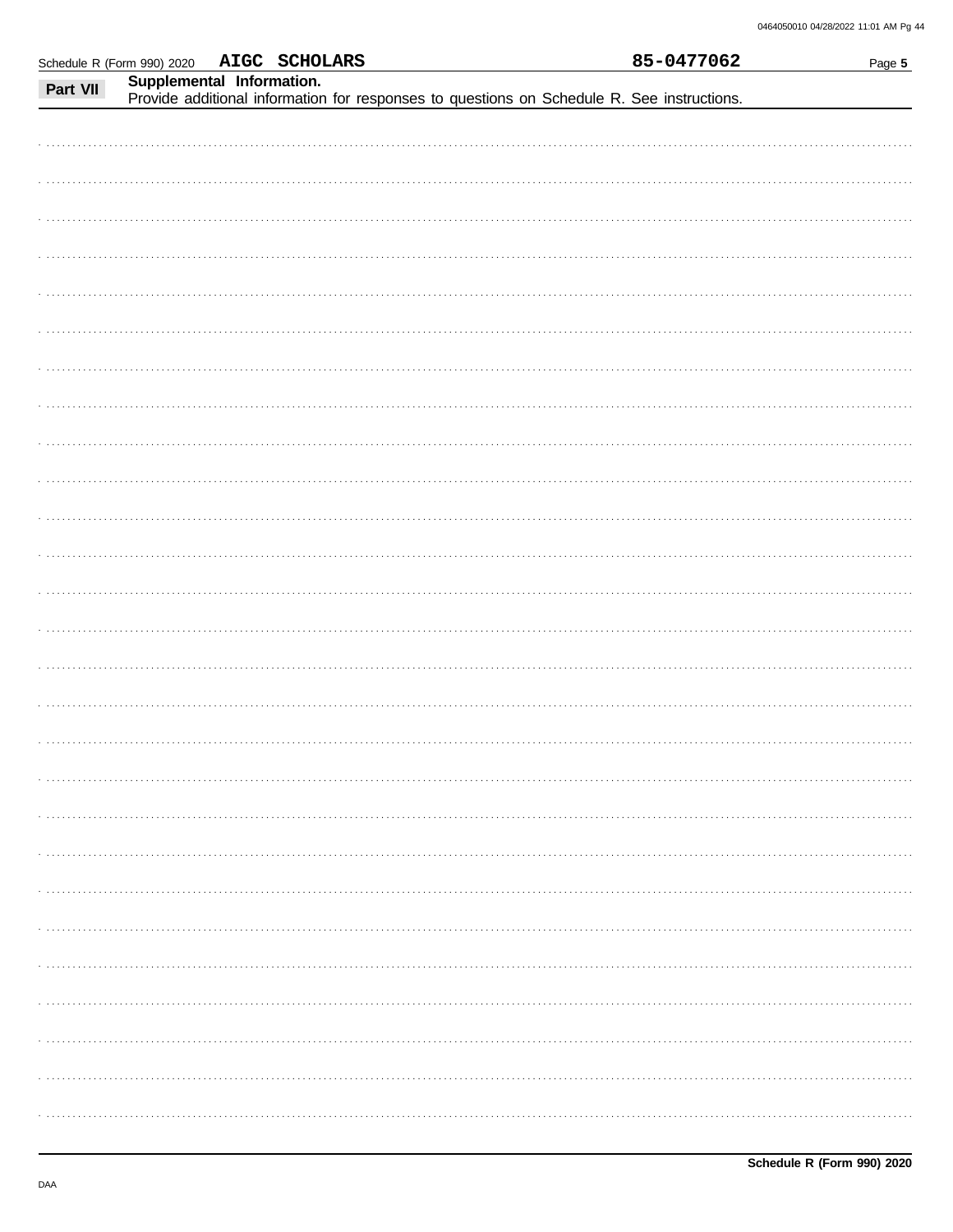|          | Schedule R (Form 990) 2020 | AIGC SCHOLARS |                                                                                            | 85-0477062 | Page 5 |
|----------|----------------------------|---------------|--------------------------------------------------------------------------------------------|------------|--------|
|          | Supplemental Information.  |               |                                                                                            |            |        |
| Part VII |                            |               | Provide additional information for responses to questions on Schedule R. See instructions. |            |        |
|          |                            |               |                                                                                            |            |        |
|          |                            |               |                                                                                            |            |        |
|          |                            |               |                                                                                            |            |        |
|          |                            |               |                                                                                            |            |        |
|          |                            |               |                                                                                            |            |        |
|          |                            |               |                                                                                            |            |        |
|          |                            |               |                                                                                            |            |        |
|          |                            |               |                                                                                            |            |        |
|          |                            |               |                                                                                            |            |        |
|          |                            |               |                                                                                            |            |        |
|          |                            |               |                                                                                            |            |        |
|          |                            |               |                                                                                            |            |        |
|          |                            |               |                                                                                            |            |        |
|          |                            |               |                                                                                            |            |        |
|          |                            |               |                                                                                            |            |        |
|          |                            |               |                                                                                            |            |        |
|          |                            |               |                                                                                            |            |        |
|          |                            |               |                                                                                            |            |        |
|          |                            |               |                                                                                            |            |        |
|          |                            |               |                                                                                            |            |        |
|          |                            |               |                                                                                            |            |        |
|          |                            |               |                                                                                            |            |        |
|          |                            |               |                                                                                            |            |        |
|          |                            |               |                                                                                            |            |        |
|          |                            |               |                                                                                            |            |        |
|          |                            |               |                                                                                            |            |        |
|          |                            |               |                                                                                            |            |        |
|          |                            |               |                                                                                            |            |        |
|          |                            |               |                                                                                            |            |        |
|          |                            |               |                                                                                            |            |        |
|          |                            |               |                                                                                            |            |        |
|          |                            |               |                                                                                            |            |        |
|          |                            |               |                                                                                            |            |        |
|          |                            |               |                                                                                            |            |        |
|          |                            |               |                                                                                            |            |        |
|          |                            |               |                                                                                            |            |        |
|          |                            |               |                                                                                            |            |        |
|          |                            |               |                                                                                            |            |        |
|          |                            |               |                                                                                            |            |        |
|          |                            |               |                                                                                            |            |        |
|          |                            |               |                                                                                            |            |        |
|          |                            |               |                                                                                            |            |        |
|          |                            |               |                                                                                            |            |        |
|          |                            |               |                                                                                            |            |        |
|          |                            |               |                                                                                            |            |        |
|          |                            |               |                                                                                            |            |        |
|          |                            |               |                                                                                            |            |        |
|          |                            |               |                                                                                            |            |        |
|          |                            |               |                                                                                            |            |        |
|          |                            |               |                                                                                            |            |        |
|          |                            |               |                                                                                            |            |        |
|          |                            |               |                                                                                            |            |        |
|          |                            |               |                                                                                            |            |        |